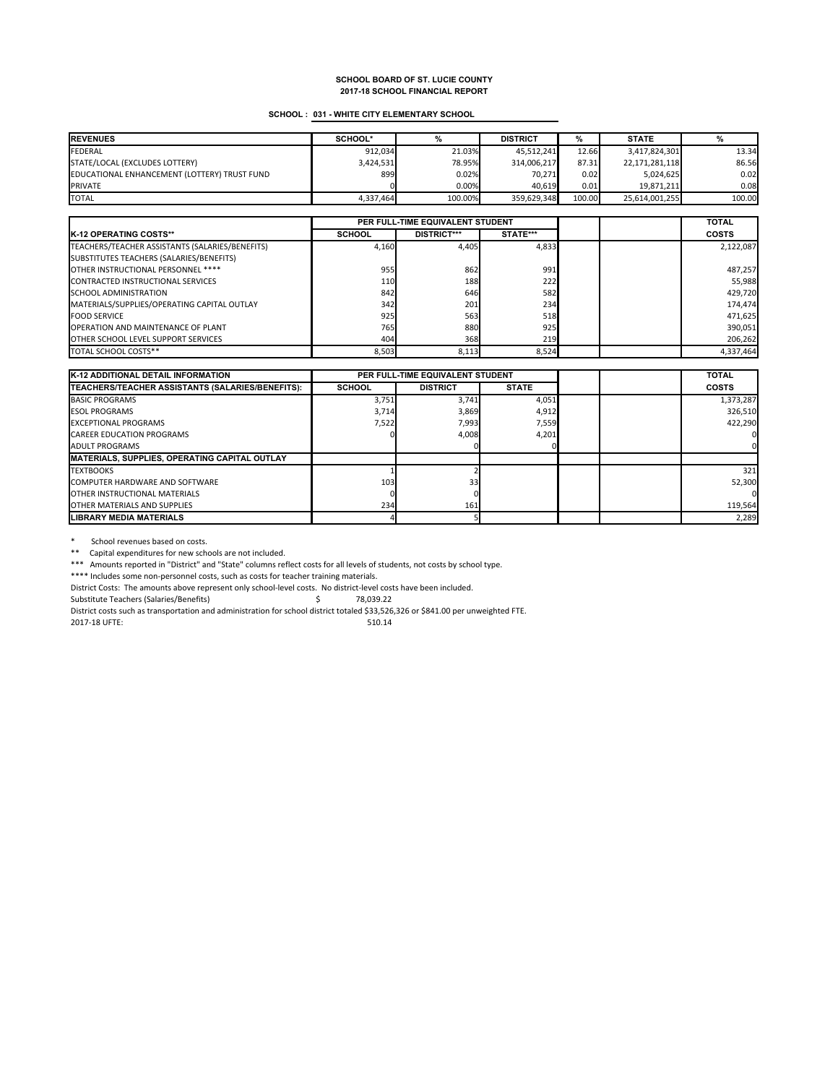### **SCHOOL : 031 - WHITE CITY ELEMENTARY SCHOOL**

| <b>REVENUES</b>                              | SCHOOL*   |         | <b>DISTRICT</b> | ℅      | <b>STATE</b>   |        |
|----------------------------------------------|-----------|---------|-----------------|--------|----------------|--------|
| <b>FEDERAL</b>                               | 912.034   | 21.03%  | 45.512.241      | 12.66  | 3,417,824,301  | 13.34  |
| STATE/LOCAL (EXCLUDES LOTTERY)               | 3,424,531 | 78.95%  | 314,006,217     | 87.31  | 22,171,281,118 | 86.56  |
| EDUCATIONAL ENHANCEMENT (LOTTERY) TRUST FUND | 899       | 0.02%   | 70.271          | 0.02   | 5.024.625      | 0.02   |
| <b>PRIVATE</b>                               |           | 0.00%   | 40.619          | 0.01   | 19.871.211     | 0.08   |
| <b>TOTAL</b>                                 | 4.337.464 | 100.00% | 359.629.348     | 100.00 | 25,614,001,255 | 100.00 |

|                                                 |               | PER FULL-TIME EQUIVALENT STUDENT |          |  | <b>TOTAL</b> |
|-------------------------------------------------|---------------|----------------------------------|----------|--|--------------|
| <b>IK-12 OPERATING COSTS**</b>                  | <b>SCHOOL</b> | <b>DISTRICT***</b>               | STATE*** |  | <b>COSTS</b> |
| TEACHERS/TEACHER ASSISTANTS (SALARIES/BENEFITS) | 4,160         | 4.405                            | 4.833    |  | 2,122,087    |
| SUBSTITUTES TEACHERS (SALARIES/BENEFITS)        |               |                                  |          |  |              |
| OTHER INSTRUCTIONAL PERSONNEL ****              | 955           | 862                              | 991      |  | 487,257      |
| CONTRACTED INSTRUCTIONAL SERVICES               | 110           | 188                              | 222      |  | 55,988       |
| <b>SCHOOL ADMINISTRATION</b>                    | 842           | 646                              | 582      |  | 429,720      |
| MATERIALS/SUPPLIES/OPERATING CAPITAL OUTLAY     | 342           | 201                              | 234      |  | 174,474      |
| <b>FOOD SERVICE</b>                             | 925           | 563                              | 518      |  | 471,625      |
| <b>OPERATION AND MAINTENANCE OF PLANT</b>       | 765           | 880                              | 925      |  | 390,051      |
| <b>OTHER SCHOOL LEVEL SUPPORT SERVICES</b>      | 404           | 368                              | 219      |  | 206,262      |
| TOTAL SCHOOL COSTS**                            | 8,503         | 8,113                            | 8,524    |  | 4,337,464    |

| <b>K-12 ADDITIONAL DETAIL INFORMATION</b>             | PER FULL-TIME EQUIVALENT STUDENT |                 |              |  | <b>TOTAL</b> |
|-------------------------------------------------------|----------------------------------|-----------------|--------------|--|--------------|
| TEACHERS/TEACHER ASSISTANTS (SALARIES/BENEFITS):      | <b>SCHOOL</b>                    | <b>DISTRICT</b> | <b>STATE</b> |  | COSTS        |
| <b>BASIC PROGRAMS</b>                                 | 3,751                            | 3,741           | 4,051        |  | 1,373,287    |
| <b>ESOL PROGRAMS</b>                                  | 3,714                            | 3,869           | 4,912        |  | 326,510      |
| <b>EXCEPTIONAL PROGRAMS</b>                           | 7.522                            | 7.993           | 7,559        |  | 422.290      |
| <b>CAREER EDUCATION PROGRAMS</b>                      |                                  | 4,008           | 4,201        |  |              |
| <b>ADULT PROGRAMS</b>                                 |                                  |                 |              |  |              |
| <b>IMATERIALS, SUPPLIES, OPERATING CAPITAL OUTLAY</b> |                                  |                 |              |  |              |
| <b>TEXTBOOKS</b>                                      |                                  |                 |              |  | 321          |
| <b>COMPUTER HARDWARE AND SOFTWARE</b>                 | 103                              | 33 <sub>1</sub> |              |  | 52,300       |
| <b>OTHER INSTRUCTIONAL MATERIALS</b>                  |                                  |                 |              |  |              |
| <b>OTHER MATERIALS AND SUPPLIES</b>                   | 234                              | 161             |              |  | 119,564      |
| <b>LIBRARY MEDIA MATERIALS</b>                        |                                  |                 |              |  | 2,289        |

\* School revenues based on costs.

\*\* Capital expenditures for new schools are not included.

\*\*\* Amounts reported in "District" and "State" columns reflect costs for all levels of students, not costs by school type.

\*\*\*\* Includes some non-personnel costs, such as costs for teacher training materials.

District Costs: The amounts above represent only school-level costs. No district-level costs have been included.

Substitute Teachers (Salaries/Benefits)  $\zeta$  78,039.22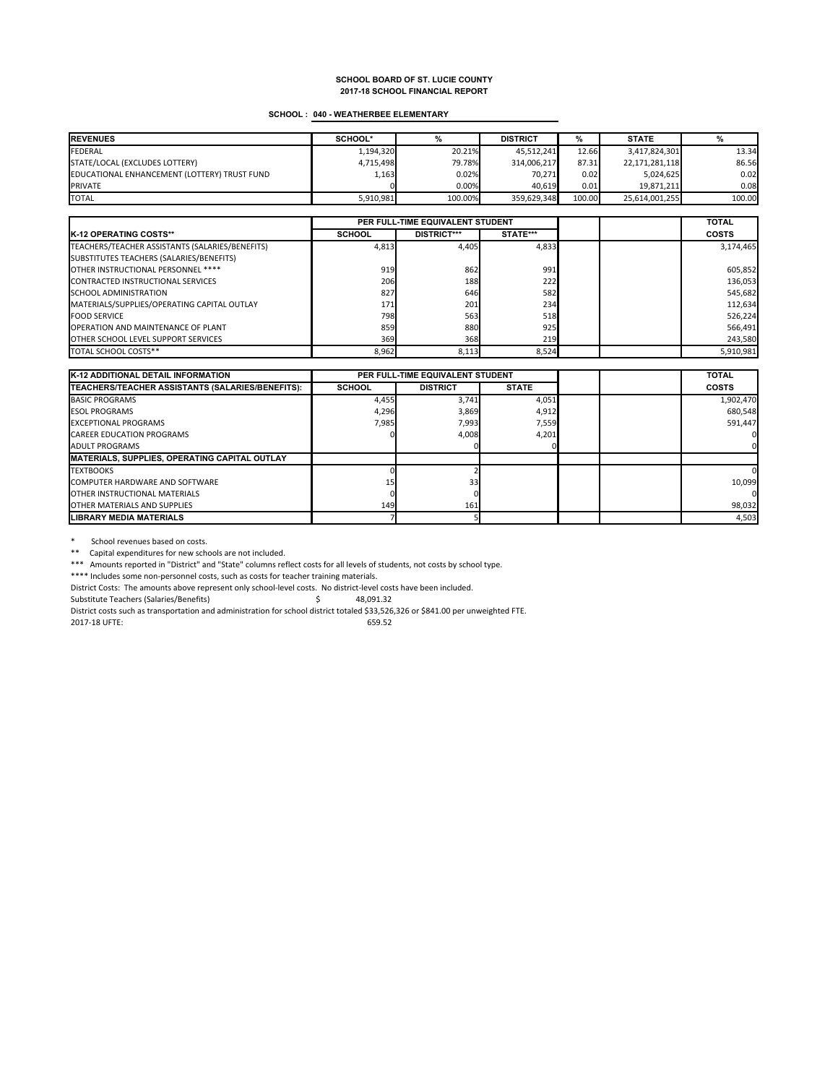#### **SCHOOL : 040 - WEATHERBEE ELEMENTARY**

| <b>REVENUES</b>                              | SCHOOL*   |         | <b>DISTRICT</b> | ℅      | <b>STATE</b>   |        |
|----------------------------------------------|-----------|---------|-----------------|--------|----------------|--------|
| <b>FEDERAL</b>                               | 1,194,320 | 20.21%  | 45.512.241      | 12.66  | 3,417,824,301  | 13.34  |
| STATE/LOCAL (EXCLUDES LOTTERY)               | 4,715,498 | 79.78%  | 314,006,217     | 87.31  | 22,171,281,118 | 86.56  |
| EDUCATIONAL ENHANCEMENT (LOTTERY) TRUST FUND | 1,163     | 0.02%   | 70.271          | 0.02   | 5.024.625      | 0.02   |
| <b>PRIVATE</b>                               |           | 0.00%   | 40.619          | 0.01   | 19.871.211     | 0.08   |
| <b>TOTAL</b>                                 | 5,910,981 | 100.00% | 359.629.348     | 100.00 | 25,614,001,255 | 100.00 |

|                                                 | PER FULL-TIME EQUIVALENT STUDENT |                    |          |  | <b>TOTAL</b> |
|-------------------------------------------------|----------------------------------|--------------------|----------|--|--------------|
| <b>IK-12 OPERATING COSTS**</b>                  | <b>SCHOOL</b>                    | <b>DISTRICT***</b> | STATE*** |  | <b>COSTS</b> |
| TEACHERS/TEACHER ASSISTANTS (SALARIES/BENEFITS) | 4,813                            | 4.405              | 4,833    |  | 3,174,465    |
| SUBSTITUTES TEACHERS (SALARIES/BENEFITS)        |                                  |                    |          |  |              |
| OTHER INSTRUCTIONAL PERSONNEL ****              | 919                              | 862                | 991      |  | 605,852      |
| <b>CONTRACTED INSTRUCTIONAL SERVICES</b>        | 206                              | 188                | 222      |  | 136,053      |
| <b>SCHOOL ADMINISTRATION</b>                    | 827                              | 646                | 582      |  | 545,682      |
| MATERIALS/SUPPLIES/OPERATING CAPITAL OUTLAY     | 171                              | 201                | 234      |  | 112,634      |
| <b>FOOD SERVICE</b>                             | 798                              | 563                | 518      |  | 526,224      |
| <b>OPERATION AND MAINTENANCE OF PLANT</b>       | 859                              | 880                | 925      |  | 566,491      |
| <b>OTHER SCHOOL LEVEL SUPPORT SERVICES</b>      | 369                              | 368                | 219      |  | 243,580      |
| TOTAL SCHOOL COSTS**                            | 8,962                            | 8,113              | 8,524    |  | 5,910,981    |

| <b>K-12 ADDITIONAL DETAIL INFORMATION</b>                |               | PER FULL-TIME EQUIVALENT STUDENT |              |  | <b>TOTAL</b> |
|----------------------------------------------------------|---------------|----------------------------------|--------------|--|--------------|
| <b>ITEACHERS/TEACHER ASSISTANTS (SALARIES/BENEFITS):</b> | <b>SCHOOL</b> | <b>DISTRICT</b>                  | <b>STATE</b> |  | <b>COSTS</b> |
| <b>BASIC PROGRAMS</b>                                    | 4,455         | 3,741                            | 4,051        |  | 1,902,470    |
| <b>ESOL PROGRAMS</b>                                     | 4,296         | 3,869                            | 4,912        |  | 680,548      |
| <b>EXCEPTIONAL PROGRAMS</b>                              | 7,985         | 7,993                            | 7,559        |  | 591.447      |
| <b>CAREER EDUCATION PROGRAMS</b>                         |               | 4,008                            | 4,201        |  |              |
| <b>ADULT PROGRAMS</b>                                    |               |                                  |              |  |              |
| MATERIALS, SUPPLIES, OPERATING CAPITAL OUTLAY            |               |                                  |              |  |              |
| <b>TEXTBOOKS</b>                                         |               |                                  |              |  |              |
| <b>COMPUTER HARDWARE AND SOFTWARE</b>                    |               | 33 <sub>1</sub>                  |              |  | 10,099       |
| <b>OTHER INSTRUCTIONAL MATERIALS</b>                     |               |                                  |              |  |              |
| <b>OTHER MATERIALS AND SUPPLIES</b>                      | 149           | 161                              |              |  | 98,032       |
| <b>LIBRARY MEDIA MATERIALS</b>                           |               |                                  |              |  | 4,503        |

\* School revenues based on costs.

\*\* Capital expenditures for new schools are not included.

\*\*\* Amounts reported in "District" and "State" columns reflect costs for all levels of students, not costs by school type.

\*\*\*\* Includes some non-personnel costs, such as costs for teacher training materials.

District Costs: The amounts above represent only school-level costs. No district-level costs have been included.

Substitute Teachers (Salaries/Benefits)  $\qquad \qquad$  48,091.32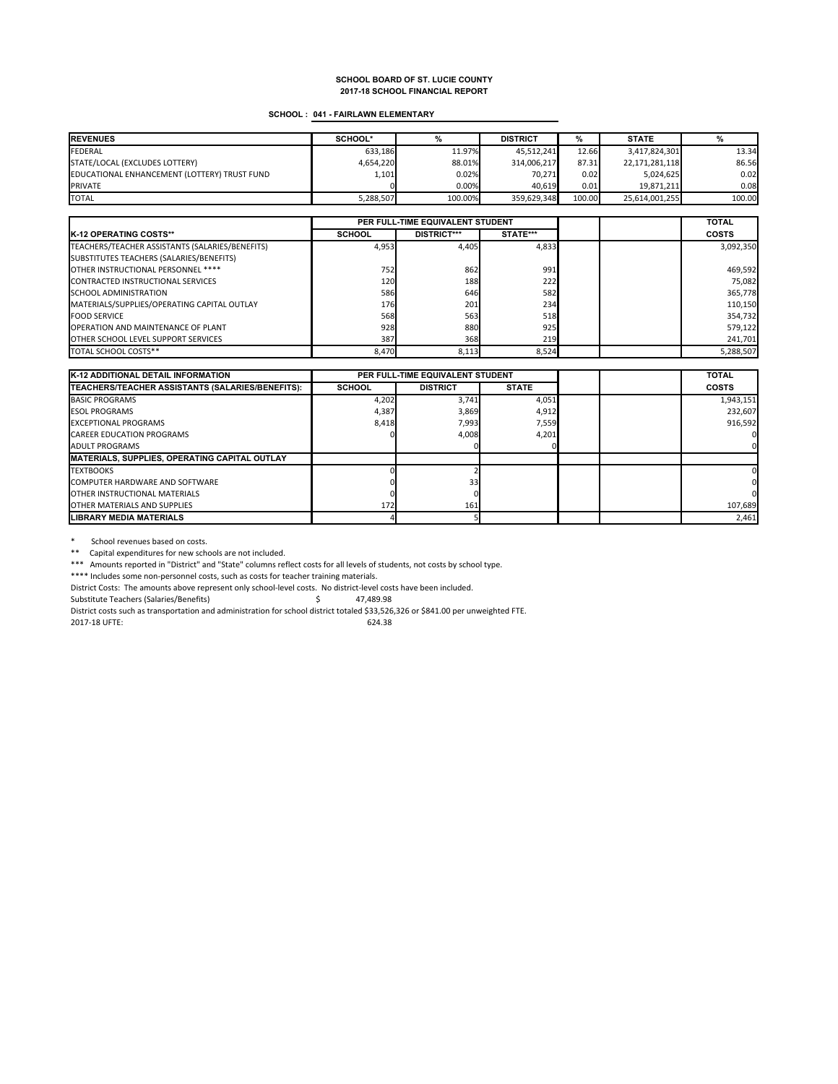### **SCHOOL : 041 - FAIRLAWN ELEMENTARY**

| <b>REVENUES</b>                              | SCHOOL*   |         | <b>DISTRICT</b> | %      | <b>STATE</b>   |        |
|----------------------------------------------|-----------|---------|-----------------|--------|----------------|--------|
| <b>FEDERAL</b>                               | 633.186   | 11.97%  | 45.512.241      | 12.66  | 3,417,824,301  | 13.34  |
| STATE/LOCAL (EXCLUDES LOTTERY)               | 4,654,220 | 88.01%  | 314,006,217     | 87.31  | 22,171,281,118 | 86.56  |
| EDUCATIONAL ENHANCEMENT (LOTTERY) TRUST FUND | 1,101     | 0.02%   | 70.271          | 0.02   | 5,024,625      | 0.02   |
| <b>PRIVATE</b>                               |           | 0.00%   | 40.619          | 0.01   | 19.871.211     | 0.08   |
| <b>TOTAL</b>                                 | 5,288,507 | 100.00% | 359.629.348     | 100.00 | 25,614,001,255 | 100.00 |

|                                                 | PER FULL-TIME EQUIVALENT STUDENT |                    |              |  | <b>TOTAL</b> |
|-------------------------------------------------|----------------------------------|--------------------|--------------|--|--------------|
| <b>K-12 OPERATING COSTS**</b>                   | <b>SCHOOL</b>                    | <b>DISTRICT***</b> | STATE***     |  | <b>COSTS</b> |
| TEACHERS/TEACHER ASSISTANTS (SALARIES/BENEFITS) | 4,953                            | 4.405              | 4,833        |  | 3,092,350    |
| SUBSTITUTES TEACHERS (SALARIES/BENEFITS)        |                                  |                    |              |  |              |
| OTHER INSTRUCTIONAL PERSONNEL ****              | 752                              | 862                | 991          |  | 469,592      |
| <b>CONTRACTED INSTRUCTIONAL SERVICES</b>        | 120                              | 188                | 222          |  | 75,082       |
| SCHOOL ADMINISTRATION                           | 586                              | 646                | 582          |  | 365,778      |
| MATERIALS/SUPPLIES/OPERATING CAPITAL OUTLAY     | 176                              | 201                | 234          |  | 110,150      |
| <b>FOOD SERVICE</b>                             | 568                              | 563                | 518          |  | 354,732      |
| <b>OPERATION AND MAINTENANCE OF PLANT</b>       | 928                              | 880                | 925          |  | 579,122      |
| <b>OTHER SCHOOL LEVEL SUPPORT SERVICES</b>      | 387                              | 368                | 219 <b>1</b> |  | 241,701      |
| TOTAL SCHOOL COSTS**                            | 8.470                            | 8,113              | 8,524        |  | 5,288,507    |

| <b>K-12 ADDITIONAL DETAIL INFORMATION</b>               | PER FULL-TIME EQUIVALENT STUDENT |                 |              |  | <b>TOTAL</b> |
|---------------------------------------------------------|----------------------------------|-----------------|--------------|--|--------------|
| <b>TEACHERS/TEACHER ASSISTANTS (SALARIES/BENEFITS):</b> | <b>SCHOOL</b>                    | <b>DISTRICT</b> | <b>STATE</b> |  | COSTS        |
| <b>BASIC PROGRAMS</b>                                   | 4,202                            | 3,741           | 4,051        |  | 1,943,151    |
| <b>ESOL PROGRAMS</b>                                    | 4,387                            | 3,869           | 4,912        |  | 232,607      |
| <b>EXCEPTIONAL PROGRAMS</b>                             | 8.418                            | 7.993           | 7,559        |  | 916.592      |
| <b>CAREER EDUCATION PROGRAMS</b>                        |                                  | 4,008           | 4,201        |  |              |
| <b>ADULT PROGRAMS</b>                                   |                                  |                 |              |  |              |
| <b>IMATERIALS, SUPPLIES, OPERATING CAPITAL OUTLAY</b>   |                                  |                 |              |  |              |
| <b>TEXTBOOKS</b>                                        |                                  |                 |              |  |              |
| <b>COMPUTER HARDWARE AND SOFTWARE</b>                   |                                  | 33 <sub>1</sub> |              |  |              |
| <b>OTHER INSTRUCTIONAL MATERIALS</b>                    |                                  |                 |              |  |              |
| <b>OTHER MATERIALS AND SUPPLIES</b>                     | 172                              | 161             |              |  | 107,689      |
| <b>LIBRARY MEDIA MATERIALS</b>                          |                                  |                 |              |  | 2,461        |

\* School revenues based on costs.

\*\* Capital expenditures for new schools are not included.

\*\*\* Amounts reported in "District" and "State" columns reflect costs for all levels of students, not costs by school type.

\*\*\*\* Includes some non-personnel costs, such as costs for teacher training materials.

District Costs: The amounts above represent only school-level costs. No district-level costs have been included.

Substitute Teachers (Salaries/Benefits)  $\qquad \qquad$  47,489.98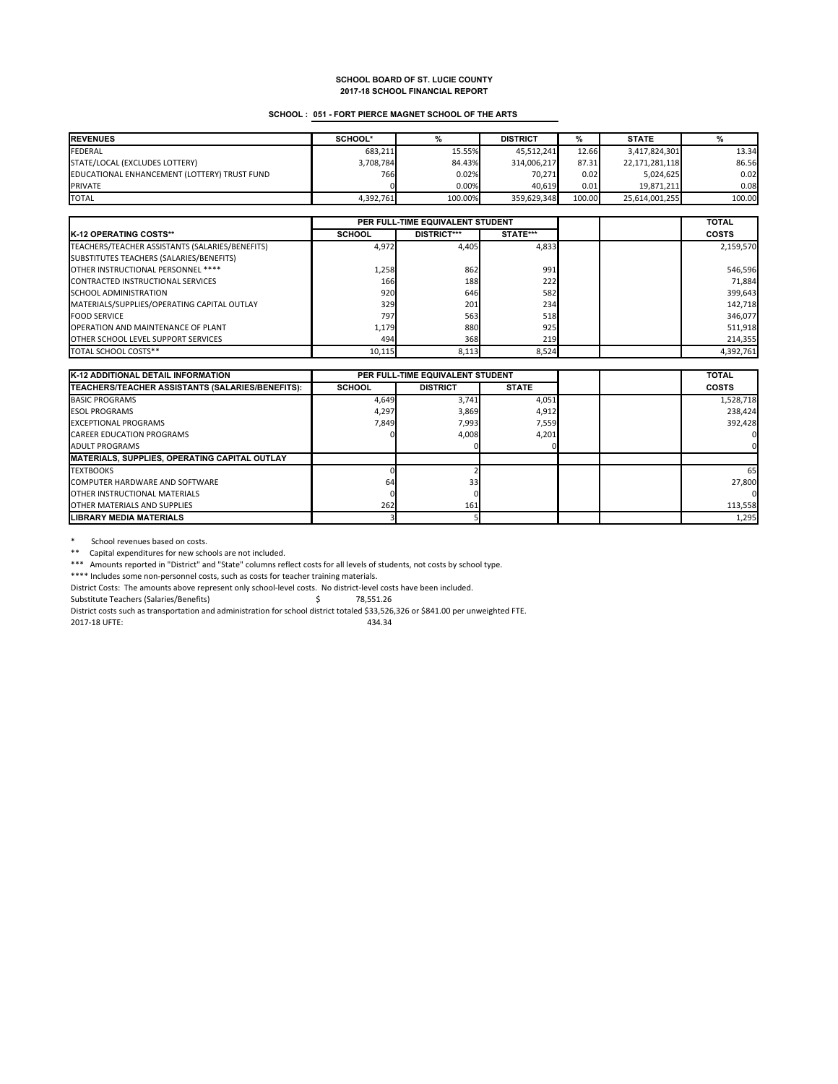### **SCHOOL : 051 - FORT PIERCE MAGNET SCHOOL OF THE ARTS**

| <b>REVENUES</b>                              | SCHOOL*   |         | <b>DISTRICT</b> | ℅      | <b>STATE</b>   |        |
|----------------------------------------------|-----------|---------|-----------------|--------|----------------|--------|
| <b>FEDERAL</b>                               | 683.211   | 15.55%  | 45.512.241      | 12.66  | 3,417,824,301  | 13.34  |
| STATE/LOCAL (EXCLUDES LOTTERY)               | 3,708,784 | 84.43%  | 314.006.217     | 87.31  | 22,171,281,118 | 86.56  |
| EDUCATIONAL ENHANCEMENT (LOTTERY) TRUST FUND | 766       | 0.02%   | 70.271          | 0.02   | 5.024.625      | 0.02   |
| <b>PRIVATE</b>                               |           | 0.00%   | 40.619          | 0.01   | 19,871,211     | 0.08   |
| <b>TOTAL</b>                                 | 4.392.761 | 100.00% | 359.629.348     | 100.00 | 25.614.001.255 | 100.00 |

|                                                 | PER FULL-TIME EQUIVALENT STUDENT |                    |          |  | <b>TOTAL</b> |
|-------------------------------------------------|----------------------------------|--------------------|----------|--|--------------|
| <b>K-12 OPERATING COSTS**</b>                   | <b>SCHOOL</b>                    | <b>DISTRICT***</b> | STATE*** |  | <b>COSTS</b> |
| TEACHERS/TEACHER ASSISTANTS (SALARIES/BENEFITS) | 4,972                            | 4.405              | 4,833    |  | 2,159,570    |
| SUBSTITUTES TEACHERS (SALARIES/BENEFITS)        |                                  |                    |          |  |              |
| OTHER INSTRUCTIONAL PERSONNEL ****              | 1,258                            | 862                | 991      |  | 546,596      |
| CONTRACTED INSTRUCTIONAL SERVICES               | 166                              | 188                | 222      |  | 71,884       |
| SCHOOL ADMINISTRATION                           | 920                              | 646                | 582      |  | 399,643      |
| MATERIALS/SUPPLIES/OPERATING CAPITAL OUTLAY     | 329                              | 201                | 234      |  | 142,718      |
| <b>FOOD SERVICE</b>                             | 797                              | 563                | 518      |  | 346,077      |
| <b>OPERATION AND MAINTENANCE OF PLANT</b>       | 1,179                            | 880                | 925      |  | 511,918      |
| <b>OTHER SCHOOL LEVEL SUPPORT SERVICES</b>      | 494                              | 368                | 219      |  | 214,355      |
| TOTAL SCHOOL COSTS**                            | 10,115                           | 8,113              | 8.524    |  | 4,392,761    |

| <b>K-12 ADDITIONAL DETAIL INFORMATION</b>             | PER FULL-TIME EQUIVALENT STUDENT |                 |              |  | <b>TOTAL</b> |
|-------------------------------------------------------|----------------------------------|-----------------|--------------|--|--------------|
| TEACHERS/TEACHER ASSISTANTS (SALARIES/BENEFITS):      | <b>SCHOOL</b>                    | <b>DISTRICT</b> | <b>STATE</b> |  | <b>COSTS</b> |
| <b>BASIC PROGRAMS</b>                                 | 4,649                            | 3.741           | 4,051        |  | 1,528,718    |
| <b>ESOL PROGRAMS</b>                                  | 4,297                            | 3,869           | 4,912        |  | 238,424      |
| <b>EXCEPTIONAL PROGRAMS</b>                           | 7.849                            | 7,993           | 7,559        |  | 392.428      |
| <b>CAREER EDUCATION PROGRAMS</b>                      |                                  | 4,008           | 4,201        |  |              |
| <b>ADULT PROGRAMS</b>                                 |                                  |                 |              |  |              |
| <b>IMATERIALS, SUPPLIES, OPERATING CAPITAL OUTLAY</b> |                                  |                 |              |  |              |
| <b>TEXTBOOKS</b>                                      |                                  |                 |              |  | 65           |
| <b>COMPUTER HARDWARE AND SOFTWARE</b>                 | 64                               | 33              |              |  | 27,800       |
| <b>OTHER INSTRUCTIONAL MATERIALS</b>                  |                                  |                 |              |  |              |
| OTHER MATERIALS AND SUPPLIES                          | 262                              | 161             |              |  | 113,558      |
| <b>LIBRARY MEDIA MATERIALS</b>                        |                                  |                 |              |  | 1,295        |

\* School revenues based on costs.

\*\* Capital expenditures for new schools are not included.

\*\*\* Amounts reported in "District" and "State" columns reflect costs for all levels of students, not costs by school type.

\*\*\*\* Includes some non-personnel costs, such as costs for teacher training materials.

District Costs: The amounts above represent only school-level costs. No district-level costs have been included.

Substitute Teachers (Salaries/Benefits)  $\qquad \qquad$  \$78,551.26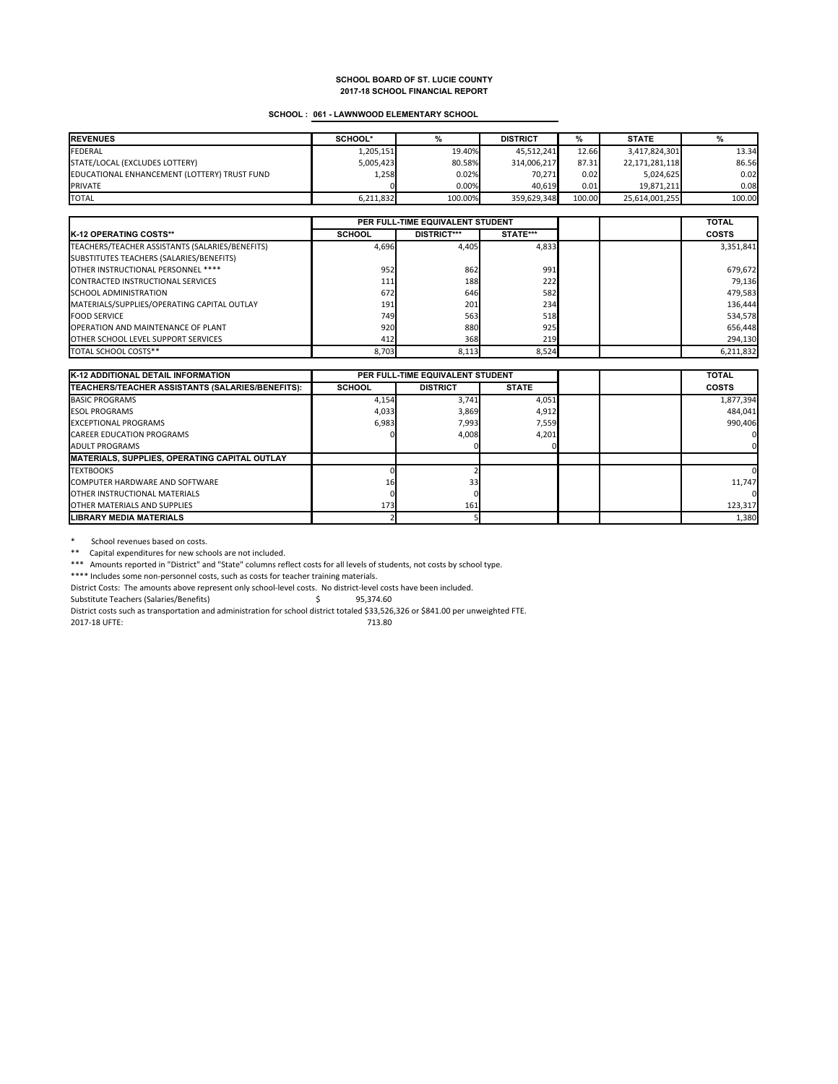### **SCHOOL : 061 - LAWNWOOD ELEMENTARY SCHOOL**

| <b>REVENUES</b>                              | SCHOOL*   |          | <b>DISTRICT</b> | %      | <b>STATE</b>   |        |
|----------------------------------------------|-----------|----------|-----------------|--------|----------------|--------|
| <b>FEDERAL</b>                               | 1,205,151 | 19.40%   | 45.512.241      | 12.66  | 3,417,824,301  | 13.34  |
| STATE/LOCAL (EXCLUDES LOTTERY)               | 5,005,423 | 80.58%   | 314,006,217     | 87.31  | 22,171,281,118 | 86.56  |
| EDUCATIONAL ENHANCEMENT (LOTTERY) TRUST FUND | 1,258     | 0.02%    | 70.271          | 0.02   | 5,024,625      | 0.02   |
| <b>PRIVATE</b>                               |           | $0.00\%$ | 40.619          | 0.01   | 19.871.211     | 0.08   |
| <b>TOTAL</b>                                 | 6,211,832 | 100.00%  | 359.629.348     | 100.00 | 25,614,001,255 | 100.00 |

|                                                 | PER FULL-TIME EQUIVALENT STUDENT |                    |          |  | <b>TOTAL</b> |
|-------------------------------------------------|----------------------------------|--------------------|----------|--|--------------|
| <b>K-12 OPERATING COSTS**</b>                   | <b>SCHOOL</b>                    | <b>DISTRICT***</b> | STATE*** |  | <b>COSTS</b> |
| TEACHERS/TEACHER ASSISTANTS (SALARIES/BENEFITS) | 4,696                            | 4.405              | 4,833    |  | 3,351,841    |
| SUBSTITUTES TEACHERS (SALARIES/BENEFITS)        |                                  |                    |          |  |              |
| OTHER INSTRUCTIONAL PERSONNEL ****              | 952                              | 862                | 991      |  | 679,672      |
| <b>CONTRACTED INSTRUCTIONAL SERVICES</b>        | 111                              | 188                | 222      |  | 79,136       |
| <b>SCHOOL ADMINISTRATION</b>                    | 672                              | 646                | 582      |  | 479,583      |
| MATERIALS/SUPPLIES/OPERATING CAPITAL OUTLAY     | 191                              | 201                | 234      |  | 136,444      |
| <b>FOOD SERVICE</b>                             | 749                              | 563                | 518      |  | 534,578      |
| <b>OPERATION AND MAINTENANCE OF PLANT</b>       | 920                              | 880                | 925      |  | 656,448      |
| <b>OTHER SCHOOL LEVEL SUPPORT SERVICES</b>      | 412                              | 368                | 219      |  | 294,130      |
| TOTAL SCHOOL COSTS**                            | 8.703                            | 8,113              | 8,524    |  | 6,211,832    |

| <b>K-12 ADDITIONAL DETAIL INFORMATION</b>             |               | PER FULL-TIME EQUIVALENT STUDENT |              |  | <b>TOTAL</b> |
|-------------------------------------------------------|---------------|----------------------------------|--------------|--|--------------|
| TEACHERS/TEACHER ASSISTANTS (SALARIES/BENEFITS):      | <b>SCHOOL</b> | <b>DISTRICT</b>                  | <b>STATE</b> |  | <b>COSTS</b> |
| <b>BASIC PROGRAMS</b>                                 | 4,154         | 3.741                            | 4,051        |  | 1,877,394    |
| <b>ESOL PROGRAMS</b>                                  | 4,033         | 3,869                            | 4,912        |  | 484,041      |
| <b>EXCEPTIONAL PROGRAMS</b>                           | 6,983         | 7,993                            | 7,559        |  | 990.406      |
| <b>CAREER EDUCATION PROGRAMS</b>                      |               | 4,008                            | 4,201        |  |              |
| <b>ADULT PROGRAMS</b>                                 |               |                                  |              |  |              |
| <b>IMATERIALS, SUPPLIES, OPERATING CAPITAL OUTLAY</b> |               |                                  |              |  |              |
| <b>TEXTBOOKS</b>                                      |               |                                  |              |  |              |
| <b>COMPUTER HARDWARE AND SOFTWARE</b>                 | 16            | 33                               |              |  | 11.747       |
| <b>OTHER INSTRUCTIONAL MATERIALS</b>                  |               |                                  |              |  |              |
| OTHER MATERIALS AND SUPPLIES                          | 173           | 161                              |              |  | 123,317      |
| <b>LIBRARY MEDIA MATERIALS</b>                        |               |                                  |              |  | 1,380        |

\* School revenues based on costs.

\*\* Capital expenditures for new schools are not included.

\*\*\* Amounts reported in "District" and "State" columns reflect costs for all levels of students, not costs by school type.

\*\*\*\* Includes some non-personnel costs, such as costs for teacher training materials.

District Costs: The amounts above represent only school-level costs. No district-level costs have been included.

Substitute Teachers (Salaries/Benefits)  $\qquad \qquad$  \$95,374.60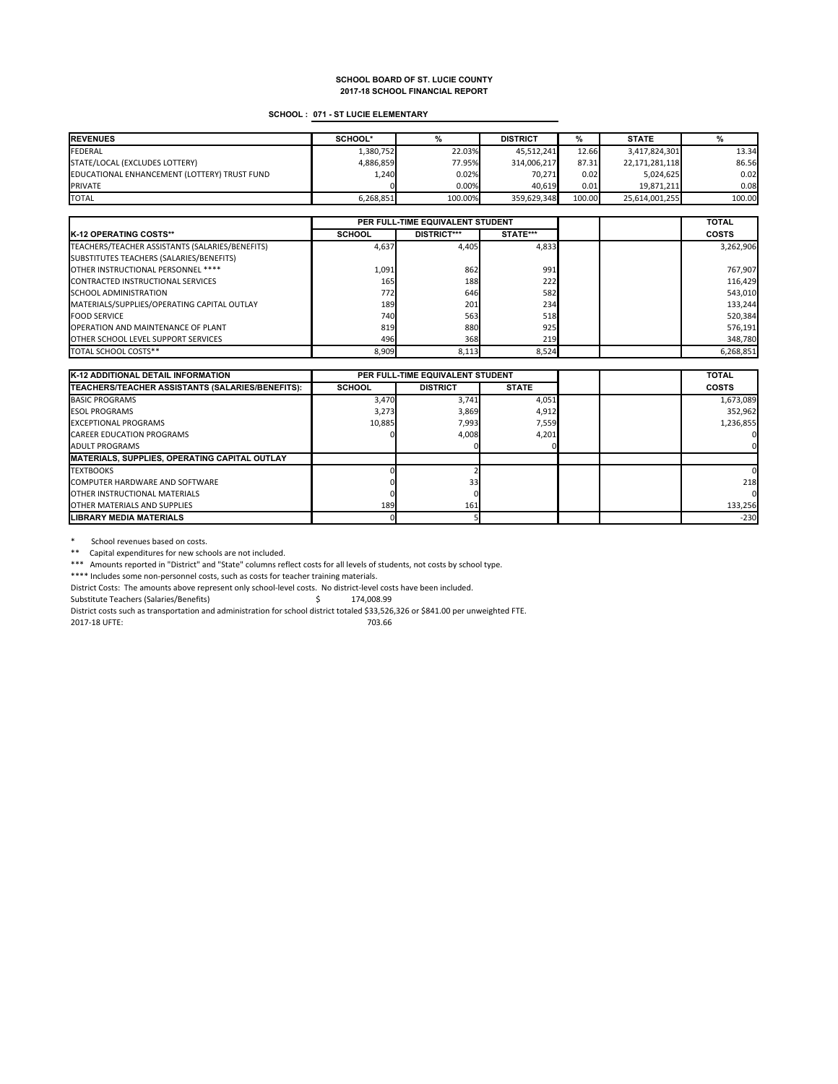### **SCHOOL : 071 - ST LUCIE ELEMENTARY**

| <b>REVENUES</b>                              | SCHOOL*   |         | <b>DISTRICT</b> | %      | <b>STATE</b>   |        |
|----------------------------------------------|-----------|---------|-----------------|--------|----------------|--------|
| <b>FEDERAL</b>                               | 1,380,752 | 22.03%  | 45.512.241      | 12.66  | 3,417,824,301  | 13.34  |
| STATE/LOCAL (EXCLUDES LOTTERY)               | 4.886.859 | 77.95%  | 314,006,217     | 87.31  | 22,171,281,118 | 86.56  |
| EDUCATIONAL ENHANCEMENT (LOTTERY) TRUST FUND | 1,240     | 0.02%   | 70.271          | 0.02   | 5,024,625      | 0.02   |
| <b>PRIVATE</b>                               |           | 0.00%   | 40.619          | 0.01   | 19.871.211     | 0.08   |
| <b>TOTAL</b>                                 | 6,268,851 | 100.00% | 359.629.348     | 100.00 | 25.614.001.255 | 100.00 |

|                                                 | PER FULL-TIME EQUIVALENT STUDENT |                    |          |  | <b>TOTAL</b> |
|-------------------------------------------------|----------------------------------|--------------------|----------|--|--------------|
| <b>K-12 OPERATING COSTS**</b>                   | <b>SCHOOL</b>                    | <b>DISTRICT***</b> | STATE*** |  | <b>COSTS</b> |
| TEACHERS/TEACHER ASSISTANTS (SALARIES/BENEFITS) | 4,637                            | 4.405              | 4,833    |  | 3,262,906    |
| SUBSTITUTES TEACHERS (SALARIES/BENEFITS)        |                                  |                    |          |  |              |
| OTHER INSTRUCTIONAL PERSONNEL ****              | 1,091                            | 862                | 991      |  | 767,907      |
| CONTRACTED INSTRUCTIONAL SERVICES               | 165                              | 188                | 222      |  | 116,429      |
| SCHOOL ADMINISTRATION                           | 772                              | 646                | 582      |  | 543,010      |
| MATERIALS/SUPPLIES/OPERATING CAPITAL OUTLAY     | 189                              | 201                | 234      |  | 133.244      |
| <b>FOOD SERVICE</b>                             | 740                              | 563                | 518      |  | 520,384      |
| <b>OPERATION AND MAINTENANCE OF PLANT</b>       | 819                              | 880                | 925      |  | 576,191      |
| <b>OTHER SCHOOL LEVEL SUPPORT SERVICES</b>      | 496                              | 368                | 219      |  | 348,780      |
| TOTAL SCHOOL COSTS**                            | 8.909                            | 8,113              | 8.524    |  | 6,268,851    |

| <b>K-12 ADDITIONAL DETAIL INFORMATION</b>                |               | PER FULL-TIME EQUIVALENT STUDENT |              |  | <b>TOTAL</b> |
|----------------------------------------------------------|---------------|----------------------------------|--------------|--|--------------|
| <b>ITEACHERS/TEACHER ASSISTANTS (SALARIES/BENEFITS):</b> | <b>SCHOOL</b> | <b>DISTRICT</b>                  | <b>STATE</b> |  | <b>COSTS</b> |
| <b>BASIC PROGRAMS</b>                                    | 3,470         | 3,741                            | 4,051        |  | 1,673,089    |
| <b>ESOL PROGRAMS</b>                                     | 3,273         | 3,869                            | 4,912        |  | 352,962      |
| <b>EXCEPTIONAL PROGRAMS</b>                              | 10.885        | 7,993                            | 7,559        |  | 1,236,855    |
| <b>CAREER EDUCATION PROGRAMS</b>                         |               | 4,008                            | 4,201        |  |              |
| <b>ADULT PROGRAMS</b>                                    |               |                                  |              |  |              |
| MATERIALS, SUPPLIES, OPERATING CAPITAL OUTLAY            |               |                                  |              |  |              |
| <b>TEXTBOOKS</b>                                         |               |                                  |              |  |              |
| <b>COMPUTER HARDWARE AND SOFTWARE</b>                    |               | 33                               |              |  | 218          |
| <b>OTHER INSTRUCTIONAL MATERIALS</b>                     |               |                                  |              |  |              |
| <b>OTHER MATERIALS AND SUPPLIES</b>                      | 189           | 161                              |              |  | 133,256      |
| <b>LIBRARY MEDIA MATERIALS</b>                           |               |                                  |              |  | $-230$       |

\* School revenues based on costs.

\*\* Capital expenditures for new schools are not included.

\*\*\* Amounts reported in "District" and "State" columns reflect costs for all levels of students, not costs by school type.

\*\*\*\* Includes some non-personnel costs, such as costs for teacher training materials.

District Costs: The amounts above represent only school-level costs. No district-level costs have been included.<br>Substitute Teachers (Salaries/Benefits)<br>
\$174,008.99

Substitute Teachers (Salaries/Benefits) 5.008.999 \$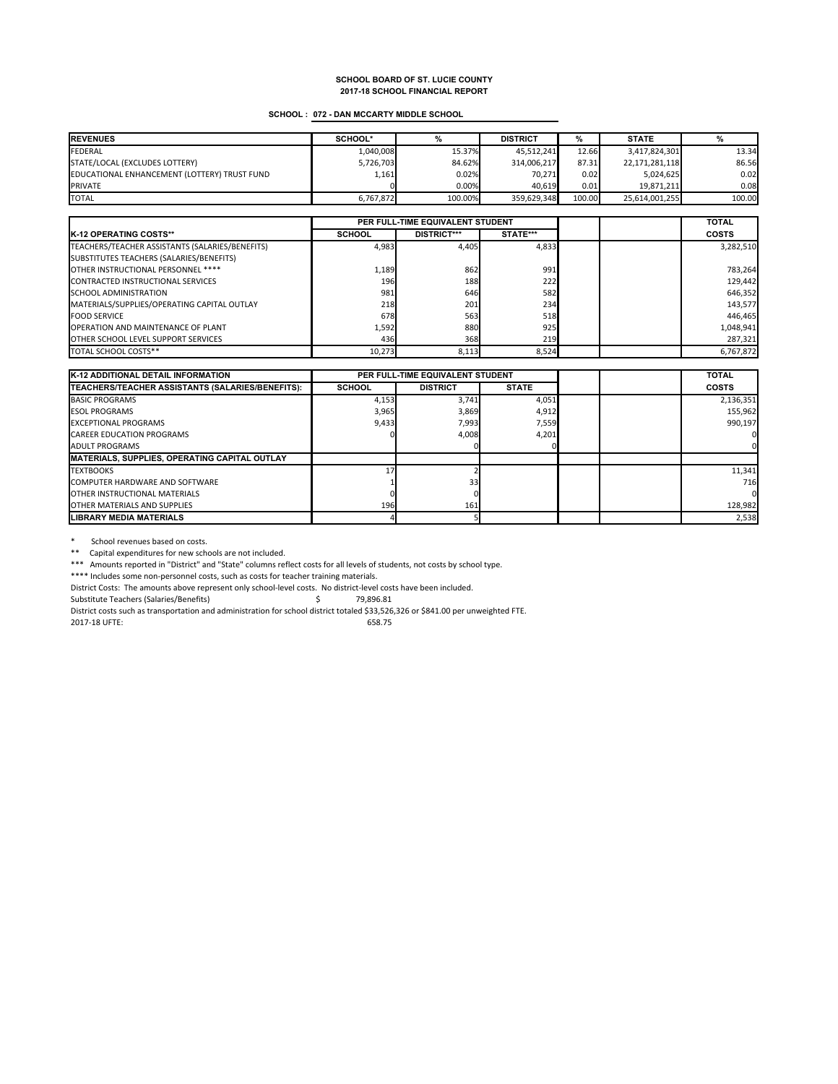### **SCHOOL : 072 - DAN MCCARTY MIDDLE SCHOOL**

| <b>REVENUES</b>                              | SCHOOL*   |         | <b>DISTRICT</b> | %      | <b>STATE</b>   |        |
|----------------------------------------------|-----------|---------|-----------------|--------|----------------|--------|
| <b>FEDERAL</b>                               | 1,040,008 | 15.37%  | 45.512.241      | 12.66  | 3,417,824,301  | 13.34  |
| STATE/LOCAL (EXCLUDES LOTTERY)               | 5,726,703 | 84.62%  | 314,006,217     | 87.31  | 22,171,281,118 | 86.56  |
| EDUCATIONAL ENHANCEMENT (LOTTERY) TRUST FUND | 1,161     | 0.02%   | 70.271          | 0.02   | 5,024,625      | 0.02   |
| <b>PRIVATE</b>                               |           | 0.00%   | 40.619          | 0.01   | 19.871.211     | 0.08   |
| <b>TOTAL</b>                                 | 6.767.872 | 100.00% | 359.629.348     | 100.00 | 25,614,001,255 | 100.00 |

|                                                 | PER FULL-TIME EQUIVALENT STUDENT |                    |              |  | <b>TOTAL</b> |
|-------------------------------------------------|----------------------------------|--------------------|--------------|--|--------------|
| <b>K-12 OPERATING COSTS**</b>                   | <b>SCHOOL</b>                    | <b>DISTRICT***</b> | STATE***     |  | <b>COSTS</b> |
| TEACHERS/TEACHER ASSISTANTS (SALARIES/BENEFITS) | 4,983                            | 4.405              | 4,833        |  | 3,282,510    |
| SUBSTITUTES TEACHERS (SALARIES/BENEFITS)        |                                  |                    |              |  |              |
| OTHER INSTRUCTIONAL PERSONNEL ****              | 1,189                            | 862                | 991          |  | 783,264      |
| <b>CONTRACTED INSTRUCTIONAL SERVICES</b>        | 196                              | 188                | 222          |  | 129.442      |
| <b>SCHOOL ADMINISTRATION</b>                    | 981                              | 646                | 582          |  | 646,352      |
| MATERIALS/SUPPLIES/OPERATING CAPITAL OUTLAY     | 218                              | 201                | 234          |  | 143,577      |
| <b>FOOD SERVICE</b>                             | 678                              | 563                | 518          |  | 446,465      |
| <b>OPERATION AND MAINTENANCE OF PLANT</b>       | 1,592                            | 880                | 925          |  | 1,048,941    |
| <b>OTHER SCHOOL LEVEL SUPPORT SERVICES</b>      | 436                              | 368                | 219 <b>1</b> |  | 287,321      |
| TOTAL SCHOOL COSTS**                            | 10.273                           | 8,113              | 8.524        |  | 6,767,872    |

| <b>K-12 ADDITIONAL DETAIL INFORMATION</b>             |               | PER FULL-TIME EQUIVALENT STUDENT |              |  | <b>TOTAL</b> |
|-------------------------------------------------------|---------------|----------------------------------|--------------|--|--------------|
| TEACHERS/TEACHER ASSISTANTS (SALARIES/BENEFITS):      | <b>SCHOOL</b> | <b>DISTRICT</b>                  | <b>STATE</b> |  | <b>COSTS</b> |
| <b>BASIC PROGRAMS</b>                                 | 4,153         | 3.741                            | 4,051        |  | 2,136,351    |
| <b>ESOL PROGRAMS</b>                                  | 3,965         | 3,869                            | 4,912        |  | 155,962      |
| <b>EXCEPTIONAL PROGRAMS</b>                           | 9,433         | 7,993                            | 7,559        |  | 990.197      |
| <b>CAREER EDUCATION PROGRAMS</b>                      |               | 4,008                            | 4,201        |  |              |
| <b>ADULT PROGRAMS</b>                                 |               |                                  |              |  |              |
| <b>IMATERIALS, SUPPLIES, OPERATING CAPITAL OUTLAY</b> |               |                                  |              |  |              |
| <b>TEXTBOOKS</b>                                      |               |                                  |              |  | 11,341       |
| COMPUTER HARDWARE AND SOFTWARE                        |               | 33                               |              |  | 716          |
| <b>OTHER INSTRUCTIONAL MATERIALS</b>                  |               |                                  |              |  |              |
| OTHER MATERIALS AND SUPPLIES                          | 196           | 161                              |              |  | 128,982      |
| <b>LIBRARY MEDIA MATERIALS</b>                        |               |                                  |              |  | 2,538        |

\* School revenues based on costs.

\*\* Capital expenditures for new schools are not included.

\*\*\* Amounts reported in "District" and "State" columns reflect costs for all levels of students, not costs by school type.

\*\*\*\* Includes some non-personnel costs, such as costs for teacher training materials.

District Costs: The amounts above represent only school-level costs. No district-level costs have been included.

Substitute Teachers (Salaries/Benefits)  $\zeta$  79,896.81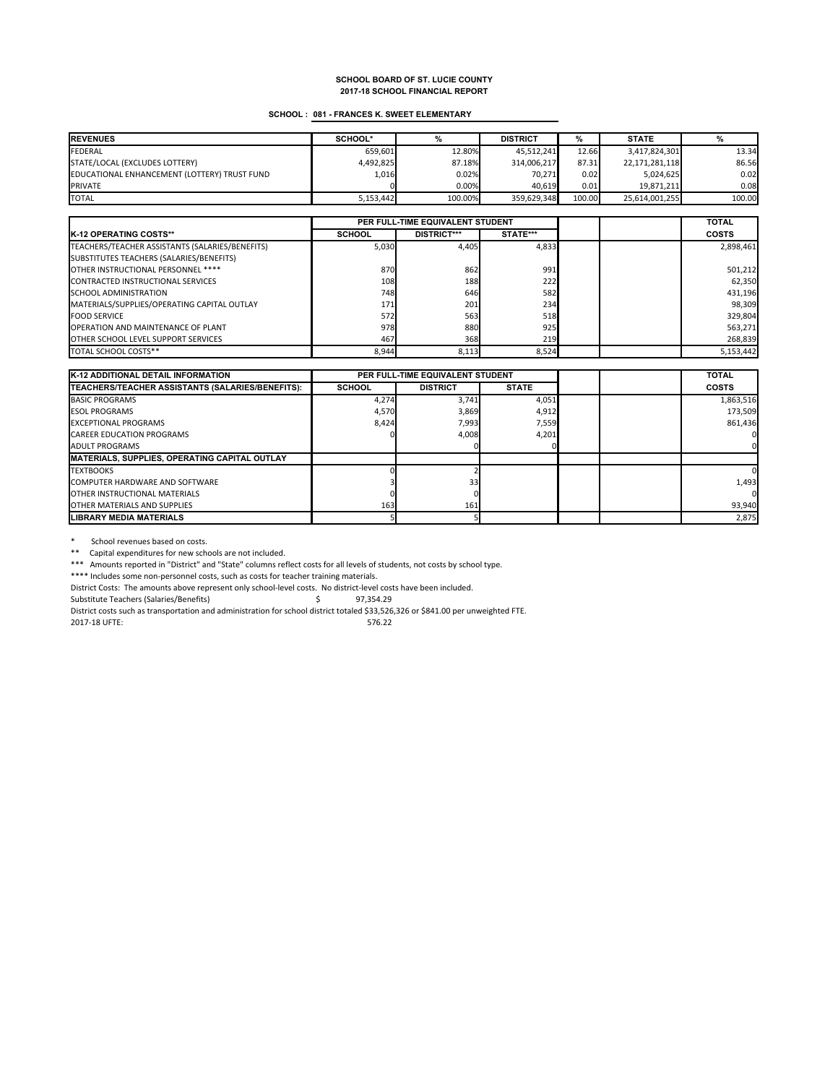#### **SCHOOL : 081 - FRANCES K. SWEET ELEMENTARY**

| <b>REVENUES</b>                              | SCHOOL*   |         | <b>DISTRICT</b> | %      | <b>STATE</b>   |        |
|----------------------------------------------|-----------|---------|-----------------|--------|----------------|--------|
| FEDERAL                                      | 659.601   | 12.80%  | 45.512.241      | 12.66  | 3,417,824,301  | 13.34  |
| STATE/LOCAL (EXCLUDES LOTTERY)               | 4,492,825 | 87.18%  | 314,006,217     | 87.31  | 22,171,281,118 | 86.56  |
| EDUCATIONAL ENHANCEMENT (LOTTERY) TRUST FUND | 1,016     | 0.02%   | 70.271          | 0.02   | 5.024.625      | 0.02   |
| <b>PRIVATE</b>                               |           | 0.00%   | 40.619          | 0.01   | 19.871.211     | 0.08   |
| <b>TOTAL</b>                                 | 5,153,442 | 100.00% | 359.629.348     | 100.00 | 25,614,001,255 | 100.00 |

|                                                 | PER FULL-TIME EQUIVALENT STUDENT |                    |          |  | <b>TOTAL</b> |
|-------------------------------------------------|----------------------------------|--------------------|----------|--|--------------|
| <b>IK-12 OPERATING COSTS**</b>                  | <b>SCHOOL</b>                    | <b>DISTRICT***</b> | STATE*** |  | <b>COSTS</b> |
| TEACHERS/TEACHER ASSISTANTS (SALARIES/BENEFITS) | 5,030                            | 4.405              | 4.833    |  | 2,898,461    |
| SUBSTITUTES TEACHERS (SALARIES/BENEFITS)        |                                  |                    |          |  |              |
| OTHER INSTRUCTIONAL PERSONNEL ****              | 870                              | 862                | 991      |  | 501,212      |
| CONTRACTED INSTRUCTIONAL SERVICES               | 108                              | 188                | 222      |  | 62,350       |
| <b>SCHOOL ADMINISTRATION</b>                    | 748                              | 646                | 582      |  | 431,196      |
| MATERIALS/SUPPLIES/OPERATING CAPITAL OUTLAY     | 171                              | 201                | 234      |  | 98,309       |
| <b>FOOD SERVICE</b>                             | 572                              | 563                | 518      |  | 329,804      |
| <b>OPERATION AND MAINTENANCE OF PLANT</b>       | 978                              | 880                | 925      |  | 563,271      |
| <b>OTHER SCHOOL LEVEL SUPPORT SERVICES</b>      | 467                              | 368                | 219      |  | 268,839      |
| TOTAL SCHOOL COSTS**                            | 8,944                            | 8,113              | 8,524    |  | 5,153,442    |

| <b>K-12 ADDITIONAL DETAIL INFORMATION</b>             |               | PER FULL-TIME EQUIVALENT STUDENT |              |  | <b>TOTAL</b> |
|-------------------------------------------------------|---------------|----------------------------------|--------------|--|--------------|
| TEACHERS/TEACHER ASSISTANTS (SALARIES/BENEFITS):      | <b>SCHOOL</b> | <b>DISTRICT</b>                  | <b>STATE</b> |  | <b>COSTS</b> |
| <b>BASIC PROGRAMS</b>                                 | 4,274         | 3.741                            | 4,051        |  | 1,863,516    |
| <b>ESOL PROGRAMS</b>                                  | 4,570         | 3,869                            | 4,912        |  | 173.509      |
| <b>EXCEPTIONAL PROGRAMS</b>                           | 8.424         | 7,993                            | 7,559        |  | 861,436      |
| <b>CAREER EDUCATION PROGRAMS</b>                      |               | 4,008                            | 4,201        |  |              |
| <b>ADULT PROGRAMS</b>                                 |               |                                  |              |  |              |
| <b>IMATERIALS, SUPPLIES, OPERATING CAPITAL OUTLAY</b> |               |                                  |              |  |              |
| <b>TEXTBOOKS</b>                                      |               |                                  |              |  |              |
| <b>COMPUTER HARDWARE AND SOFTWARE</b>                 |               | 33                               |              |  | 1,493        |
| <b>OTHER INSTRUCTIONAL MATERIALS</b>                  |               |                                  |              |  |              |
| OTHER MATERIALS AND SUPPLIES                          | 163           | 161                              |              |  | 93,940       |
| <b>LIBRARY MEDIA MATERIALS</b>                        |               |                                  |              |  | 2,875        |

\* School revenues based on costs.

\*\* Capital expenditures for new schools are not included.

\*\*\* Amounts reported in "District" and "State" columns reflect costs for all levels of students, not costs by school type.

\*\*\*\* Includes some non-personnel costs, such as costs for teacher training materials.

District Costs: The amounts above represent only school-level costs. No district-level costs have been included.

Substitute Teachers (Salaries/Benefits)  $\zeta$  97,354.29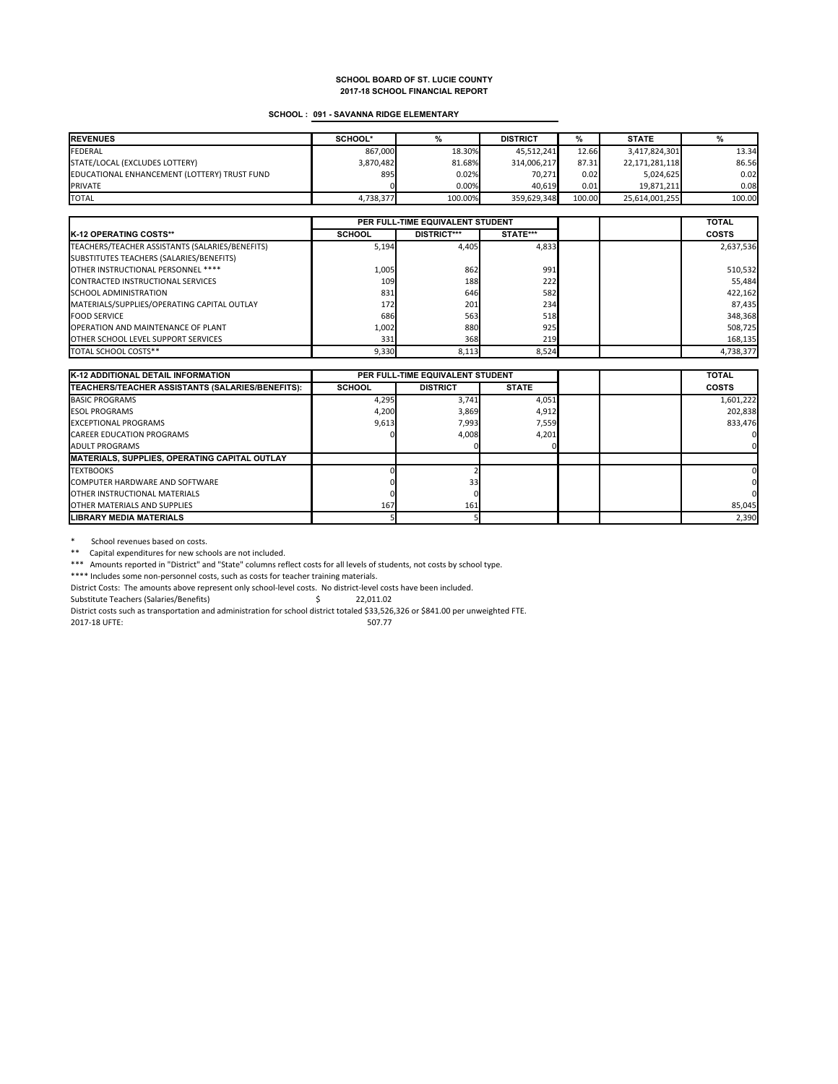### **SCHOOL : 091 - SAVANNA RIDGE ELEMENTARY**

| <b>REVENUES</b>                              | SCHOOL*   |         | <b>DISTRICT</b> | %      | <b>STATE</b>   |        |
|----------------------------------------------|-----------|---------|-----------------|--------|----------------|--------|
| <b>FEDERAL</b>                               | 867.000   | 18.30%  | 45.512.241      | 12.66  | 3,417,824,301  | 13.34  |
| STATE/LOCAL (EXCLUDES LOTTERY)               | 3,870,482 | 81.68%  | 314,006,217     | 87.31  | 22,171,281,118 | 86.56  |
| EDUCATIONAL ENHANCEMENT (LOTTERY) TRUST FUND | 895       | 0.02%   | 70.271          | 0.02   | 5,024,625      | 0.02   |
| <b>PRIVATE</b>                               |           | 0.00%   | 40.619          | 0.01   | 19.871.211     | 0.08   |
| <b>TOTAL</b>                                 | 4,738,377 | 100.00% | 359.629.348     | 100.00 | 25,614,001,255 | 100.00 |

|                                                 | PER FULL-TIME EQUIVALENT STUDENT |                    |          |  | <b>TOTAL</b> |
|-------------------------------------------------|----------------------------------|--------------------|----------|--|--------------|
| <b>K-12 OPERATING COSTS**</b>                   | <b>SCHOOL</b>                    | <b>DISTRICT***</b> | STATE*** |  | <b>COSTS</b> |
| TEACHERS/TEACHER ASSISTANTS (SALARIES/BENEFITS) | 5,194                            | 4,405              | 4.833    |  | 2,637,536    |
| SUBSTITUTES TEACHERS (SALARIES/BENEFITS)        |                                  |                    |          |  |              |
| OTHER INSTRUCTIONAL PERSONNEL ****              | 1,005                            | 862                | 991      |  | 510,532      |
| CONTRACTED INSTRUCTIONAL SERVICES               | 109                              | 188                | 222      |  | 55,484       |
| <b>SCHOOL ADMINISTRATION</b>                    | 831                              | 646                | 582      |  | 422,162      |
| MATERIALS/SUPPLIES/OPERATING CAPITAL OUTLAY     | 172                              | 201                | 234      |  | 87,435       |
| <b>FOOD SERVICE</b>                             | 686                              | 563                | 518      |  | 348,368      |
| <b>OPERATION AND MAINTENANCE OF PLANT</b>       | 1,002                            | 880                | 925      |  | 508,725      |
| <b>OTHER SCHOOL LEVEL SUPPORT SERVICES</b>      | 331                              | 368                | 219      |  | 168,135      |
| TOTAL SCHOOL COSTS**                            | 9,330                            | 8,113              | 8.524    |  | 4,738,377    |

| <b>K-12 ADDITIONAL DETAIL INFORMATION</b>                |               | PER FULL-TIME EQUIVALENT STUDENT |              |  | <b>TOTAL</b> |
|----------------------------------------------------------|---------------|----------------------------------|--------------|--|--------------|
| <b>ITEACHERS/TEACHER ASSISTANTS (SALARIES/BENEFITS):</b> | <b>SCHOOL</b> | <b>DISTRICT</b>                  | <b>STATE</b> |  | <b>COSTS</b> |
| <b>BASIC PROGRAMS</b>                                    | 4,295         | 3,741                            | 4,051        |  | 1,601,222    |
| <b>ESOL PROGRAMS</b>                                     | 4,200         | 3,869                            | 4,912        |  | 202,838      |
| <b>EXCEPTIONAL PROGRAMS</b>                              | 9,613         | 7,993                            | 7,559        |  | 833.476      |
| <b>CAREER EDUCATION PROGRAMS</b>                         |               | 4,008                            | 4,201        |  |              |
| <b>ADULT PROGRAMS</b>                                    |               |                                  |              |  |              |
| MATERIALS, SUPPLIES, OPERATING CAPITAL OUTLAY            |               |                                  |              |  |              |
| <b>TEXTBOOKS</b>                                         |               |                                  |              |  |              |
| <b>COMPUTER HARDWARE AND SOFTWARE</b>                    |               | 33 <sub>1</sub>                  |              |  |              |
| <b>OTHER INSTRUCTIONAL MATERIALS</b>                     |               |                                  |              |  |              |
| <b>OTHER MATERIALS AND SUPPLIES</b>                      | 167           | 161                              |              |  | 85,045       |
| <b>LIBRARY MEDIA MATERIALS</b>                           |               |                                  |              |  | 2,390        |

\* School revenues based on costs.

\*\* Capital expenditures for new schools are not included.

\*\*\* Amounts reported in "District" and "State" columns reflect costs for all levels of students, not costs by school type.

\*\*\*\* Includes some non-personnel costs, such as costs for teacher training materials.

District Costs: The amounts above represent only school-level costs. No district-level costs have been included.

Substitute Teachers (Salaries/Benefits)  $\qquad \qquad$  \$ 22,011.02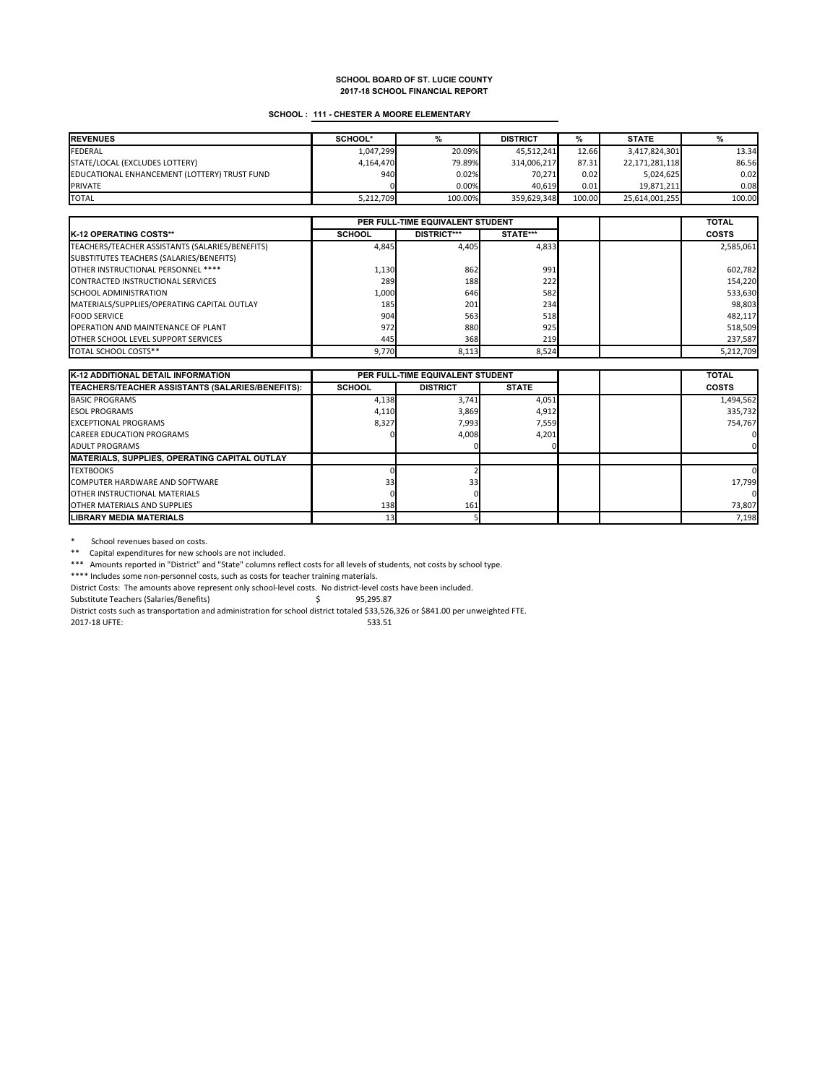### **SCHOOL : 111 - CHESTER A MOORE ELEMENTARY**

| <b>REVENUES</b>                              | SCHOOL*   |         | <b>DISTRICT</b> | ℅      | <b>STATE</b>   |        |
|----------------------------------------------|-----------|---------|-----------------|--------|----------------|--------|
| <b>FEDERAL</b>                               | 1.047.299 | 20.09%  | 45.512.241      | 12.66  | 3,417,824,301  | 13.34  |
| STATE/LOCAL (EXCLUDES LOTTERY)               | 4.164.470 | 79.89%  | 314,006,217     | 87.31  | 22,171,281,118 | 86.56  |
| EDUCATIONAL ENHANCEMENT (LOTTERY) TRUST FUND | 940       | 0.02%   | 70.271          | 0.02   | 5.024.625      | 0.02   |
| <b>PRIVATE</b>                               |           | 0.00%   | 40.619          | 0.01   | 19.871.211     | 0.08   |
| <b>TOTAL</b>                                 | 5,212,709 | 100.00% | 359.629.348     | 100.00 | 25,614,001,255 | 100.00 |

|                                                 | PER FULL-TIME EQUIVALENT STUDENT |                    |          |  | <b>TOTAL</b> |
|-------------------------------------------------|----------------------------------|--------------------|----------|--|--------------|
| <b>IK-12 OPERATING COSTS**</b>                  | <b>SCHOOL</b>                    | <b>DISTRICT***</b> | STATE*** |  | <b>COSTS</b> |
| TEACHERS/TEACHER ASSISTANTS (SALARIES/BENEFITS) | 4,845                            | 4.405              | 4,833    |  | 2,585,061    |
| SUBSTITUTES TEACHERS (SALARIES/BENEFITS)        |                                  |                    |          |  |              |
| OTHER INSTRUCTIONAL PERSONNEL ****              | 1,130                            | 862                | 991      |  | 602,782      |
| <b>CONTRACTED INSTRUCTIONAL SERVICES</b>        | 289                              | 188                | 222      |  | 154.220      |
| <b>SCHOOL ADMINISTRATION</b>                    | 1,000                            | 646                | 582      |  | 533,630      |
| MATERIALS/SUPPLIES/OPERATING CAPITAL OUTLAY     | 185                              | 201                | 234      |  | 98,803       |
| <b>FOOD SERVICE</b>                             | 904                              | 563                | 518      |  | 482,117      |
| <b>OPERATION AND MAINTENANCE OF PLANT</b>       | 972                              | 880                | 925      |  | 518,509      |
| <b>OTHER SCHOOL LEVEL SUPPORT SERVICES</b>      | 445                              | 368                | 219      |  | 237,587      |
| TOTAL SCHOOL COSTS**                            | 9.770                            | 8,113              | 8,524    |  | 5,212,709    |

| <b>K-12 ADDITIONAL DETAIL INFORMATION</b>             | PER FULL-TIME EQUIVALENT STUDENT |                 |              |  | <b>TOTAL</b> |
|-------------------------------------------------------|----------------------------------|-----------------|--------------|--|--------------|
| TEACHERS/TEACHER ASSISTANTS (SALARIES/BENEFITS):      | <b>SCHOOL</b>                    | <b>DISTRICT</b> | <b>STATE</b> |  | <b>COSTS</b> |
| <b>BASIC PROGRAMS</b>                                 | 4,138                            | 3.741           | 4,051        |  | 1,494,562    |
| <b>ESOL PROGRAMS</b>                                  | 4,110                            | 3,869           | 4,912        |  | 335.732      |
| <b>EXCEPTIONAL PROGRAMS</b>                           | 8,327                            | 7,993           | 7,559        |  | 754.767      |
| <b>CAREER EDUCATION PROGRAMS</b>                      |                                  | 4,008           | 4,201        |  |              |
| <b>ADULT PROGRAMS</b>                                 |                                  |                 |              |  |              |
| <b>IMATERIALS, SUPPLIES, OPERATING CAPITAL OUTLAY</b> |                                  |                 |              |  |              |
| <b>TEXTBOOKS</b>                                      |                                  |                 |              |  |              |
| <b>COMPUTER HARDWARE AND SOFTWARE</b>                 | 33                               | 33              |              |  | 17,799       |
| <b>OTHER INSTRUCTIONAL MATERIALS</b>                  |                                  |                 |              |  |              |
| OTHER MATERIALS AND SUPPLIES                          | 138                              | 161             |              |  | 73,807       |
| <b>LIBRARY MEDIA MATERIALS</b>                        |                                  |                 |              |  | 7,198        |

\* School revenues based on costs.

\*\* Capital expenditures for new schools are not included.

\*\*\* Amounts reported in "District" and "State" columns reflect costs for all levels of students, not costs by school type.

\*\*\*\* Includes some non-personnel costs, such as costs for teacher training materials.

District Costs: The amounts above represent only school-level costs. No district-level costs have been included.

Substitute Teachers (Salaries/Benefits)  $\qquad \qquad$  \$95,295.87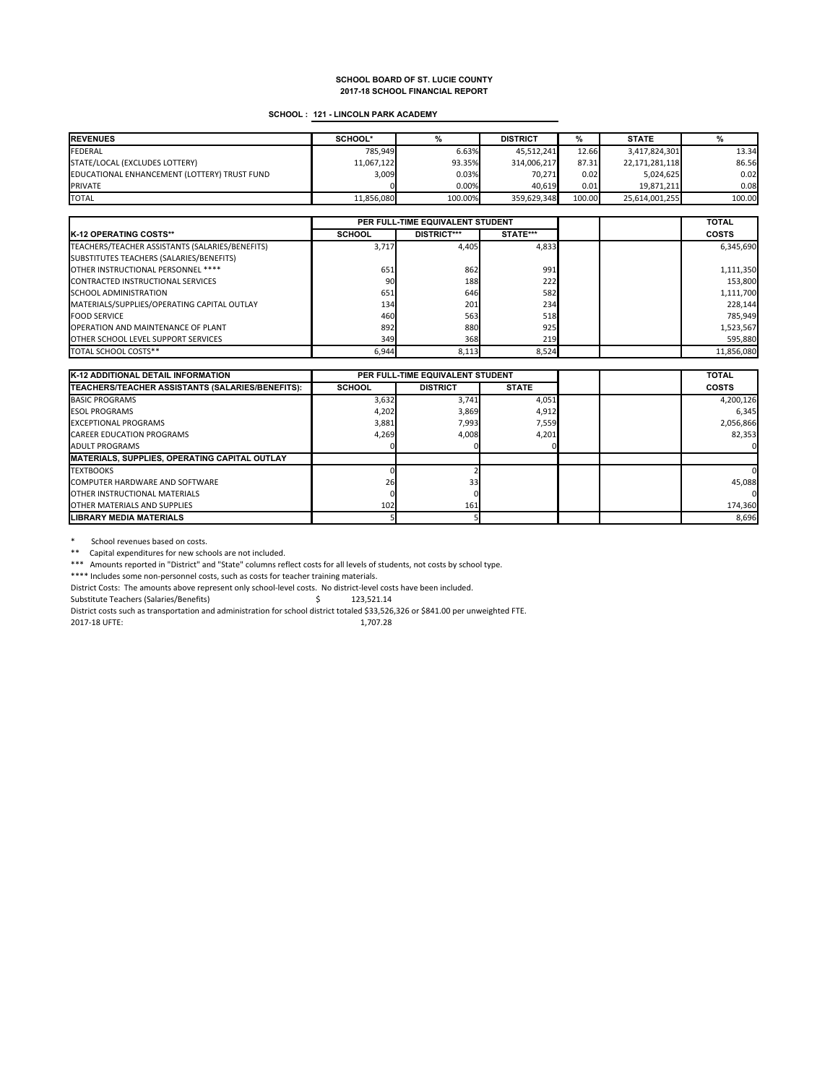#### **SCHOOL : 121 - LINCOLN PARK ACADEMY**

| <b>REVENUES</b>                              | SCHOOL*    |         | <b>DISTRICT</b> | %      | <b>STATE</b>   |        |
|----------------------------------------------|------------|---------|-----------------|--------|----------------|--------|
| <b>FEDERAL</b>                               | 785.949    | 6.63%   | 45,512,241      | 12.66  | 3,417,824,301  | 13.34  |
| STATE/LOCAL (EXCLUDES LOTTERY)               | 11,067,122 | 93.35%  | 314,006,217     | 87.31  | 22,171,281,118 | 86.56  |
| EDUCATIONAL ENHANCEMENT (LOTTERY) TRUST FUND | 3,009      | 0.03%   | 70.271          | 0.02   | 5,024,625      | 0.02   |
| <b>PRIVATE</b>                               |            | 0.00%   | 40.619          | 0.01   | 19.871.211     | 0.08   |
| <b>TOTAL</b>                                 | 11.856.080 | 100.00% | 359.629.348     | 100.00 | 25,614,001,255 | 100.00 |

|                                                 | PER FULL-TIME EQUIVALENT STUDENT |                    |          |  | <b>TOTAL</b> |
|-------------------------------------------------|----------------------------------|--------------------|----------|--|--------------|
| <b>IK-12 OPERATING COSTS**</b>                  | <b>SCHOOL</b>                    | <b>DISTRICT***</b> | STATE*** |  | <b>COSTS</b> |
| TEACHERS/TEACHER ASSISTANTS (SALARIES/BENEFITS) | 3,717                            | 4.405              | 4,833    |  | 6,345,690    |
| SUBSTITUTES TEACHERS (SALARIES/BENEFITS)        |                                  |                    |          |  |              |
| OTHER INSTRUCTIONAL PERSONNEL ****              | 651                              | 862                | 991      |  | 1,111,350    |
| CONTRACTED INSTRUCTIONAL SERVICES               | 90                               | 188                | 222      |  | 153,800      |
| <b>SCHOOL ADMINISTRATION</b>                    | 651                              | 646                | 582      |  | 1,111,700    |
| MATERIALS/SUPPLIES/OPERATING CAPITAL OUTLAY     | 134                              | 201                | 234      |  | 228,144      |
| <b>FOOD SERVICE</b>                             | 460                              | 563                | 518      |  | 785,949      |
| <b>OPERATION AND MAINTENANCE OF PLANT</b>       | 892                              | 880                | 925      |  | 1,523,567    |
| OTHER SCHOOL LEVEL SUPPORT SERVICES             | 349                              | 368                | 219      |  | 595,880      |
| TOTAL SCHOOL COSTS**                            | 6,944                            | 8,113              | 8,524    |  | 11,856,080   |

| <b>K-12 ADDITIONAL DETAIL INFORMATION</b>             |               | PER FULL-TIME EQUIVALENT STUDENT |              |  | <b>TOTAL</b> |
|-------------------------------------------------------|---------------|----------------------------------|--------------|--|--------------|
| TEACHERS/TEACHER ASSISTANTS (SALARIES/BENEFITS):      | <b>SCHOOL</b> | <b>DISTRICT</b>                  | <b>STATE</b> |  | COSTS        |
| <b>BASIC PROGRAMS</b>                                 | 3,632         | 3,741                            | 4,051        |  | 4,200,126    |
| <b>ESOL PROGRAMS</b>                                  | 4,202         | 3,869                            | 4,912        |  | 6,345        |
| <b>EXCEPTIONAL PROGRAMS</b>                           | 3.881         | 7.993                            | 7,559        |  | 2,056,866    |
| <b>CAREER EDUCATION PROGRAMS</b>                      | 4,269         | 4,008                            | 4,201        |  | 82,353       |
| <b>ADULT PROGRAMS</b>                                 |               |                                  |              |  |              |
| <b>IMATERIALS, SUPPLIES, OPERATING CAPITAL OUTLAY</b> |               |                                  |              |  |              |
| <b>TEXTBOOKS</b>                                      |               |                                  |              |  |              |
| <b>COMPUTER HARDWARE AND SOFTWARE</b>                 | 26            | 33 <sub>1</sub>                  |              |  | 45,088       |
| <b>OTHER INSTRUCTIONAL MATERIALS</b>                  |               |                                  |              |  |              |
| <b>OTHER MATERIALS AND SUPPLIES</b>                   | 102           | 161                              |              |  | 174,360      |
| <b>LIBRARY MEDIA MATERIALS</b>                        |               |                                  |              |  | 8,696        |

\* School revenues based on costs.

\*\* Capital expenditures for new schools are not included.

\*\*\* Amounts reported in "District" and "State" columns reflect costs for all levels of students, not costs by school type.

\*\*\*\* Includes some non-personnel costs, such as costs for teacher training materials.

District Costs: The amounts above represent only school-level costs. No district-level costs have been included.

Substitute Teachers (Salaries/Benefits)  $\qquad \qquad$  \$ 123,521.14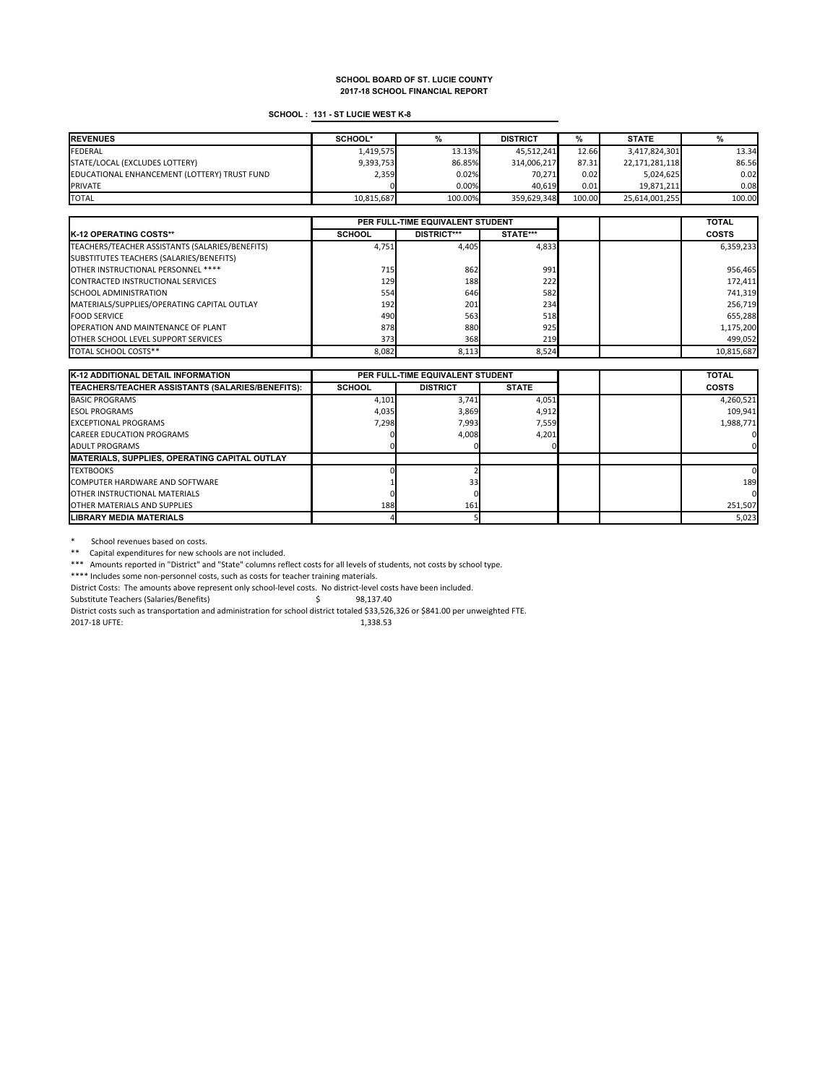### **SCHOOL : 131 - ST LUCIE WEST K-8**

| <b>REVENUES</b>                              | SCHOOL*    |         | <b>DISTRICT</b> | %      | <b>STATE</b>   |        |
|----------------------------------------------|------------|---------|-----------------|--------|----------------|--------|
| <b>FEDERAL</b>                               | 1,419,575  | 13.13%  | 45.512.241      | 12.66  | 3,417,824,301  | 13.34  |
| STATE/LOCAL (EXCLUDES LOTTERY)               | 9,393,753  | 86.85%  | 314,006,217     | 87.31  | 22,171,281,118 | 86.56  |
| EDUCATIONAL ENHANCEMENT (LOTTERY) TRUST FUND | 2,359      | 0.02%   | 70.271          | 0.02   | 5.024.625      | 0.02   |
| <b>PRIVATE</b>                               |            | 0.00%   | 40.619          | 0.01   | 19.871.211     | 0.08   |
| <b>TOTAL</b>                                 | 10.815.687 | 100.00% | 359.629.348     | 100.00 | 25.614.001.255 | 100.00 |

|                                                 | PER FULL-TIME EQUIVALENT STUDENT |                    |              |  | <b>TOTAL</b> |
|-------------------------------------------------|----------------------------------|--------------------|--------------|--|--------------|
| <b>K-12 OPERATING COSTS**</b>                   | <b>SCHOOL</b>                    | <b>DISTRICT***</b> | STATE***     |  | <b>COSTS</b> |
| TEACHERS/TEACHER ASSISTANTS (SALARIES/BENEFITS) | 4,751                            | 4.405              | 4,833        |  | 6,359,233    |
| SUBSTITUTES TEACHERS (SALARIES/BENEFITS)        |                                  |                    |              |  |              |
| OTHER INSTRUCTIONAL PERSONNEL ****              | 715                              | 862                | 991          |  | 956,465      |
| <b>CONTRACTED INSTRUCTIONAL SERVICES</b>        | 129                              | 188                | 222          |  | 172,411      |
| <b>SCHOOL ADMINISTRATION</b>                    | 554                              | 646                | 582          |  | 741,319      |
| MATERIALS/SUPPLIES/OPERATING CAPITAL OUTLAY     | 192                              | 201                | 234          |  | 256,719      |
| <b>FOOD SERVICE</b>                             | 490                              | 563                | 518          |  | 655,288      |
| <b>OPERATION AND MAINTENANCE OF PLANT</b>       | 878                              | 880                | 925          |  | 1,175,200    |
| <b>OTHER SCHOOL LEVEL SUPPORT SERVICES</b>      | 373                              | 368                | 219 <b>1</b> |  | 499,052      |
| TOTAL SCHOOL COSTS**                            | 8,082                            | 8,113              | 8,524        |  | 10,815,687   |

| <b>K-12 ADDITIONAL DETAIL INFORMATION</b>                |               | PER FULL-TIME EQUIVALENT STUDENT |              |  | <b>TOTAL</b> |
|----------------------------------------------------------|---------------|----------------------------------|--------------|--|--------------|
| <b>ITEACHERS/TEACHER ASSISTANTS (SALARIES/BENEFITS):</b> | <b>SCHOOL</b> | <b>DISTRICT</b>                  | <b>STATE</b> |  | <b>COSTS</b> |
| <b>BASIC PROGRAMS</b>                                    | 4,101         | 3,741                            | 4,051        |  | 4,260,521    |
| <b>ESOL PROGRAMS</b>                                     | 4,035         | 3,869                            | 4,912        |  | 109,941      |
| <b>EXCEPTIONAL PROGRAMS</b>                              | 7,298         | 7,993                            | 7,559        |  | 1,988,771    |
| <b>CAREER EDUCATION PROGRAMS</b>                         |               | 4,008                            | 4,201        |  |              |
| <b>ADULT PROGRAMS</b>                                    |               |                                  |              |  |              |
| MATERIALS, SUPPLIES, OPERATING CAPITAL OUTLAY            |               |                                  |              |  |              |
| <b>TEXTBOOKS</b>                                         |               |                                  |              |  |              |
| <b>COMPUTER HARDWARE AND SOFTWARE</b>                    |               | 33                               |              |  | 189          |
| <b>OTHER INSTRUCTIONAL MATERIALS</b>                     |               |                                  |              |  |              |
| <b>OTHER MATERIALS AND SUPPLIES</b>                      | 188           | 161                              |              |  | 251,507      |
| <b>LIBRARY MEDIA MATERIALS</b>                           |               |                                  |              |  | 5,023        |

\* School revenues based on costs.

\*\* Capital expenditures for new schools are not included.

\*\*\* Amounts reported in "District" and "State" columns reflect costs for all levels of students, not costs by school type.

\*\*\*\* Includes some non-personnel costs, such as costs for teacher training materials.

District Costs: The amounts above represent only school-level costs. No district-level costs have been included.

Substitute Teachers (Salaries/Benefits)  $\qquad \qquad$  98,137.40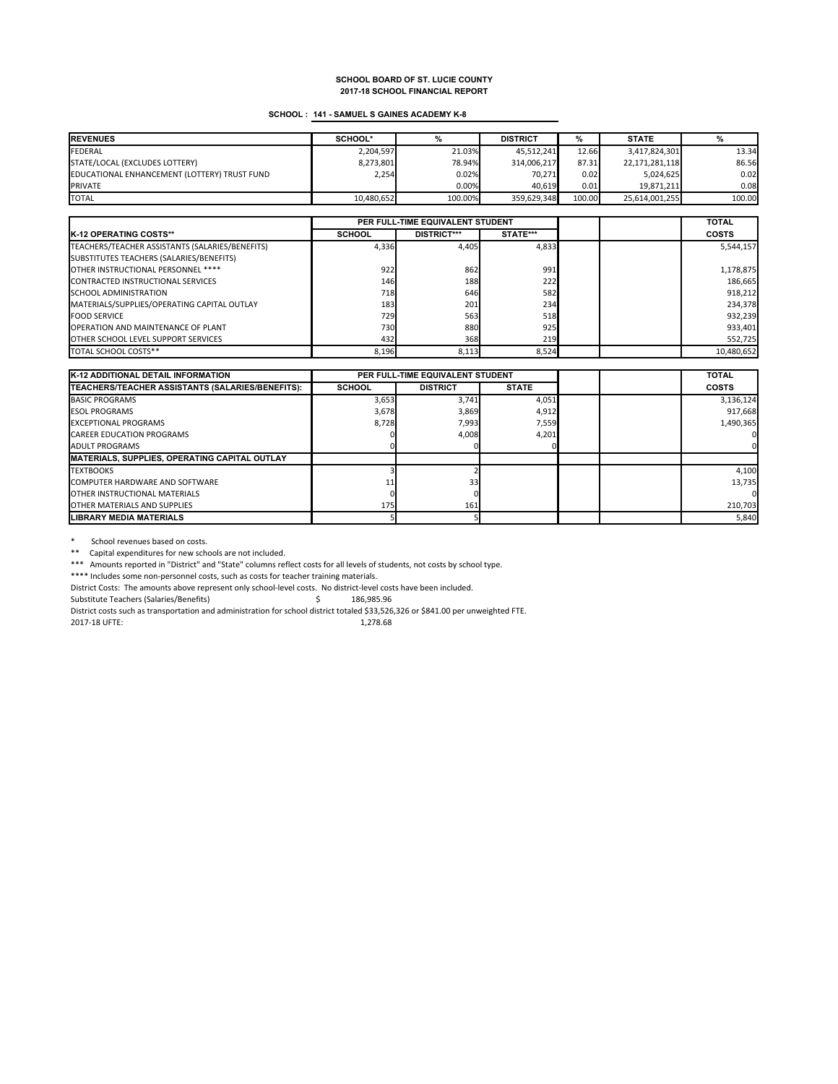### **SCHOOL : 141 - SAMUEL S GAINES ACADEMY K-8**

| <b>REVENUES</b>                              | SCHOOL*    |          | <b>DISTRICT</b> | %      | <b>STATE</b>   |        |
|----------------------------------------------|------------|----------|-----------------|--------|----------------|--------|
| <b>FEDERAL</b>                               | 2.204.597  | 21.03%   | 45.512.241      | 12.66  | 3,417,824,301  | 13.34  |
| STATE/LOCAL (EXCLUDES LOTTERY)               | 8,273,801  | 78.94%   | 314,006,217     | 87.31  | 22,171,281,118 | 86.56  |
| EDUCATIONAL ENHANCEMENT (LOTTERY) TRUST FUND | 2,254      | 0.02%    | 70.271          | 0.02   | 5,024,625      | 0.02   |
| <b>PRIVATE</b>                               |            | $0.00\%$ | 40.619          | 0.01   | 19.871.211     | 0.08   |
| <b>TOTAL</b>                                 | 10,480,652 | 100.00%  | 359.629.348     | 100.00 | 25,614,001,255 | 100.00 |

|                                                 | PER FULL-TIME EQUIVALENT STUDENT |                    |              |  | <b>TOTAL</b> |
|-------------------------------------------------|----------------------------------|--------------------|--------------|--|--------------|
| <b>K-12 OPERATING COSTS**</b>                   | <b>SCHOOL</b>                    | <b>DISTRICT***</b> | STATE***     |  | <b>COSTS</b> |
| TEACHERS/TEACHER ASSISTANTS (SALARIES/BENEFITS) | 4,336                            | 4.405              | 4.833        |  | 5,544,157    |
| SUBSTITUTES TEACHERS (SALARIES/BENEFITS)        |                                  |                    |              |  |              |
| OTHER INSTRUCTIONAL PERSONNEL ****              | 922                              | 862                | 991          |  | 1,178,875    |
| CONTRACTED INSTRUCTIONAL SERVICES               | 146                              | 188                | 222          |  | 186,665      |
| <b>SCHOOL ADMINISTRATION</b>                    | 718                              | 646                | 582          |  | 918,212      |
| MATERIALS/SUPPLIES/OPERATING CAPITAL OUTLAY     | 183                              | 201                | 234          |  | 234,378      |
| <b>FOOD SERVICE</b>                             | 729                              | 563                | 518          |  | 932,239      |
| <b>OPERATION AND MAINTENANCE OF PLANT</b>       | 730                              | 880                | 925          |  | 933,401      |
| <b>OTHER SCHOOL LEVEL SUPPORT SERVICES</b>      | 432                              | 368                | 219 <b>1</b> |  | 552,725      |
| TOTAL SCHOOL COSTS**                            | 8,196                            | 8,113              | 8.524        |  | 10,480,652   |

| <b>K-12 ADDITIONAL DETAIL INFORMATION</b>                | PER FULL-TIME EQUIVALENT STUDENT |                 |              |  | <b>TOTAL</b> |
|----------------------------------------------------------|----------------------------------|-----------------|--------------|--|--------------|
| <b>ITEACHERS/TEACHER ASSISTANTS (SALARIES/BENEFITS):</b> | <b>SCHOOL</b>                    | <b>DISTRICT</b> | <b>STATE</b> |  | <b>COSTS</b> |
| <b>BASIC PROGRAMS</b>                                    | 3,653                            | 3,741           | 4,051        |  | 3,136,124    |
| <b>ESOL PROGRAMS</b>                                     | 3,678                            | 3,869           | 4,912        |  | 917,668      |
| <b>EXCEPTIONAL PROGRAMS</b>                              | 8,728                            | 7,993           | 7,559        |  | 1,490,365    |
| <b>CAREER EDUCATION PROGRAMS</b>                         |                                  | 4,008           | 4,201        |  |              |
| <b>ADULT PROGRAMS</b>                                    |                                  |                 |              |  |              |
| <b>IMATERIALS, SUPPLIES, OPERATING CAPITAL OUTLAY</b>    |                                  |                 |              |  |              |
| <b>TEXTBOOKS</b>                                         |                                  |                 |              |  | 4,100        |
| <b>COMPUTER HARDWARE AND SOFTWARE</b>                    |                                  | 33              |              |  | 13,735       |
| <b>OTHER INSTRUCTIONAL MATERIALS</b>                     |                                  |                 |              |  |              |
| <b>OTHER MATERIALS AND SUPPLIES</b>                      | 175                              | 161             |              |  | 210,703      |
| <b>LIBRARY MEDIA MATERIALS</b>                           |                                  |                 |              |  | 5,840        |

\* School revenues based on costs.

\*\* Capital expenditures for new schools are not included.

\*\*\* Amounts reported in "District" and "State" columns reflect costs for all levels of students, not costs by school type.

\*\*\*\* Includes some non-personnel costs, such as costs for teacher training materials.

District Costs: The amounts above represent only school-level costs. No district-level costs have been included.

Substitute Teachers (Salaries/Benefits)  $\qquad \qquad$  \$ 186,985.96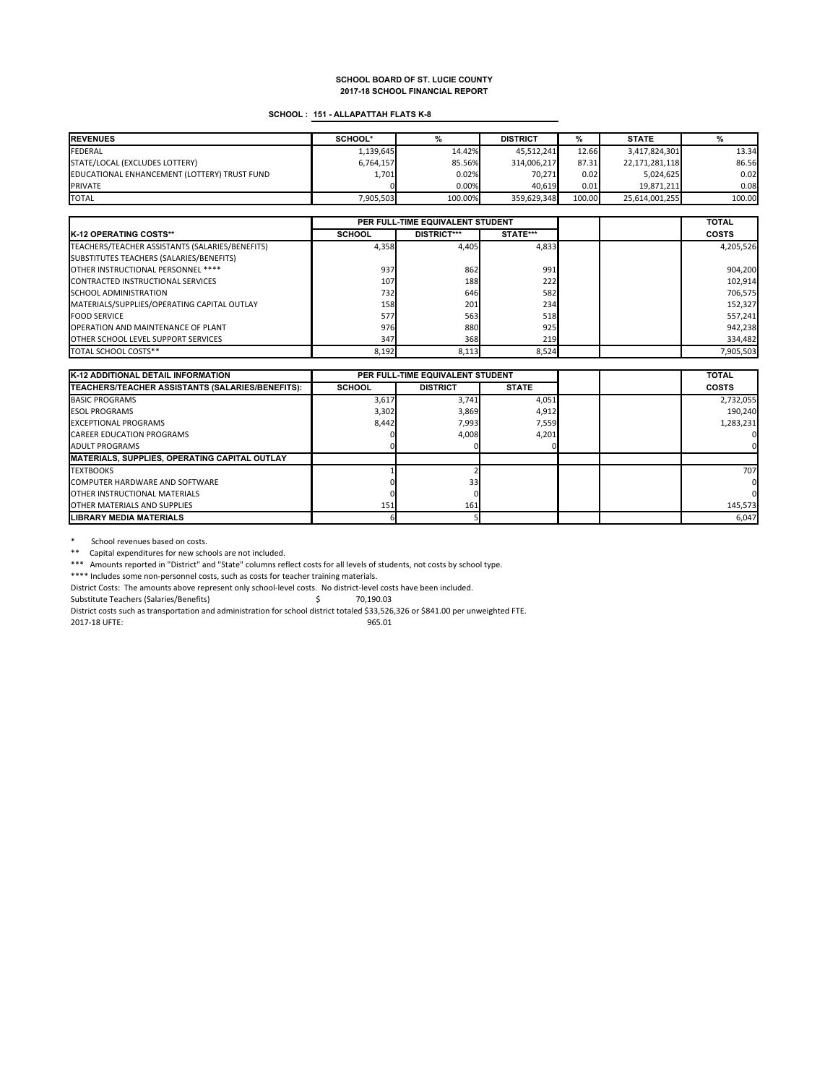### **SCHOOL : 151 - ALLAPATTAH FLATS K-8**

| <b>REVENUES</b>                              | SCHOOL*   |         | <b>DISTRICT</b> | %      | <b>STATE</b>   |        |
|----------------------------------------------|-----------|---------|-----------------|--------|----------------|--------|
| <b>FEDERAL</b>                               | 1,139,645 | 14.42%  | 45.512.241      | 12.66  | 3,417,824,301  | 13.34  |
| STATE/LOCAL (EXCLUDES LOTTERY)               | 6,764,157 | 85.56%  | 314,006,217     | 87.31  | 22,171,281,118 | 86.56  |
| EDUCATIONAL ENHANCEMENT (LOTTERY) TRUST FUND | 1,701     | 0.02%   | 70.271          | 0.02   | 5.024.625      | 0.02   |
| <b>PRIVATE</b>                               |           | 0.00%   | 40.619          | 0.01   | 19.871.211     | 0.08   |
| <b>TOTAL</b>                                 | 7.905.503 | 100.00% | 359.629.348     | 100.00 | 25,614,001,255 | 100.00 |

|                                                 | PER FULL-TIME EQUIVALENT STUDENT |                    |              |  | <b>TOTAL</b> |
|-------------------------------------------------|----------------------------------|--------------------|--------------|--|--------------|
| <b>K-12 OPERATING COSTS**</b>                   | <b>SCHOOL</b>                    | <b>DISTRICT***</b> | STATE***     |  | <b>COSTS</b> |
| TEACHERS/TEACHER ASSISTANTS (SALARIES/BENEFITS) | 4,358                            | 4.405              | 4,833        |  | 4,205,526    |
| SUBSTITUTES TEACHERS (SALARIES/BENEFITS)        |                                  |                    |              |  |              |
| OTHER INSTRUCTIONAL PERSONNEL ****              | 937                              | 862                | 991          |  | 904,200      |
| <b>CONTRACTED INSTRUCTIONAL SERVICES</b>        | 107                              | 188                | 222          |  | 102,914      |
| <b>SCHOOL ADMINISTRATION</b>                    | 732                              | 646                | 582          |  | 706,575      |
| MATERIALS/SUPPLIES/OPERATING CAPITAL OUTLAY     | 158                              | 201                | 234          |  | 152,327      |
| <b>FOOD SERVICE</b>                             | 577                              | 563                | 518          |  | 557,241      |
| <b>OPERATION AND MAINTENANCE OF PLANT</b>       | 976                              | 880                | 925          |  | 942,238      |
| <b>OTHER SCHOOL LEVEL SUPPORT SERVICES</b>      | 347                              | 368                | 219 <b>1</b> |  | 334,482      |
| TOTAL SCHOOL COSTS**                            | 8,192                            | 8,113              | 8.524        |  | 7,905,503    |

| <b>K-12 ADDITIONAL DETAIL INFORMATION</b>             | PER FULL-TIME EQUIVALENT STUDENT |                 |              |  | <b>TOTAL</b> |
|-------------------------------------------------------|----------------------------------|-----------------|--------------|--|--------------|
| TEACHERS/TEACHER ASSISTANTS (SALARIES/BENEFITS):      | <b>SCHOOL</b>                    | <b>DISTRICT</b> | <b>STATE</b> |  | <b>COSTS</b> |
| <b>BASIC PROGRAMS</b>                                 | 3,617                            | 3.741           | 4,051        |  | 2,732,055    |
| <b>ESOL PROGRAMS</b>                                  | 3,302                            | 3,869           | 4,912        |  | 190.240      |
| <b>EXCEPTIONAL PROGRAMS</b>                           | 8.442                            | 7,993           | 7,559        |  | 1,283,231    |
| <b>CAREER EDUCATION PROGRAMS</b>                      |                                  | 4,008           | 4,201        |  |              |
| <b>ADULT PROGRAMS</b>                                 |                                  |                 |              |  |              |
| <b>IMATERIALS, SUPPLIES, OPERATING CAPITAL OUTLAY</b> |                                  |                 |              |  |              |
| <b>TEXTBOOKS</b>                                      |                                  |                 |              |  | 707          |
| <b>COMPUTER HARDWARE AND SOFTWARE</b>                 |                                  | 33              |              |  |              |
| <b>OTHER INSTRUCTIONAL MATERIALS</b>                  |                                  |                 |              |  |              |
| OTHER MATERIALS AND SUPPLIES                          | 151                              | 161             |              |  | 145,573      |
| <b>LIBRARY MEDIA MATERIALS</b>                        |                                  |                 |              |  | 6,047        |

\* School revenues based on costs.

\*\* Capital expenditures for new schools are not included.

\*\*\* Amounts reported in "District" and "State" columns reflect costs for all levels of students, not costs by school type.

\*\*\*\* Includes some non-personnel costs, such as costs for teacher training materials.

District Costs: The amounts above represent only school-level costs. No district-level costs have been included.

Substitute Teachers (Salaries/Benefits)  $\zeta$  70,190.03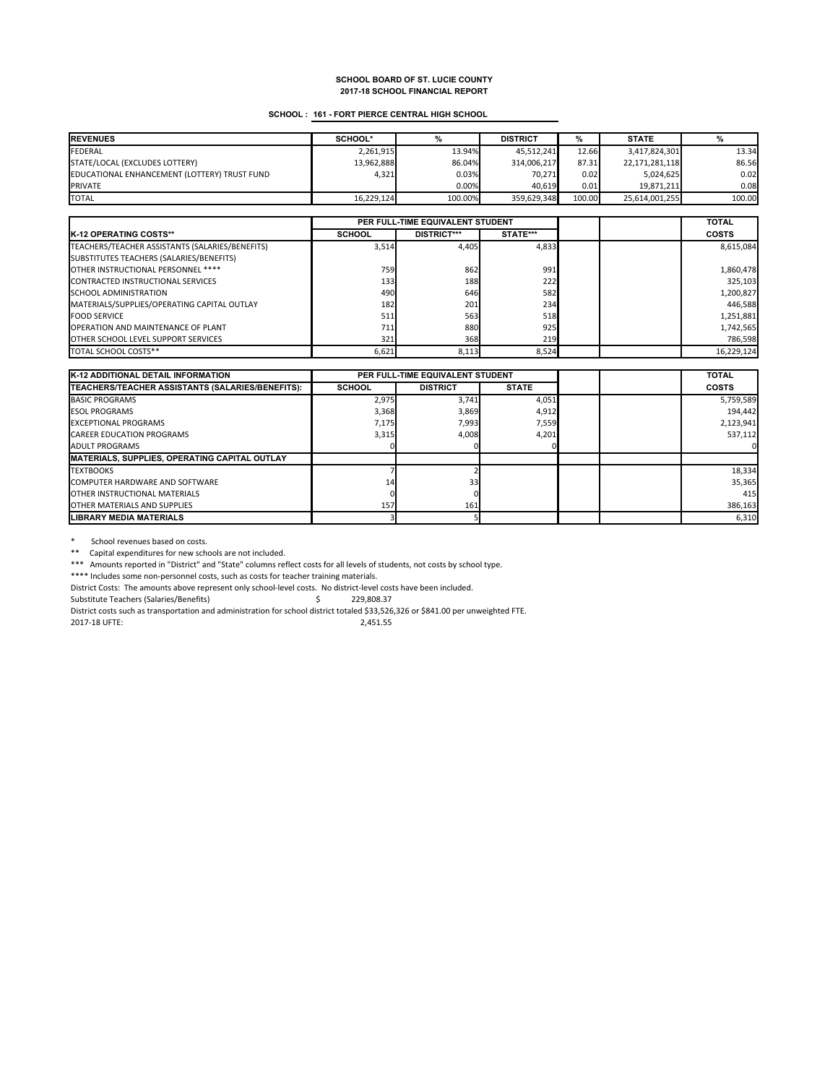### **SCHOOL : 161 - FORT PIERCE CENTRAL HIGH SCHOOL**

| <b>REVENUES</b>                              | SCHOOL*    |         | <b>DISTRICT</b> | %      | <b>STATE</b>   |        |
|----------------------------------------------|------------|---------|-----------------|--------|----------------|--------|
| <b>FEDERAL</b>                               | 2,261,915  | 13.94%  | 45.512.241      | 12.66  | 3,417,824,301  | 13.34  |
| STATE/LOCAL (EXCLUDES LOTTERY)               | 13,962,888 | 86.04%  | 314,006,217     | 87.31  | 22,171,281,118 | 86.56  |
| EDUCATIONAL ENHANCEMENT (LOTTERY) TRUST FUND | 4.321      | 0.03%   | 70.271          | 0.02   | 5.024.625      | 0.02   |
| <b>PRIVATE</b>                               |            | 0.00%   | 40.619          | 0.01   | 19.871.211     | 0.08   |
| <b>TOTAL</b>                                 | 16.229.124 | 100.00% | 359.629.348     | 100.00 | 25,614,001,255 | 100.00 |

|                                                 | PER FULL-TIME EQUIVALENT STUDENT |                    |              |  | <b>TOTAL</b> |
|-------------------------------------------------|----------------------------------|--------------------|--------------|--|--------------|
| <b>K-12 OPERATING COSTS**</b>                   | <b>SCHOOL</b>                    | <b>DISTRICT***</b> | STATE***     |  | <b>COSTS</b> |
| TEACHERS/TEACHER ASSISTANTS (SALARIES/BENEFITS) | 3,514                            | 4.405              | 4,833        |  | 8,615,084    |
| SUBSTITUTES TEACHERS (SALARIES/BENEFITS)        |                                  |                    |              |  |              |
| OTHER INSTRUCTIONAL PERSONNEL ****              | 759                              | 862                | 991          |  | 1,860,478    |
| <b>CONTRACTED INSTRUCTIONAL SERVICES</b>        | 133                              | 188                | 222          |  | 325,103      |
| <b>SCHOOL ADMINISTRATION</b>                    | 490                              | 646                | 582          |  | 1,200,827    |
| MATERIALS/SUPPLIES/OPERATING CAPITAL OUTLAY     | 182                              | 201                | 234          |  | 446.588      |
| <b>FOOD SERVICE</b>                             | 511                              | 563                | 518          |  | 1,251,881    |
| OPERATION AND MAINTENANCE OF PLANT              | 711                              | 880                | 925          |  | 1,742,565    |
| <b>OTHER SCHOOL LEVEL SUPPORT SERVICES</b>      | 321                              | 368                | 219 <b>1</b> |  | 786,598      |
| TOTAL SCHOOL COSTS**                            | 6,621                            | 8,113              | 8.524        |  | 16,229,124   |

| <b>K-12 ADDITIONAL DETAIL INFORMATION</b>                | PER FULL-TIME EQUIVALENT STUDENT |                 |              |  | <b>TOTAL</b> |
|----------------------------------------------------------|----------------------------------|-----------------|--------------|--|--------------|
| <b>ITEACHERS/TEACHER ASSISTANTS (SALARIES/BENEFITS):</b> | <b>SCHOOL</b>                    | <b>DISTRICT</b> | <b>STATE</b> |  | <b>COSTS</b> |
| <b>BASIC PROGRAMS</b>                                    | 2,975                            | 3.741           | 4,051        |  | 5,759,589    |
| <b>ESOL PROGRAMS</b>                                     | 3,368                            | 3,869           | 4,912        |  | 194.442      |
| <b>EXCEPTIONAL PROGRAMS</b>                              | 7,175                            | 7,993           | 7,559        |  | 2,123,941    |
| <b>CAREER EDUCATION PROGRAMS</b>                         | 3,315                            | 4,008           | 4,201        |  | 537,112      |
| <b>ADULT PROGRAMS</b>                                    |                                  |                 |              |  |              |
| <b>IMATERIALS, SUPPLIES, OPERATING CAPITAL OUTLAY</b>    |                                  |                 |              |  |              |
| <b>TEXTBOOKS</b>                                         |                                  |                 |              |  | 18,334       |
| <b>COMPUTER HARDWARE AND SOFTWARE</b>                    | 14                               | 33              |              |  | 35,365       |
| <b>OTHER INSTRUCTIONAL MATERIALS</b>                     |                                  |                 |              |  | 415          |
| OTHER MATERIALS AND SUPPLIES                             | 157                              | 161             |              |  | 386,163      |
| <b>LIBRARY MEDIA MATERIALS</b>                           |                                  |                 |              |  | 6,310        |

\* School revenues based on costs.

\*\* Capital expenditures for new schools are not included.

\*\*\* Amounts reported in "District" and "State" columns reflect costs for all levels of students, not costs by school type.

\*\*\*\* Includes some non-personnel costs, such as costs for teacher training materials.

District Costs: The amounts above represent only school-level costs. No district-level costs have been included.

Substitute Teachers (Salaries/Benefits)  $\qquad \qquad$  229,808.37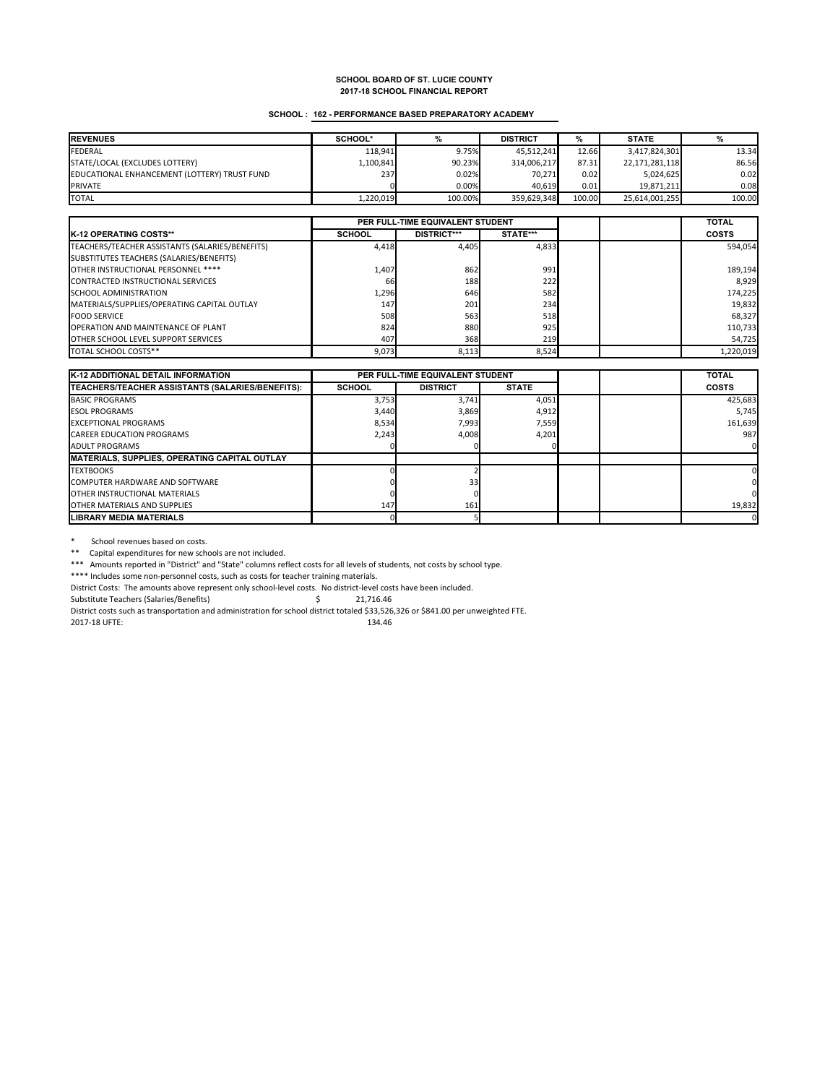### **SCHOOL : 162 - PERFORMANCE BASED PREPARATORY ACADEMY**

| <b>REVENUES</b>                              | SCHOOL*   |          | <b>DISTRICT</b> | %      | <b>STATE</b>   |        |
|----------------------------------------------|-----------|----------|-----------------|--------|----------------|--------|
| <b>FEDERAL</b>                               | 118.941   | 9.75%    | 45.512.241      | 12.66  | 3,417,824,301  | 13.34  |
| STATE/LOCAL (EXCLUDES LOTTERY)               | 1,100,841 | 90.23%   | 314,006,217     | 87.31  | 22,171,281,118 | 86.56  |
| EDUCATIONAL ENHANCEMENT (LOTTERY) TRUST FUND | 237       | 0.02%    | 70.271          | 0.02   | 5.024.625      | 0.02   |
| <b>PRIVATE</b>                               |           | $0.00\%$ | 40.619          | 0.01   | 19.871.211     | 0.08   |
| <b>TOTAL</b>                                 | 1,220,019 | 100.00%  | 359.629.348     | 100.00 | 25,614,001,255 | 100.00 |

|                                                 | PER FULL-TIME EQUIVALENT STUDENT |                    |          |  | <b>TOTAL</b> |
|-------------------------------------------------|----------------------------------|--------------------|----------|--|--------------|
| <b>IK-12 OPERATING COSTS**</b>                  | <b>SCHOOL</b>                    | <b>DISTRICT***</b> | STATE*** |  | <b>COSTS</b> |
| TEACHERS/TEACHER ASSISTANTS (SALARIES/BENEFITS) | 4,418                            | 4,405              | 4.833    |  | 594,054      |
| SUBSTITUTES TEACHERS (SALARIES/BENEFITS)        |                                  |                    |          |  |              |
| OTHER INSTRUCTIONAL PERSONNEL ****              | 1,407                            | 862                | 991      |  | 189,194      |
| CONTRACTED INSTRUCTIONAL SERVICES               | 66                               | 188                | 222      |  | 8,929        |
| <b>SCHOOL ADMINISTRATION</b>                    | 1,296                            | 646                | 582      |  | 174,225      |
| MATERIALS/SUPPLIES/OPERATING CAPITAL OUTLAY     | 147                              | 201                | 234      |  | 19,832       |
| <b>FOOD SERVICE</b>                             | 508                              | 563                | 518      |  | 68,327       |
| <b>OPERATION AND MAINTENANCE OF PLANT</b>       | 824                              | 880                | 925      |  | 110,733      |
| <b>OTHER SCHOOL LEVEL SUPPORT SERVICES</b>      | 407                              | 368                | 219      |  | 54,725       |
| TOTAL SCHOOL COSTS**                            | 9,073                            | 8,113              | 8.524    |  | 1,220,019    |

| <b>K-12 ADDITIONAL DETAIL INFORMATION</b>                | PER FULL-TIME EQUIVALENT STUDENT |                 |              |  | <b>TOTAL</b> |
|----------------------------------------------------------|----------------------------------|-----------------|--------------|--|--------------|
| <b>ITEACHERS/TEACHER ASSISTANTS (SALARIES/BENEFITS):</b> | <b>SCHOOL</b>                    | <b>DISTRICT</b> | <b>STATE</b> |  | <b>COSTS</b> |
| <b>BASIC PROGRAMS</b>                                    | 3,753                            | 3.741           | 4,051        |  | 425,683      |
| <b>ESOL PROGRAMS</b>                                     | 3.440                            | 3,869           | 4,912        |  | 5.745        |
| <b>EXCEPTIONAL PROGRAMS</b>                              | 8,534                            | 7,993           | 7,559        |  | 161,639      |
| <b>CAREER EDUCATION PROGRAMS</b>                         | 2,243                            | 4,008           | 4,201        |  | 987          |
| <b>ADULT PROGRAMS</b>                                    |                                  |                 |              |  | $\Omega$     |
| <b>MATERIALS, SUPPLIES, OPERATING CAPITAL OUTLAY</b>     |                                  |                 |              |  |              |
| <b>TEXTBOOKS</b>                                         |                                  |                 |              |  |              |
| <b>COMPUTER HARDWARE AND SOFTWARE</b>                    |                                  | 33              |              |  | 0            |
| <b>OTHER INSTRUCTIONAL MATERIALS</b>                     |                                  |                 |              |  |              |
| <b>OTHER MATERIALS AND SUPPLIES</b>                      | 147                              | 161             |              |  | 19,832       |
| <b>LIBRARY MEDIA MATERIALS</b>                           |                                  |                 |              |  | 0            |

\* School revenues based on costs.

\*\* Capital expenditures for new schools are not included.

\*\*\* Amounts reported in "District" and "State" columns reflect costs for all levels of students, not costs by school type.

\*\*\*\* Includes some non-personnel costs, such as costs for teacher training materials.

District Costs: The amounts above represent only school-level costs. No district-level costs have been included.

Substitute Teachers (Salaries/Benefits)  $\qquad \qquad$  \$21,716.46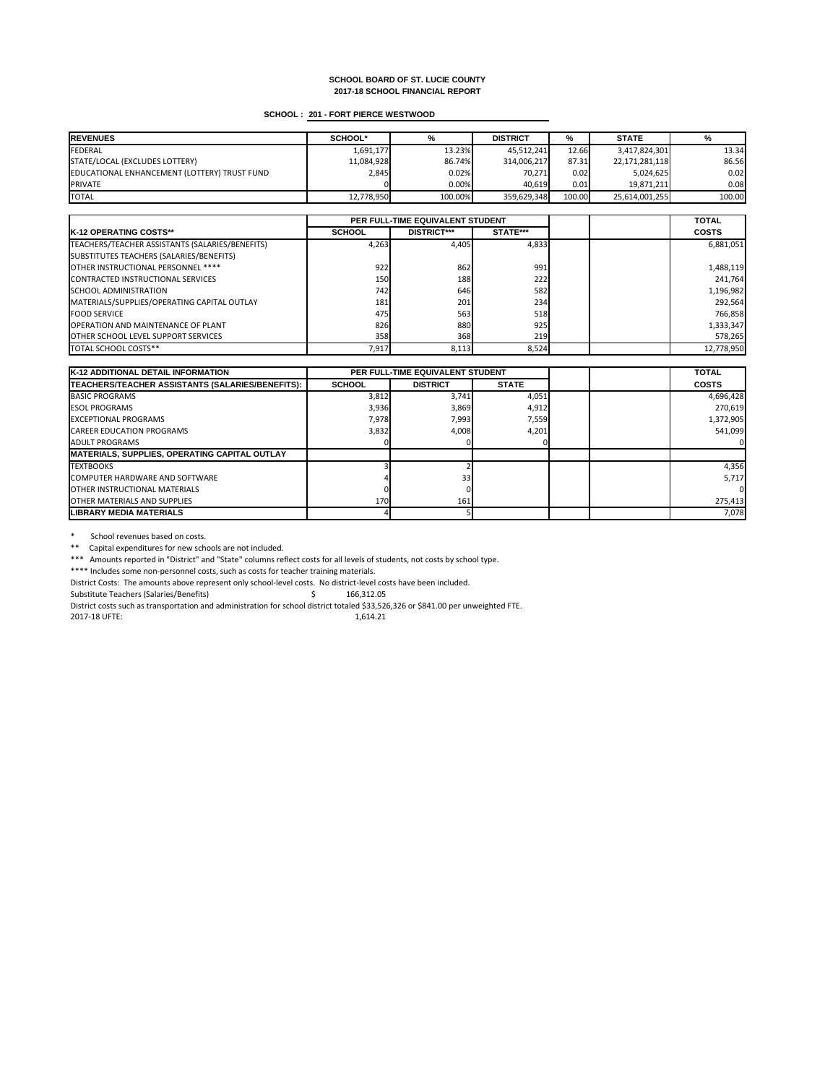# **SCHOOL : 201 - FORT PIERCE WESTWOOD**

| <b>REVENUES</b>                              | <b>SCHOOL*</b> | %       | <b>DISTRICT</b> | %      | <b>STATE</b>   | %      |
|----------------------------------------------|----------------|---------|-----------------|--------|----------------|--------|
| FEDERAL                                      | 1,691,177      | 13.23%  | 45,512,241      | 12.66  | 3,417,824,301  | 13.34  |
| STATE/LOCAL (EXCLUDES LOTTERY)               | 11,084,928     | 86.74%  | 314,006,217     | 87.31  | 22,171,281,118 | 86.56  |
| EDUCATIONAL ENHANCEMENT (LOTTERY) TRUST FUND | 2,845          | 0.02%   | 70,271          | 0.02   | 5,024,625      | 0.02   |
| <b>PRIVATE</b>                               |                | 0.00%   | 40,619          | 0.01   | 19,871,211     | 0.08   |
| <b>TOTAL</b>                                 | 12,778,950     | 100.00% | 359,629,348     | 100.00 | 25,614,001,255 | 100.00 |

|                                                 | PER FULL-TIME EQUIVALENT STUDENT |                    |                 |  | <b>TOTAL</b> |
|-------------------------------------------------|----------------------------------|--------------------|-----------------|--|--------------|
| <b>IK-12 OPERATING COSTS**</b>                  | <b>SCHOOL</b>                    | <b>DISTRICT***</b> | <b>STATE***</b> |  | <b>COSTS</b> |
| TEACHERS/TEACHER ASSISTANTS (SALARIES/BENEFITS) | 4,263                            | 4,405              | 4,833           |  | 6,881,051    |
| SUBSTITUTES TEACHERS (SALARIES/BENEFITS)        |                                  |                    |                 |  |              |
| OTHER INSTRUCTIONAL PERSONNEL ****              | 922                              | 862                | 991             |  | 1,488,119    |
| CONTRACTED INSTRUCTIONAL SERVICES               | 150 <b>1</b>                     | 188                | 222             |  | 241,764      |
| <b>ISCHOOL ADMINISTRATION</b>                   | 742 <sup>I</sup>                 | 646                | 582             |  | 1,196,982    |
| MATERIALS/SUPPLIES/OPERATING CAPITAL OUTLAY     | 181                              | 201                | 234             |  | 292,564      |
| <b>FOOD SERVICE</b>                             | 475                              | 563                | 518             |  | 766,858      |
| <b>OPERATION AND MAINTENANCE OF PLANT</b>       | 826                              | 880                | 925             |  | 1,333,347    |
| <b>OTHER SCHOOL LEVEL SUPPORT SERVICES</b>      | 358                              | 368                | 219             |  | 578,265      |
| <b>TOTAL SCHOOL COSTS**</b>                     | 7,917                            | 8,113              | 8,524           |  | 12,778,950   |

\* School revenues based on costs.

\*\* Capital expenditures for new schools are not included.

| <b>K-12 ADDITIONAL DETAIL INFORMATION</b>            | <b>PER FULL-TIME EQUIVALENT STUDENT</b> |                 |              | <b>TOTAL</b> |              |
|------------------------------------------------------|-----------------------------------------|-----------------|--------------|--------------|--------------|
| TEACHERS/TEACHER ASSISTANTS (SALARIES/BENEFITS):     | <b>SCHOOL</b>                           | <b>DISTRICT</b> | <b>STATE</b> |              | <b>COSTS</b> |
| <b>BASIC PROGRAMS</b>                                | 3,812                                   | 3,741           | 4,051        |              | 4,696,428    |
| <b>IESOL PROGRAMS</b>                                | 3,936                                   | 3,869           | 4,912        |              | 270,619      |
| <b>EXCEPTIONAL PROGRAMS</b>                          | 7,978                                   | 7,993           | 7,559        |              | 1,372,905    |
| <b>CAREER EDUCATION PROGRAMS</b>                     | 3,832                                   | 4,008           | 4,201        |              | 541,099      |
| <b>JADULT PROGRAMS</b>                               |                                         |                 |              |              |              |
| <b>MATERIALS, SUPPLIES, OPERATING CAPITAL OUTLAY</b> |                                         |                 |              |              |              |
| <b>TEXTBOOKS</b>                                     |                                         |                 |              |              | 4,356        |
| COMPUTER HARDWARE AND SOFTWARE                       |                                         | 33 <sub>l</sub> |              |              | 5,717        |
| <b>IOTHER INSTRUCTIONAL MATERIALS</b>                |                                         |                 |              |              |              |
| <b>OTHER MATERIALS AND SUPPLIES</b>                  | 170                                     | 161             |              |              | 275,413      |
| LIBRARY MEDIA MATERIALS                              |                                         |                 |              |              | 7,078        |

\*\*\* Amounts reported in "District" and "State" columns reflect costs for all levels of students, not costs by school type.

\*\*\*\* Includes some non-personnel costs, such as costs for teacher training materials.

District Costs: The amounts above represent only school-level costs. No district-level costs have been included.

Substitute Teachers (Salaries/Benefits) \$ 166,312.05

District costs such as transportation and administration for school district totaled \$33,526,326 or \$841.00 per unweighted FTE.

2017-18 UFTE: 1,614.21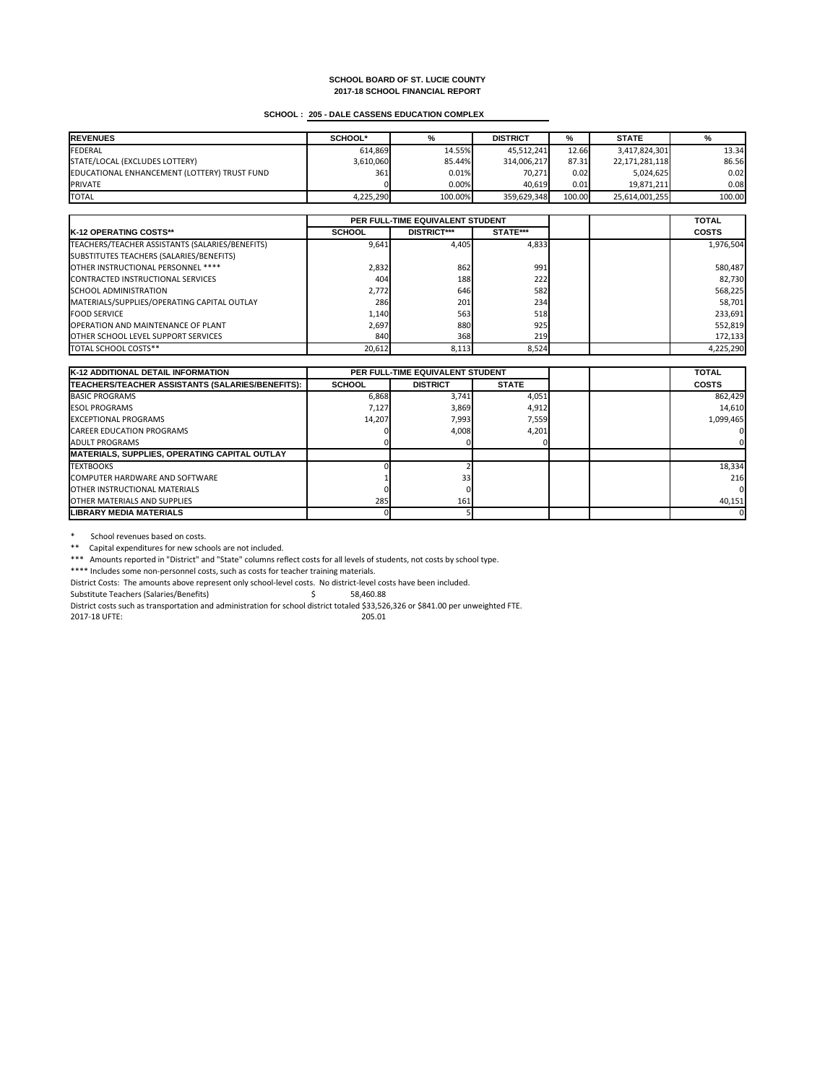# **SCHOOL : 205 - DALE CASSENS EDUCATION COMPLEX**

| <b>REVENUES</b>                              | <b>SCHOOL*</b> | %       | <b>DISTRICT</b> | %      | <b>STATE</b>   |        |
|----------------------------------------------|----------------|---------|-----------------|--------|----------------|--------|
| FEDERAL                                      | 614,869        | 14.55%  | 45,512,241      | 12.66  | 3,417,824,301  | 13.34  |
| STATE/LOCAL (EXCLUDES LOTTERY)               | 3,610,060      | 85.44%  | 314,006,217     | 87.31  | 22,171,281,118 | 86.56  |
| EDUCATIONAL ENHANCEMENT (LOTTERY) TRUST FUND | 361            | 0.01%   | 70,271          | 0.02   | 5,024,625      | 0.02   |
| <b>PRIVATE</b>                               |                | 0.00%   | 40,619          | 0.01   | 19,871,211     | 0.08   |
| <b>TOTAL</b>                                 | 4,225,290      | 100.00% | 359,629,348     | 100.00 | 25,614,001,255 | 100.00 |

|                                                 | <b>PER FULL-TIME EQUIVALENT STUDENT</b> |                    |                 |  | <b>TOTAL</b> |
|-------------------------------------------------|-----------------------------------------|--------------------|-----------------|--|--------------|
| <b>IK-12 OPERATING COSTS**</b>                  | <b>SCHOOL</b>                           | <b>DISTRICT***</b> | <b>STATE***</b> |  | <b>COSTS</b> |
| TEACHERS/TEACHER ASSISTANTS (SALARIES/BENEFITS) | 9,641                                   | 4,405              | 4,833           |  | 1,976,504    |
| SUBSTITUTES TEACHERS (SALARIES/BENEFITS)        |                                         |                    |                 |  |              |
| OTHER INSTRUCTIONAL PERSONNEL ****              | 2,832                                   | 862                | 991             |  | 580,487      |
| CONTRACTED INSTRUCTIONAL SERVICES               | 404                                     | 188                | 222             |  | 82,730       |
| <b>SCHOOL ADMINISTRATION</b>                    | 2,772                                   | 646                | 582             |  | 568,225      |
| MATERIALS/SUPPLIES/OPERATING CAPITAL OUTLAY     | 286                                     | 201                | 234             |  | 58,701       |
| <b>IFOOD SERVICE</b>                            | 1,140                                   | 563                | 518             |  | 233,691      |
| <b>OPERATION AND MAINTENANCE OF PLANT</b>       | 2,697                                   | 880                | 925             |  | 552,819      |
| <b>OTHER SCHOOL LEVEL SUPPORT SERVICES</b>      | 840                                     | 368                | <b>219</b>      |  | 172,133      |
| <b>TOTAL SCHOOL COSTS**</b>                     | 20,612                                  | 8,113              | 8,524           |  | 4,225,290    |

\* School revenues based on costs.

\*\* Capital expenditures for new schools are not included.

| <b>K-12 ADDITIONAL DETAIL INFORMATION</b>            | <b>PER FULL-TIME EQUIVALENT STUDENT</b> |                 |              | <b>TOTAL</b> |              |
|------------------------------------------------------|-----------------------------------------|-----------------|--------------|--------------|--------------|
| TEACHERS/TEACHER ASSISTANTS (SALARIES/BENEFITS):     | <b>SCHOOL</b>                           | <b>DISTRICT</b> | <b>STATE</b> |              | <b>COSTS</b> |
| <b>BASIC PROGRAMS</b>                                | 6,868                                   | 3,741           | 4,051        |              | 862,429      |
| <b>ESOL PROGRAMS</b>                                 | 7,127                                   | 3,869           | 4,912        |              | 14,610       |
| <b>IEXCEPTIONAL PROGRAMS</b>                         | 14,207                                  | 7,993           | 7,559        |              | 1,099,465    |
| <b>CAREER EDUCATION PROGRAMS</b>                     |                                         | 4,008           | 4,201        |              |              |
| <b>JADULT PROGRAMS</b>                               |                                         |                 |              |              |              |
| <b>MATERIALS, SUPPLIES, OPERATING CAPITAL OUTLAY</b> |                                         |                 |              |              |              |
| <b>TEXTBOOKS</b>                                     |                                         |                 |              |              | 18,334       |
| COMPUTER HARDWARE AND SOFTWARE                       |                                         | 33 <sub>h</sub> |              |              | 216          |
| <b>IOTHER INSTRUCTIONAL MATERIALS</b>                |                                         |                 |              |              |              |
| <b>JOTHER MATERIALS AND SUPPLIES</b>                 | 285                                     | 161             |              |              | 40,151       |
| ILIBRARY MEDIA MATERIALS                             |                                         |                 |              |              |              |

\*\*\* Amounts reported in "District" and "State" columns reflect costs for all levels of students, not costs by school type.

\*\*\*\* Includes some non-personnel costs, such as costs for teacher training materials.

District Costs: The amounts above represent only school-level costs. No district-level costs have been included.

Substitute Teachers (Salaries/Benefits) \$ 58,460.88

District costs such as transportation and administration for school district totaled \$33,526,326 or \$841.00 per unweighted FTE.

2017-18 UFTE: 205.01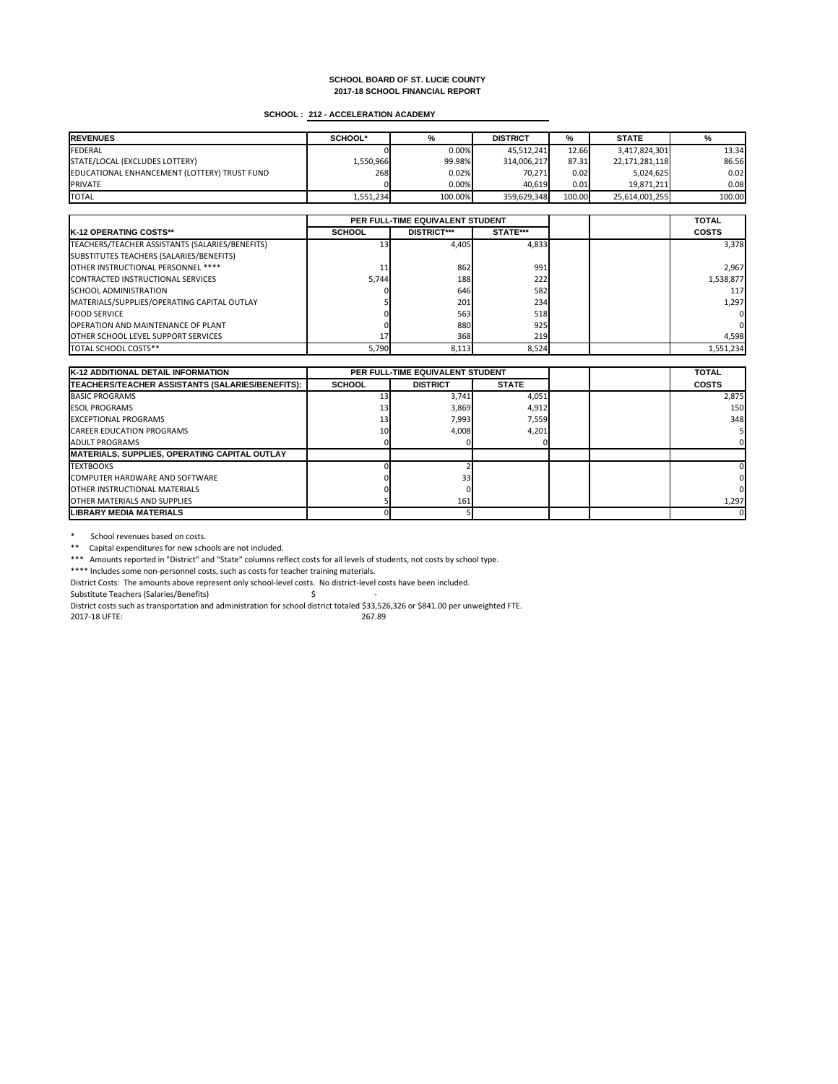# **SCHOOL : 212 - ACCELERATION ACADEMY**

| <b>REVENUES</b>                              | <b>SCHOOL*</b> | ℅       | <b>DISTRICT</b> | %      | <b>STATE</b>   |        |
|----------------------------------------------|----------------|---------|-----------------|--------|----------------|--------|
| FEDERAL                                      |                | 0.00%   | 45,512,241      | 12.66  | 3,417,824,301  | 13.34  |
| STATE/LOCAL (EXCLUDES LOTTERY)               | 1,550,966      | 99.98%  | 314,006,217     | 87.31  | 22,171,281,118 | 86.56  |
| EDUCATIONAL ENHANCEMENT (LOTTERY) TRUST FUND | 268            | 0.02%   | 70,271          | 0.02   | 5,024,625      | 0.02   |
| <b>PRIVATE</b>                               |                | 0.00%   | 40,619          | 0.01   | 19,871,211     | 0.081  |
| <b>TOTAL</b>                                 | 1,551,234      | 100.00% | 359,629,348     | 100.00 | 25,614,001,255 | 100.00 |

|                                                 |               | PER FULL-TIME EQUIVALENT STUDENT |                 |  | <b>TOTAL</b>   |
|-------------------------------------------------|---------------|----------------------------------|-----------------|--|----------------|
| <b>IK-12 OPERATING COSTS**</b>                  | <b>SCHOOL</b> | <b>DISTRICT***</b>               | <b>STATE***</b> |  | <b>COSTS</b>   |
| TEACHERS/TEACHER ASSISTANTS (SALARIES/BENEFITS) |               | 4,405                            | 4,833           |  | 3,378          |
| SUBSTITUTES TEACHERS (SALARIES/BENEFITS)        |               |                                  |                 |  |                |
| OTHER INSTRUCTIONAL PERSONNEL ****              |               | 862                              | 991             |  | 2,967          |
| CONTRACTED INSTRUCTIONAL SERVICES               | 5,744         | 188                              | 222             |  | 1,538,877      |
| <b>SCHOOL ADMINISTRATION</b>                    |               | 646                              | 582             |  | <b>117</b>     |
| MATERIALS/SUPPLIES/OPERATING CAPITAL OUTLAY     |               | 201                              | 234             |  | 1,297          |
| <b>FOOD SERVICE</b>                             |               | 563                              | 518             |  | 0              |
| <b>OPERATION AND MAINTENANCE OF PLANT</b>       |               | 880                              | 925             |  | $\overline{0}$ |
| <b>OTHER SCHOOL LEVEL SUPPORT SERVICES</b>      |               | 368                              | <b>219</b>      |  | 4,598          |
| <b>TOTAL SCHOOL COSTS**</b>                     | 5,790         | 8,113                            | 8,524           |  | 1,551,234      |

\* School revenues based on costs.

\*\* Capital expenditures for new schools are not included.

| <b>K-12 ADDITIONAL DETAIL INFORMATION</b>               | <b>PER FULL-TIME EQUIVALENT STUDENT</b> |                 |              | <b>TOTAL</b> |              |
|---------------------------------------------------------|-----------------------------------------|-----------------|--------------|--------------|--------------|
| <b>TEACHERS/TEACHER ASSISTANTS (SALARIES/BENEFITS):</b> | <b>SCHOOL</b>                           | <b>DISTRICT</b> | <b>STATE</b> |              | <b>COSTS</b> |
| <b>BASIC PROGRAMS</b>                                   |                                         | 3,741           | 4,051        |              | 2,875        |
| <b>IESOL PROGRAMS</b>                                   |                                         | 3,869           | 4,912        |              | 150          |
| <b>IEXCEPTIONAL PROGRAMS</b>                            |                                         | 7,993           | 7,559        |              | 348          |
| <b>CAREER EDUCATION PROGRAMS</b>                        | <b>101</b>                              | 4,008           | 4,201        |              |              |
| LADULT PROGRAMS                                         |                                         |                 |              |              |              |
| <b>MATERIALS, SUPPLIES, OPERATING CAPITAL OUTLAY</b>    |                                         |                 |              |              |              |
| <b>ITEXTBOOKS</b>                                       |                                         |                 |              |              |              |
| <b>ICOMPUTER HARDWARE AND SOFTWARE</b>                  |                                         | 33 <sub>h</sub> |              |              |              |
| <b>IOTHER INSTRUCTIONAL MATERIALS</b>                   |                                         |                 |              |              |              |
| <b>IOTHER MATERIALS AND SUPPLIES</b>                    |                                         | 161             |              |              | 1,297        |
| <b>LIBRARY MEDIA MATERIALS</b>                          |                                         |                 |              |              |              |

\*\*\* Amounts reported in "District" and "State" columns reflect costs for all levels of students, not costs by school type.

\*\*\*\* Includes some non-personnel costs, such as costs for teacher training materials.

District Costs: The amounts above represent only school-level costs. No district-level costs have been included.

Substitute Teachers (Salaries/Benefits) \$ -

District costs such as transportation and administration for school district totaled \$33,526,326 or \$841.00 per unweighted FTE.

2017-18 UFTE: 267.89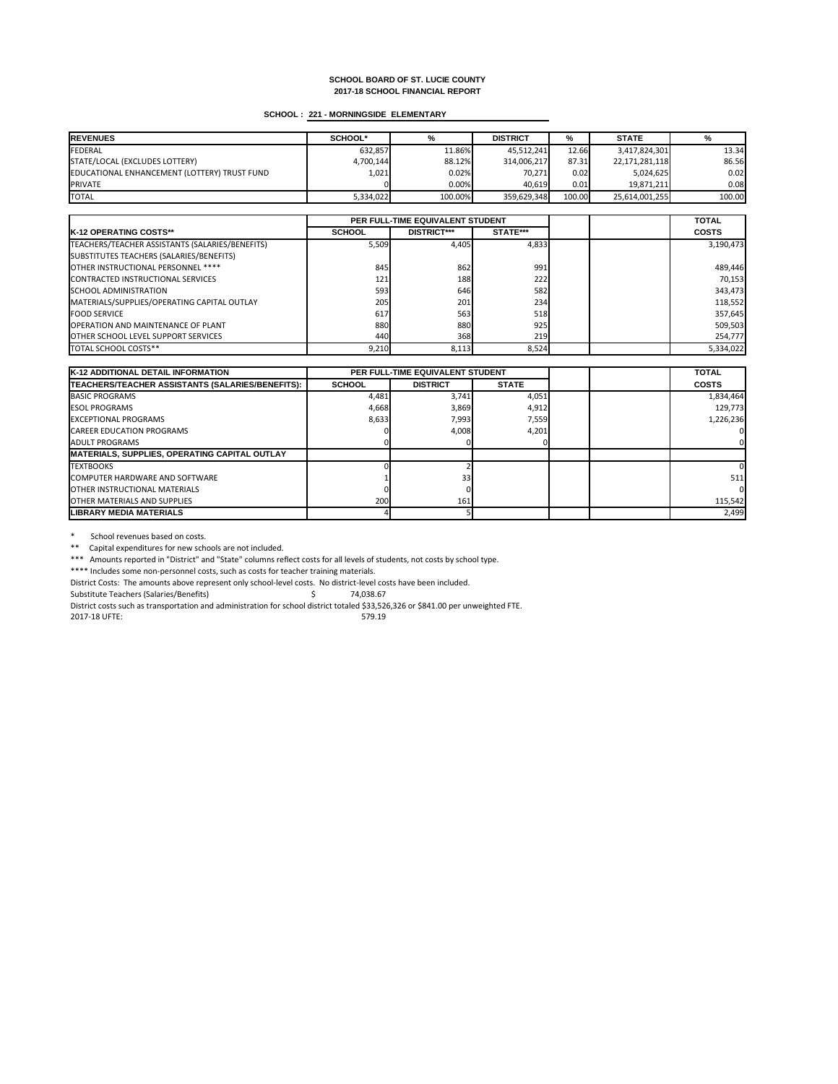# **SCHOOL : 221 - MORNINGSIDE ELEMENTARY**

| <b>IREVENUES</b>                             | <b>SCHOOL*</b> | %       | <b>DISTRICT</b> | %      | <b>STATE</b>   | %      |
|----------------------------------------------|----------------|---------|-----------------|--------|----------------|--------|
| <b>FEDERAL</b>                               | 632,857        | 11.86%  | 45,512,241      | 12.66  | 3,417,824,301  | 13.34  |
| STATE/LOCAL (EXCLUDES LOTTERY)               | 4,700,144      | 88.12%  | 314,006,217     | 87.31  | 22,171,281,118 | 86.56  |
| EDUCATIONAL ENHANCEMENT (LOTTERY) TRUST FUND | 1,021          | 0.02%   | 70,271          | 0.02   | 5,024,625      | 0.02   |
| <b>PRIVATE</b>                               |                | 0.00%   | 40,619          | 0.01   | 19,871,211     | 0.08   |
| <b>TOTAL</b>                                 | 5,334,022      | 100.00% | 359,629,348     | 100.00 | 25,614,001,255 | 100.00 |

|                                                 |               | PER FULL-TIME EQUIVALENT STUDENT |                 |  | <b>TOTAL</b> |
|-------------------------------------------------|---------------|----------------------------------|-----------------|--|--------------|
| <b>IK-12 OPERATING COSTS**</b>                  | <b>SCHOOL</b> | <b>DISTRICT***</b>               | <b>STATE***</b> |  | <b>COSTS</b> |
| TEACHERS/TEACHER ASSISTANTS (SALARIES/BENEFITS) | 5,509         | 4,405                            | 4,833           |  | 3,190,473    |
| SUBSTITUTES TEACHERS (SALARIES/BENEFITS)        |               |                                  |                 |  |              |
| <b>OTHER INSTRUCTIONAL PERSONNEL ****</b>       | 845           | 862                              | 991             |  | 489,446      |
| CONTRACTED INSTRUCTIONAL SERVICES               | 121           | 188                              | 222             |  | 70,153       |
| <b>ISCHOOL ADMINISTRATION</b>                   | 593           | 646                              | 582             |  | 343,473      |
| MATERIALS/SUPPLIES/OPERATING CAPITAL OUTLAY     | 205           | 201                              | 234             |  | 118,552      |
| <b>FOOD SERVICE</b>                             | 617           | 563                              | 518             |  | 357,645      |
| <b>OPERATION AND MAINTENANCE OF PLANT</b>       | 880           | 880                              | 925             |  | 509,503      |
| <b>OTHER SCHOOL LEVEL SUPPORT SERVICES</b>      | 440           | 368                              | 219             |  | 254,777      |
| <b>TOTAL SCHOOL COSTS**</b>                     | 9,210         | 8,113                            | 8,524           |  | 5,334,022    |

\* School revenues based on costs.

\*\* Capital expenditures for new schools are not included.

| <b>K-12 ADDITIONAL DETAIL INFORMATION</b>            | <b>PER FULL-TIME EQUIVALENT STUDENT</b> |                 |              | <b>TOTAL</b> |              |
|------------------------------------------------------|-----------------------------------------|-----------------|--------------|--------------|--------------|
| TEACHERS/TEACHER ASSISTANTS (SALARIES/BENEFITS):     | <b>SCHOOL</b>                           | <b>DISTRICT</b> | <b>STATE</b> |              | <b>COSTS</b> |
| <b>BASIC PROGRAMS</b>                                | 4,481                                   | 3,741           | 4,051        |              | 1,834,464    |
| <b>IESOL PROGRAMS</b>                                | 4,668                                   | 3,869           | 4,912        |              | 129,773      |
| <b>EXCEPTIONAL PROGRAMS</b>                          | 8,633                                   | 7,993           | 7,559        |              | 1,226,236    |
| <b>CAREER EDUCATION PROGRAMS</b>                     |                                         | 4,008           | 4,201        |              |              |
| <b>JADULT PROGRAMS</b>                               |                                         |                 |              |              |              |
| <b>MATERIALS, SUPPLIES, OPERATING CAPITAL OUTLAY</b> |                                         |                 |              |              |              |
| <b>ITEXTBOOKS</b>                                    |                                         |                 |              |              |              |
| <b>ICOMPUTER HARDWARE AND SOFTWARE</b>               |                                         | 33 <sub>l</sub> |              |              | 511          |
| <b>IOTHER INSTRUCTIONAL MATERIALS</b>                |                                         |                 |              |              |              |
| <b>IOTHER MATERIALS AND SUPPLIES</b>                 | 200                                     | 161             |              |              | 115,542      |
| <b>LIBRARY MEDIA MATERIALS</b>                       |                                         |                 |              |              | 2,499        |

\*\*\* Amounts reported in "District" and "State" columns reflect costs for all levels of students, not costs by school type.

\*\*\*\* Includes some non-personnel costs, such as costs for teacher training materials.

District Costs: The amounts above represent only school-level costs. No district-level costs have been included.

Substitute Teachers (Salaries/Benefits) \$ 74,038.67

District costs such as transportation and administration for school district totaled \$33,526,326 or \$841.00 per unweighted FTE.

2017-18 UFTE: 579.19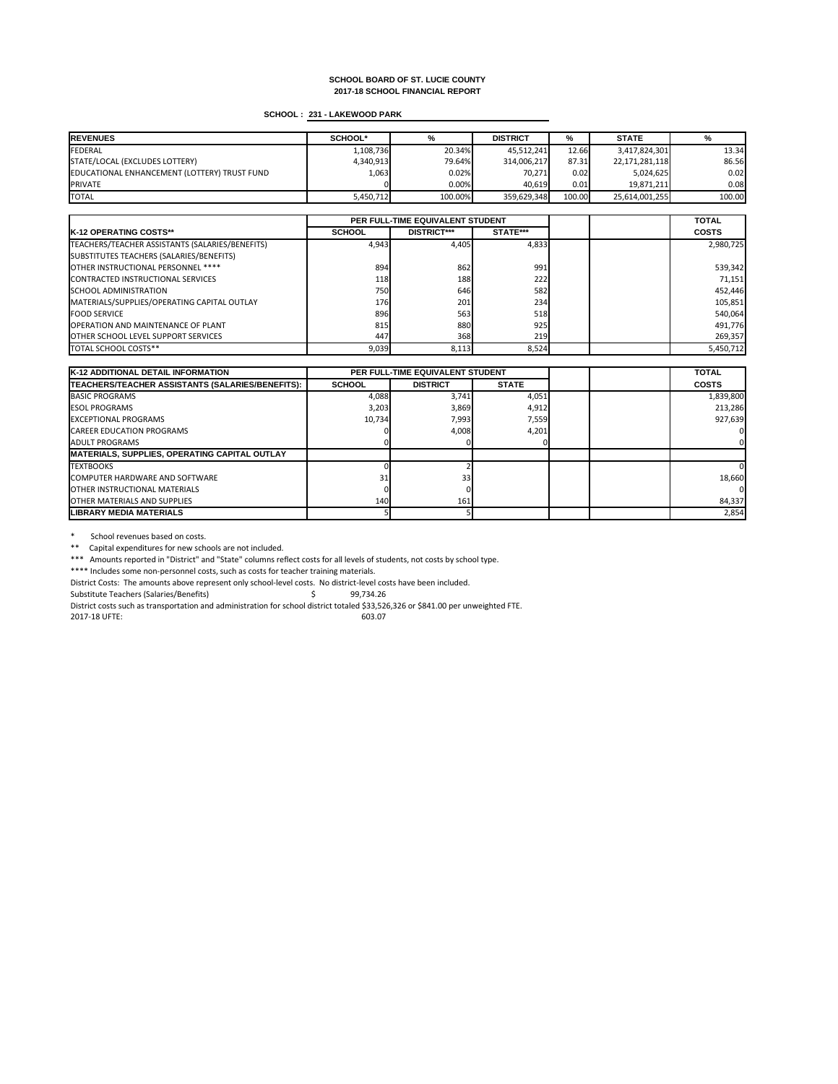# **SCHOOL : 231 - LAKEWOOD PARK**

| <b>IREVENUES</b>                             | <b>SCHOOL*</b> | %       | <b>DISTRICT</b> | %      | <b>STATE</b>   | %      |
|----------------------------------------------|----------------|---------|-----------------|--------|----------------|--------|
| <b>FEDERAL</b>                               | 1,108,736      | 20.34%  | 45,512,241      | 12.66  | 3,417,824,301  | 13.34  |
| STATE/LOCAL (EXCLUDES LOTTERY)               | 4,340,913      | 79.64%  | 314,006,217     | 87.31  | 22,171,281,118 | 86.56  |
| EDUCATIONAL ENHANCEMENT (LOTTERY) TRUST FUND | 1,063          | 0.02%   | 70,271          | 0.02   | 5,024,625      | 0.02   |
| <b>PRIVATE</b>                               |                | 0.00%   | 40,619          | 0.01   | 19,871,211     | 0.08   |
| <b>TOTAL</b>                                 | 5,450,712      | 100.00% | 359,629,348     | 100.00 | 25,614,001,255 | 100.00 |

|                                                 | PER FULL-TIME EQUIVALENT STUDENT |                    |                 |  | <b>TOTAL</b> |
|-------------------------------------------------|----------------------------------|--------------------|-----------------|--|--------------|
| <b>IK-12 OPERATING COSTS**</b>                  | <b>SCHOOL</b>                    | <b>DISTRICT***</b> | <b>STATE***</b> |  | <b>COSTS</b> |
| TEACHERS/TEACHER ASSISTANTS (SALARIES/BENEFITS) | 4,943                            | 4,405              | 4,833           |  | 2,980,725    |
| SUBSTITUTES TEACHERS (SALARIES/BENEFITS)        |                                  |                    |                 |  |              |
| <b>OTHER INSTRUCTIONAL PERSONNEL ****</b>       | 894                              | 862                | 991             |  | 539,342      |
| CONTRACTED INSTRUCTIONAL SERVICES               | <b>118</b>                       | 188                | 222             |  | 71,151       |
| <b>ISCHOOL ADMINISTRATION</b>                   | 750 <b>1</b>                     | 646                | 582             |  | 452,446      |
| MATERIALS/SUPPLIES/OPERATING CAPITAL OUTLAY     | 176                              | 201                | 234             |  | 105,851      |
| <b>FOOD SERVICE</b>                             | 896                              | 563                | 518             |  | 540,064      |
| <b>OPERATION AND MAINTENANCE OF PLANT</b>       | 815                              | 880                | 925             |  | 491,776      |
| <b>OTHER SCHOOL LEVEL SUPPORT SERVICES</b>      | 447                              | 368                | 219             |  | 269,357      |
| <b>TOTAL SCHOOL COSTS**</b>                     | 9,039                            | 8,113              | 8,524           |  | 5,450,712    |

\* School revenues based on costs.

\*\* Capital expenditures for new schools are not included.

| <b>K-12 ADDITIONAL DETAIL INFORMATION</b>            | <b>PER FULL-TIME EQUIVALENT STUDENT</b> |                 |              | <b>TOTAL</b> |              |
|------------------------------------------------------|-----------------------------------------|-----------------|--------------|--------------|--------------|
| TEACHERS/TEACHER ASSISTANTS (SALARIES/BENEFITS):     | <b>SCHOOL</b>                           | <b>DISTRICT</b> | <b>STATE</b> |              | <b>COSTS</b> |
| <b>BASIC PROGRAMS</b>                                | 4,088                                   | 3,741           | 4,051        |              | 1,839,800    |
| <b>IESOL PROGRAMS</b>                                | 3,203                                   | 3,869           | 4,912        |              | 213,286      |
| <b>EXCEPTIONAL PROGRAMS</b>                          | 10,734                                  | 7,993           | 7,559        |              | 927,639      |
| <b>CAREER EDUCATION PROGRAMS</b>                     |                                         | 4,008           | 4,201        |              |              |
| <b>JADULT PROGRAMS</b>                               |                                         |                 |              |              |              |
| <b>MATERIALS, SUPPLIES, OPERATING CAPITAL OUTLAY</b> |                                         |                 |              |              |              |
| <b>ITEXTBOOKS</b>                                    |                                         |                 |              |              |              |
| <b>ICOMPUTER HARDWARE AND SOFTWARE</b>               | 31                                      | 33 <sub>l</sub> |              |              | 18,660       |
| <b>IOTHER INSTRUCTIONAL MATERIALS</b>                |                                         |                 |              |              |              |
| <b>IOTHER MATERIALS AND SUPPLIES</b>                 | 140                                     | 161             |              |              | 84,337       |
| <b>LIBRARY MEDIA MATERIALS</b>                       |                                         |                 |              |              | 2,854        |

\*\*\* Amounts reported in "District" and "State" columns reflect costs for all levels of students, not costs by school type.

\*\*\*\* Includes some non-personnel costs, such as costs for teacher training materials.

District Costs: The amounts above represent only school-level costs. No district-level costs have been included.

Substitute Teachers (Salaries/Benefits)  $\zeta$  99,734.26

District costs such as transportation and administration for school district totaled \$33,526,326 or \$841.00 per unweighted FTE.

2017-18 UFTE: 603.07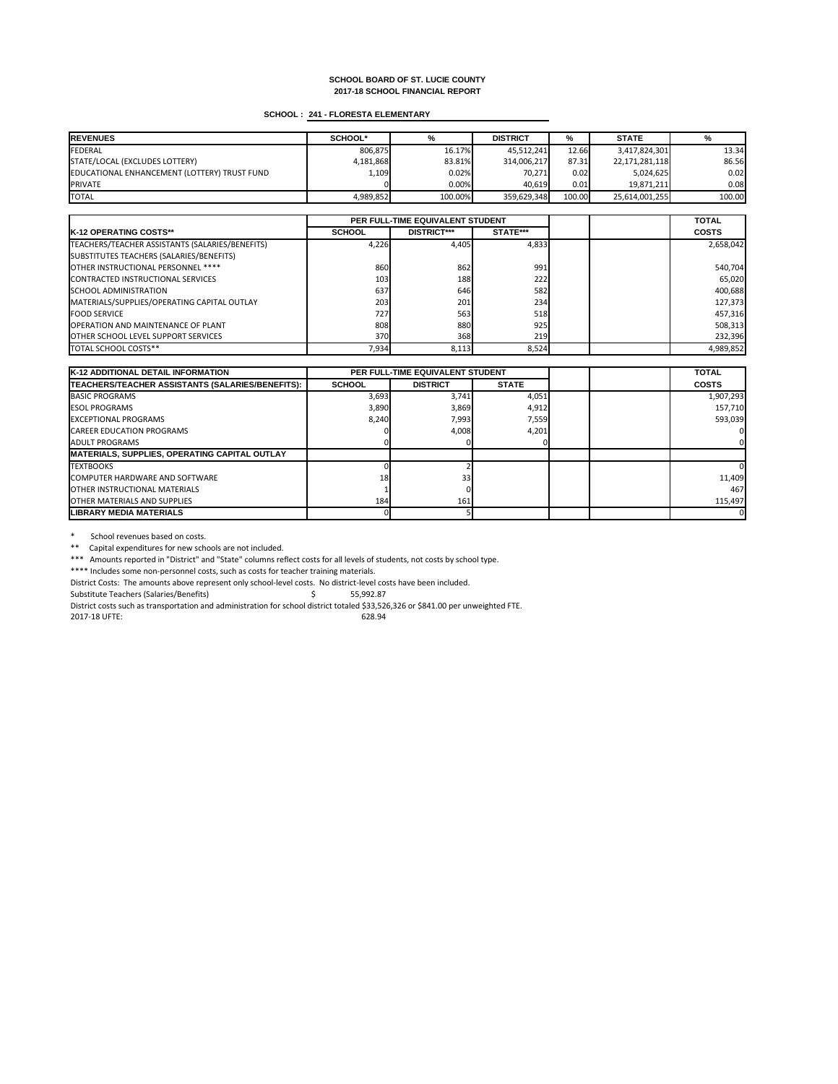# **SCHOOL : 241 - FLORESTA ELEMENTARY**

| <b>REVENUES</b>                              | <b>SCHOOL*</b> | %       | <b>DISTRICT</b> | %      | <b>STATE</b>   | %      |
|----------------------------------------------|----------------|---------|-----------------|--------|----------------|--------|
| FEDERAL                                      | 806,875        | 16.17%  | 45,512,241      | 12.66  | 3,417,824,301  | 13.34  |
| STATE/LOCAL (EXCLUDES LOTTERY)               | 4,181,868      | 83.81%  | 314,006,217     | 87.31  | 22,171,281,118 | 86.56  |
| EDUCATIONAL ENHANCEMENT (LOTTERY) TRUST FUND | 1,109          | 0.02%   | 70,271          | 0.02   | 5,024,625      | 0.02   |
| <b>PRIVATE</b>                               |                | 0.00%   | 40,619          | 0.01   | 19,871,211     | 0.08   |
| <b>TOTAL</b>                                 | 4,989,852      | 100.00% | 359,629,348     | 100.00 | 25,614,001,255 | 100.00 |

|                                                 | PER FULL-TIME EQUIVALENT STUDENT |                    |                 |  | <b>TOTAL</b> |
|-------------------------------------------------|----------------------------------|--------------------|-----------------|--|--------------|
| <b>IK-12 OPERATING COSTS**</b>                  | <b>SCHOOL</b>                    | <b>DISTRICT***</b> | <b>STATE***</b> |  | <b>COSTS</b> |
| TEACHERS/TEACHER ASSISTANTS (SALARIES/BENEFITS) | 4,226                            | 4,405              | 4,833           |  | 2,658,042    |
| SUBSTITUTES TEACHERS (SALARIES/BENEFITS)        |                                  |                    |                 |  |              |
| <b>OTHER INSTRUCTIONAL PERSONNEL ****</b>       | 860                              | 862                | 991             |  | 540,704      |
| CONTRACTED INSTRUCTIONAL SERVICES               | 103                              | 188                | 222             |  | 65,020       |
| <b>ISCHOOL ADMINISTRATION</b>                   | 637                              | 646                | 582             |  | 400,688      |
| MATERIALS/SUPPLIES/OPERATING CAPITAL OUTLAY     | 203                              | 201                | 234             |  | 127,373      |
| <b>FOOD SERVICE</b>                             | 727                              | 563                | 518             |  | 457,316      |
| <b>OPERATION AND MAINTENANCE OF PLANT</b>       | 808                              | 880                | 925             |  | 508,313      |
| <b>OTHER SCHOOL LEVEL SUPPORT SERVICES</b>      | 370 <b>1</b>                     | 368                | 219             |  | 232,396      |
| <b>TOTAL SCHOOL COSTS**</b>                     | 7,934                            | 8,113              | 8,524           |  | 4,989,852    |

\* School revenues based on costs.

\*\* Capital expenditures for new schools are not included.

| <b>K-12 ADDITIONAL DETAIL INFORMATION</b>            |               | <b>PER FULL-TIME EQUIVALENT STUDENT</b> |              |  | <b>TOTAL</b> |
|------------------------------------------------------|---------------|-----------------------------------------|--------------|--|--------------|
| TEACHERS/TEACHER ASSISTANTS (SALARIES/BENEFITS):     | <b>SCHOOL</b> | <b>DISTRICT</b>                         | <b>STATE</b> |  | <b>COSTS</b> |
| <b>BASIC PROGRAMS</b>                                | 3,693         | 3,741                                   | 4,051        |  | 1,907,293    |
| <b>IESOL PROGRAMS</b>                                | 3,890         | 3,869                                   | 4,912        |  | 157,710      |
| <b>EXCEPTIONAL PROGRAMS</b>                          | 8,240         | 7,993                                   | 7,559        |  | 593,039      |
| <b>CAREER EDUCATION PROGRAMS</b>                     |               | 4,008                                   | 4,201        |  |              |
| <b>JADULT PROGRAMS</b>                               |               |                                         |              |  |              |
| <b>MATERIALS, SUPPLIES, OPERATING CAPITAL OUTLAY</b> |               |                                         |              |  |              |
| <b>TEXTBOOKS</b>                                     |               |                                         |              |  |              |
| COMPUTER HARDWARE AND SOFTWARE                       | 18            | 33 <sub>h</sub>                         |              |  | 11,409       |
| <b>IOTHER INSTRUCTIONAL MATERIALS</b>                |               |                                         |              |  | 467          |
| <b>OTHER MATERIALS AND SUPPLIES</b>                  | 184           | 161                                     |              |  | 115,497      |
| LIBRARY MEDIA MATERIALS                              |               |                                         |              |  |              |

\*\*\* Amounts reported in "District" and "State" columns reflect costs for all levels of students, not costs by school type.

\*\*\*\* Includes some non-personnel costs, such as costs for teacher training materials.

District Costs: The amounts above represent only school-level costs. No district-level costs have been included.

Substitute Teachers (Salaries/Benefits) \$ 55,992.87

District costs such as transportation and administration for school district totaled \$33,526,326 or \$841.00 per unweighted FTE.

2017-18 UFTE: 628.94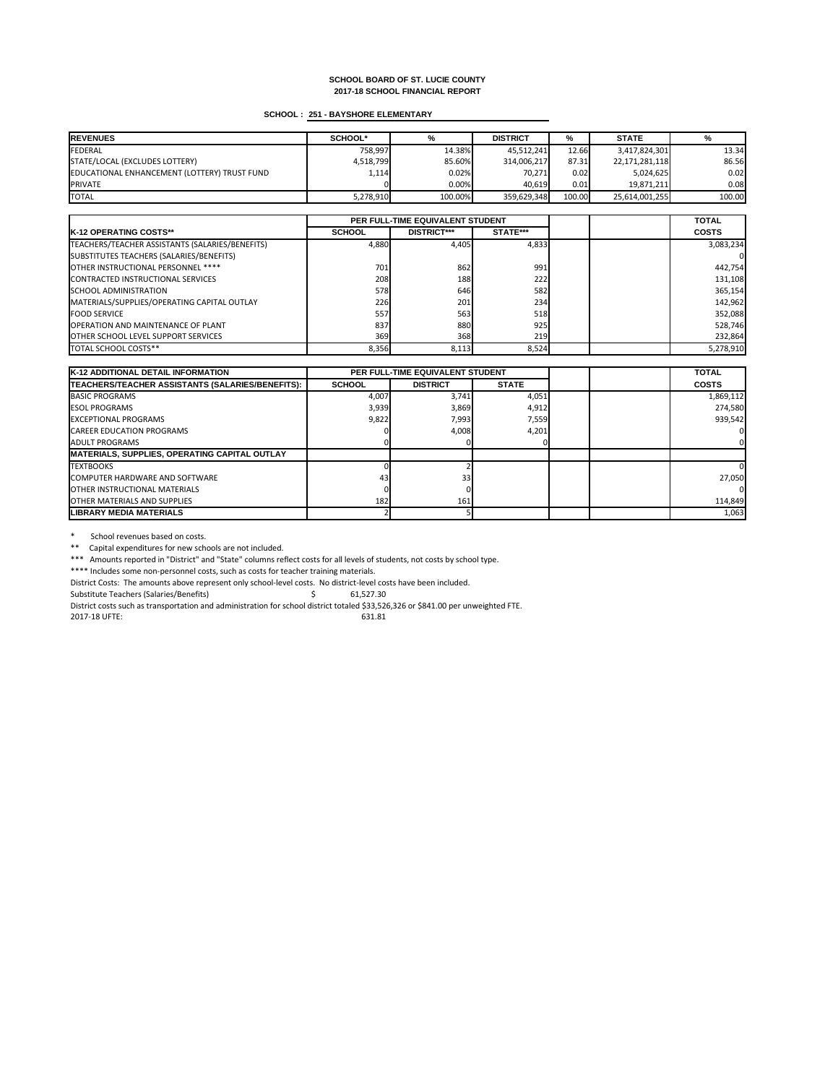# **SCHOOL : 251 - BAYSHORE ELEMENTARY**

| <b>REVENUES</b>                              | <b>SCHOOL*</b> | %       | <b>DISTRICT</b> | %      | <b>STATE</b>   | %      |
|----------------------------------------------|----------------|---------|-----------------|--------|----------------|--------|
| FEDERAL                                      | 758,997        | 14.38%  | 45,512,241      | 12.66  | 3,417,824,301  | 13.34  |
| STATE/LOCAL (EXCLUDES LOTTERY)               | 4,518,799      | 85.60%  | 314,006,217     | 87.31  | 22,171,281,118 | 86.56  |
| EDUCATIONAL ENHANCEMENT (LOTTERY) TRUST FUND | 1,114          | 0.02%   | 70,271          | 0.02   | 5,024,625      | 0.02   |
| <b>PRIVATE</b>                               |                | 0.00%   | 40,619          | 0.01   | 19,871,211     | 0.08   |
| <b>TOTAL</b>                                 | 5,278,910      | 100.00% | 359,629,348     | 100.00 | 25,614,001,255 | 100.00 |

|                                                 | PER FULL-TIME EQUIVALENT STUDENT |                    |                 |  | <b>TOTAL</b> |
|-------------------------------------------------|----------------------------------|--------------------|-----------------|--|--------------|
| <b>K-12 OPERATING COSTS**</b>                   | <b>SCHOOL</b>                    | <b>DISTRICT***</b> | <b>STATE***</b> |  | <b>COSTS</b> |
| TEACHERS/TEACHER ASSISTANTS (SALARIES/BENEFITS) | 4,880                            | 4,405              | 4,833           |  | 3,083,234    |
| SUBSTITUTES TEACHERS (SALARIES/BENEFITS)        |                                  |                    |                 |  |              |
| OTHER INSTRUCTIONAL PERSONNEL ****              | 701                              | 862                | 991             |  | 442,754      |
| CONTRACTED INSTRUCTIONAL SERVICES               | 208                              | 188                | 222             |  | 131,108      |
| <b>SCHOOL ADMINISTRATION</b>                    | 578                              | 646                | 582             |  | 365,154      |
| MATERIALS/SUPPLIES/OPERATING CAPITAL OUTLAY     | <b>226</b>                       | 201                | 234             |  | 142,962      |
| <b>FOOD SERVICE</b>                             | 557                              | 563                | 518             |  | 352,088      |
| <b>OPERATION AND MAINTENANCE OF PLANT</b>       | 837                              | 880                | 925             |  | 528,746      |
| <b>OTHER SCHOOL LEVEL SUPPORT SERVICES</b>      | 369 <b>1</b>                     | 368                | <b>219</b>      |  | 232,864      |
| TOTAL SCHOOL COSTS**                            | 8,356                            | 8,113              | 8,524           |  | 5,278,910    |

\* School revenues based on costs.

\*\* Capital expenditures for new schools are not included.

| <b>K-12 ADDITIONAL DETAIL INFORMATION</b>            | <b>PER FULL-TIME EQUIVALENT STUDENT</b> |                 |              | <b>TOTAL</b> |              |
|------------------------------------------------------|-----------------------------------------|-----------------|--------------|--------------|--------------|
| TEACHERS/TEACHER ASSISTANTS (SALARIES/BENEFITS):     | <b>SCHOOL</b>                           | <b>DISTRICT</b> | <b>STATE</b> |              | <b>COSTS</b> |
| <b>BASIC PROGRAMS</b>                                | 4,007                                   | 3,741           | 4,051        |              | 1,869,112    |
| <b>IESOL PROGRAMS</b>                                | 3,939                                   | 3,869           | 4,912        |              | 274,580      |
| <b>IEXCEPTIONAL PROGRAMS</b>                         | 9,822                                   | 7,993           | 7,559        |              | 939,542      |
| <b>CAREER EDUCATION PROGRAMS</b>                     |                                         | 4,008           | 4,201        |              |              |
| LADULT PROGRAMS                                      |                                         |                 |              |              |              |
| <b>MATERIALS, SUPPLIES, OPERATING CAPITAL OUTLAY</b> |                                         |                 |              |              |              |
| <b>ITEXTBOOKS</b>                                    |                                         |                 |              |              |              |
| <b>ICOMPUTER HARDWARE AND SOFTWARE</b>               | 43                                      | 33 <sub>h</sub> |              |              | 27,050       |
| <b>IOTHER INSTRUCTIONAL MATERIALS</b>                |                                         |                 |              |              |              |
| <b>IOTHER MATERIALS AND SUPPLIES</b>                 | 182                                     | 161             |              |              | 114,849      |
| <b>LIBRARY MEDIA MATERIALS</b>                       |                                         |                 |              |              | 1,063        |

\*\*\* Amounts reported in "District" and "State" columns reflect costs for all levels of students, not costs by school type.

\*\*\*\* Includes some non-personnel costs, such as costs for teacher training materials.

District Costs: The amounts above represent only school-level costs. No district-level costs have been included.

Substitute Teachers (Salaries/Benefits) \$ 61,527.30

District costs such as transportation and administration for school district totaled \$33,526,326 or \$841.00 per unweighted FTE.

2017-18 UFTE: 631.81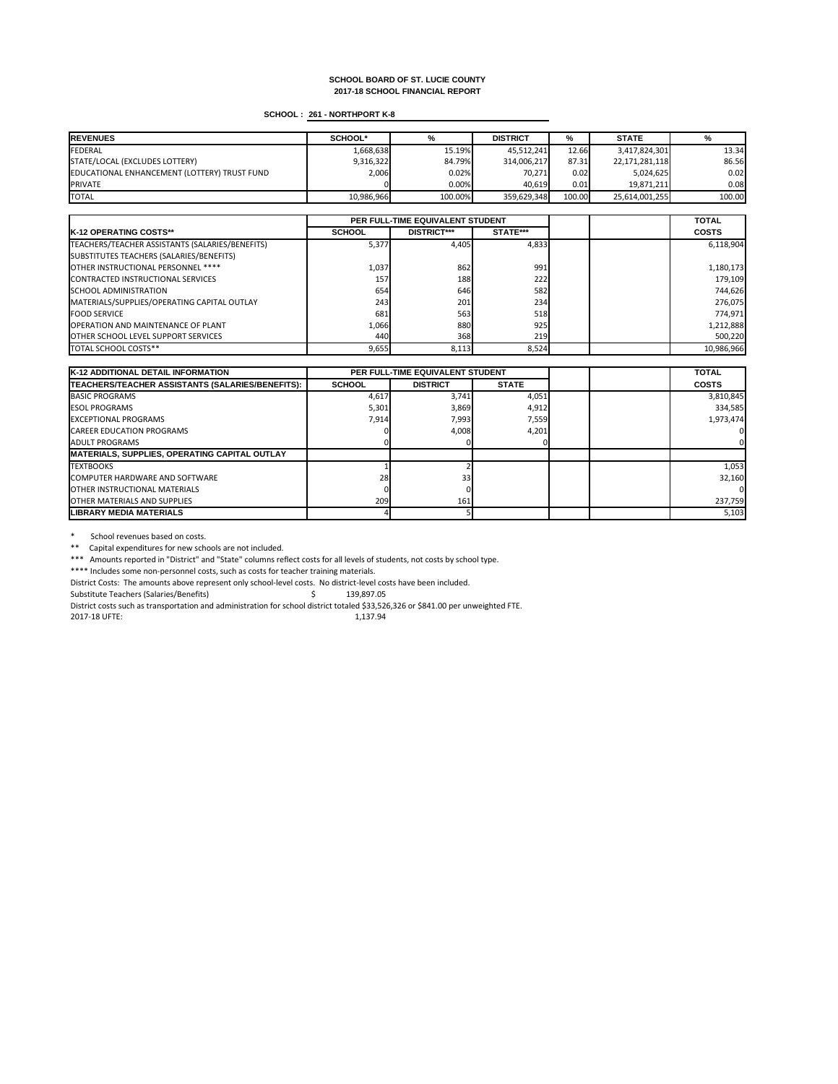# **SCHOOL : 261 - NORTHPORT K-8**

| <b>REVENUES</b>                              | <b>SCHOOL*</b> | %       | <b>DISTRICT</b> | %      | <b>STATE</b>   |        |
|----------------------------------------------|----------------|---------|-----------------|--------|----------------|--------|
| FEDERAL                                      | 1,668,638      | 15.19%  | 45,512,241      | 12.66  | 3,417,824,301  | 13.34  |
| STATE/LOCAL (EXCLUDES LOTTERY)               | 9,316,322      | 84.79%  | 314,006,217     | 87.31  | 22,171,281,118 | 86.56  |
| EDUCATIONAL ENHANCEMENT (LOTTERY) TRUST FUND | 2,006          | 0.02%   | 70,271          | 0.02   | 5,024,625      | 0.02   |
| <b>PRIVATE</b>                               |                | 0.00%   | 40,619          | 0.01   | 19,871,211     | 0.081  |
| <b>TOTAL</b>                                 | 10,986,966     | 100.00% | 359,629,348     | 100.00 | 25,614,001,255 | 100.00 |

|                                                 | PER FULL-TIME EQUIVALENT STUDENT |                    |                 |  | <b>TOTAL</b> |
|-------------------------------------------------|----------------------------------|--------------------|-----------------|--|--------------|
| <b>IK-12 OPERATING COSTS**</b>                  | <b>SCHOOL</b>                    | <b>DISTRICT***</b> | <b>STATE***</b> |  | <b>COSTS</b> |
| TEACHERS/TEACHER ASSISTANTS (SALARIES/BENEFITS) | 5,377                            | 4,405              | 4,833           |  | 6,118,904    |
| SUBSTITUTES TEACHERS (SALARIES/BENEFITS)        |                                  |                    |                 |  |              |
| OTHER INSTRUCTIONAL PERSONNEL ****              | 1,037                            | 862                | 991             |  | 1,180,173    |
| CONTRACTED INSTRUCTIONAL SERVICES               | 157                              | 188                | 222             |  | 179,109      |
| <b>SCHOOL ADMINISTRATION</b>                    | 654                              | 646                | 582             |  | 744,626      |
| MATERIALS/SUPPLIES/OPERATING CAPITAL OUTLAY     | 243                              | 201                | 234             |  | 276,075      |
| <b>FOOD SERVICE</b>                             | 681                              | 563                | 518             |  | 774,971      |
| <b>OPERATION AND MAINTENANCE OF PLANT</b>       | 1,066                            | 880                | 925             |  | 1,212,888    |
| <b>OTHER SCHOOL LEVEL SUPPORT SERVICES</b>      | 440I                             | 368                | 219             |  | 500,220      |
| TOTAL SCHOOL COSTS**                            | 9,655                            | 8,113              | 8,524           |  | 10,986,966   |

\* School revenues based on costs.

\*\* Capital expenditures for new schools are not included.

| <b>K-12 ADDITIONAL DETAIL INFORMATION</b>            | <b>PER FULL-TIME EQUIVALENT STUDENT</b> |                 |              | <b>TOTAL</b> |              |
|------------------------------------------------------|-----------------------------------------|-----------------|--------------|--------------|--------------|
| TEACHERS/TEACHER ASSISTANTS (SALARIES/BENEFITS):     | <b>SCHOOL</b>                           | <b>DISTRICT</b> | <b>STATE</b> |              | <b>COSTS</b> |
| <b>BASIC PROGRAMS</b>                                | 4,617                                   | 3,741           | 4,051        |              | 3,810,845    |
| <b>IESOL PROGRAMS</b>                                | 5,301                                   | 3,869           | 4,912        |              | 334,585      |
| <b>EXCEPTIONAL PROGRAMS</b>                          | 7,914                                   | 7,993           | 7,559        |              | 1,973,474    |
| <b>CAREER EDUCATION PROGRAMS</b>                     |                                         | 4,008           | 4,201        |              |              |
| <b>JADULT PROGRAMS</b>                               |                                         |                 |              |              |              |
| <b>MATERIALS, SUPPLIES, OPERATING CAPITAL OUTLAY</b> |                                         |                 |              |              |              |
| <b>TEXTBOOKS</b>                                     |                                         |                 |              |              | 1,053        |
| COMPUTER HARDWARE AND SOFTWARE                       | 28                                      | 33 <sub>l</sub> |              |              | 32,160       |
| <b>IOTHER INSTRUCTIONAL MATERIALS</b>                |                                         |                 |              |              |              |
| <b>OTHER MATERIALS AND SUPPLIES</b>                  | 209                                     | 161             |              |              | 237,759      |
| LIBRARY MEDIA MATERIALS                              |                                         |                 |              |              | 5,103        |

\*\*\* Amounts reported in "District" and "State" columns reflect costs for all levels of students, not costs by school type.

\*\*\*\* Includes some non-personnel costs, such as costs for teacher training materials.

District Costs: The amounts above represent only school-level costs. No district-level costs have been included.

Substitute Teachers (Salaries/Benefits) \$ 139,897.05

District costs such as transportation and administration for school district totaled \$33,526,326 or \$841.00 per unweighted FTE.

2017-18 UFTE: 1,137.94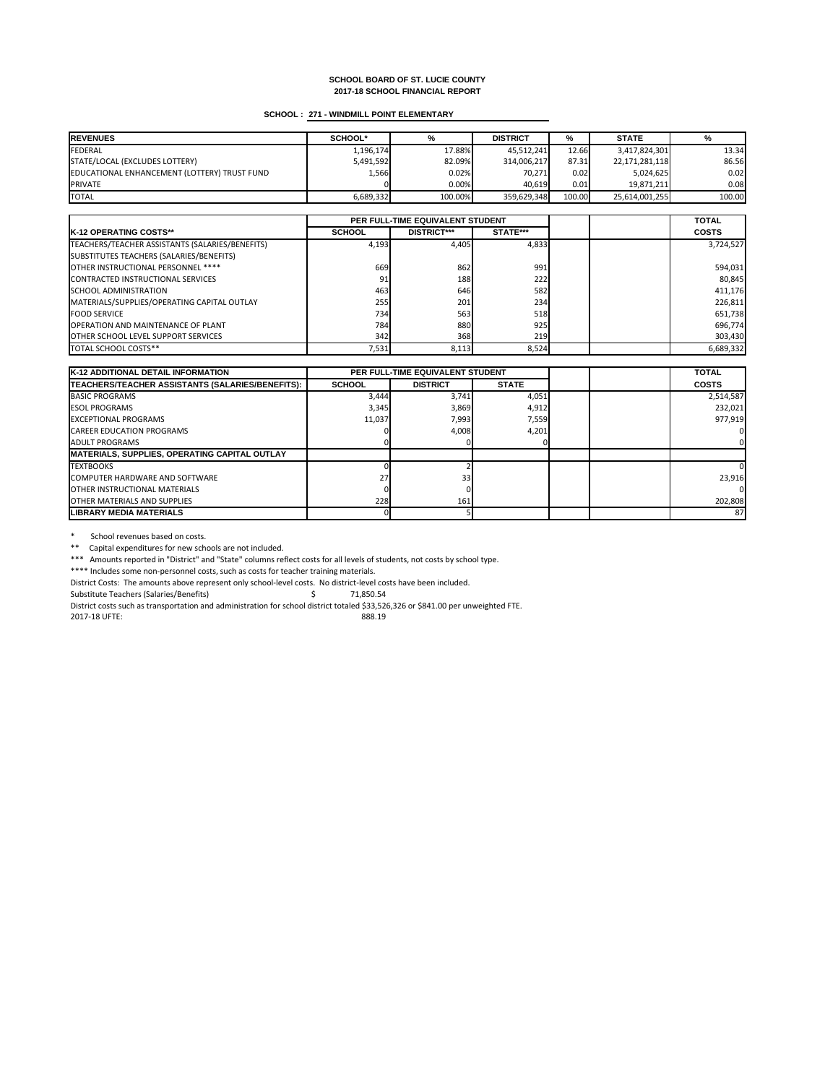# **SCHOOL : 271 - WINDMILL POINT ELEMENTARY**

| <b>IREVENUES</b>                             | <b>SCHOOL*</b> | %       | <b>DISTRICT</b> | %      | <b>STATE</b>   | %      |
|----------------------------------------------|----------------|---------|-----------------|--------|----------------|--------|
| <b>FEDERAL</b>                               | 1,196,174      | 17.88%  | 45,512,241      | 12.66  | 3,417,824,301  | 13.34  |
| STATE/LOCAL (EXCLUDES LOTTERY)               | 5,491,592      | 82.09%  | 314,006,217     | 87.31  | 22,171,281,118 | 86.56  |
| EDUCATIONAL ENHANCEMENT (LOTTERY) TRUST FUND | 1,566          | 0.02%   | 70,271          | 0.02   | 5,024,625      | 0.02   |
| <b>PRIVATE</b>                               |                | 0.00%   | 40,619          | 0.01   | 19,871,211     | 0.08   |
| <b>TOTAL</b>                                 | 6,689,332      | 100.00% | 359,629,348     | 100.00 | 25,614,001,255 | 100.00 |

|                                                 | PER FULL-TIME EQUIVALENT STUDENT |                    |                 |  | <b>TOTAL</b> |
|-------------------------------------------------|----------------------------------|--------------------|-----------------|--|--------------|
| <b>IK-12 OPERATING COSTS**</b>                  | <b>SCHOOL</b>                    | <b>DISTRICT***</b> | <b>STATE***</b> |  | <b>COSTS</b> |
| TEACHERS/TEACHER ASSISTANTS (SALARIES/BENEFITS) | 4,193                            | 4,405              | 4,833           |  | 3,724,527    |
| SUBSTITUTES TEACHERS (SALARIES/BENEFITS)        |                                  |                    |                 |  |              |
| OTHER INSTRUCTIONAL PERSONNEL ****              | 669                              | 862                | 991             |  | 594,031      |
| CONTRACTED INSTRUCTIONAL SERVICES               | 91                               | 188                | 222             |  | 80,845       |
| <b>ISCHOOL ADMINISTRATION</b>                   | 463                              | 646                | 582             |  | 411,176      |
| MATERIALS/SUPPLIES/OPERATING CAPITAL OUTLAY     | 255                              | 201                | 234             |  | 226,811      |
| <b>FOOD SERVICE</b>                             | 734                              | 563                | 518             |  | 651,738      |
| <b>OPERATION AND MAINTENANCE OF PLANT</b>       | 784                              | 880                | 925             |  | 696,774      |
| <b>OTHER SCHOOL LEVEL SUPPORT SERVICES</b>      | 342                              | 368                | <b>219</b>      |  | 303,430      |
| <b>TOTAL SCHOOL COSTS**</b>                     | 7,531                            | 8,113              | 8,524           |  | 6,689,332    |

\* School revenues based on costs.

\*\* Capital expenditures for new schools are not included.

| <b>K-12 ADDITIONAL DETAIL INFORMATION</b>            | <b>PER FULL-TIME EQUIVALENT STUDENT</b> |                 |              | <b>TOTAL</b> |              |
|------------------------------------------------------|-----------------------------------------|-----------------|--------------|--------------|--------------|
| TEACHERS/TEACHER ASSISTANTS (SALARIES/BENEFITS):     | <b>SCHOOL</b>                           | <b>DISTRICT</b> | <b>STATE</b> |              | <b>COSTS</b> |
| BASIC PROGRAMS                                       | 3,444                                   | 3,741           | 4,051        |              | 2,514,587    |
| <b>ESOL PROGRAMS</b>                                 | 3,345                                   | 3,869           | 4,912        |              | 232,021      |
| <b>IEXCEPTIONAL PROGRAMS</b>                         | 11,037                                  | 7,993           | 7,559        |              | 977,919      |
| <b>CAREER EDUCATION PROGRAMS</b>                     |                                         | 4,008           | 4,201        |              |              |
| <b>JADULT PROGRAMS</b>                               |                                         |                 |              |              |              |
| <b>MATERIALS, SUPPLIES, OPERATING CAPITAL OUTLAY</b> |                                         |                 |              |              |              |
| <b>TEXTBOOKS</b>                                     |                                         |                 |              |              |              |
| COMPUTER HARDWARE AND SOFTWARE                       | 27                                      | 33 <sub>l</sub> |              |              | 23,916       |
| <b>IOTHER INSTRUCTIONAL MATERIALS</b>                |                                         |                 |              |              |              |
| <b>JOTHER MATERIALS AND SUPPLIES</b>                 | 228                                     | 161             |              |              | 202,808      |
| ILIBRARY MEDIA MATERIALS                             |                                         |                 |              |              | 87           |

\*\*\* Amounts reported in "District" and "State" columns reflect costs for all levels of students, not costs by school type.

\*\*\*\* Includes some non-personnel costs, such as costs for teacher training materials.

District Costs: The amounts above represent only school-level costs. No district-level costs have been included.

Substitute Teachers (Salaries/Benefits) \$ 71,850.54

District costs such as transportation and administration for school district totaled \$33,526,326 or \$841.00 per unweighted FTE.

2017-18 UFTE: 888.19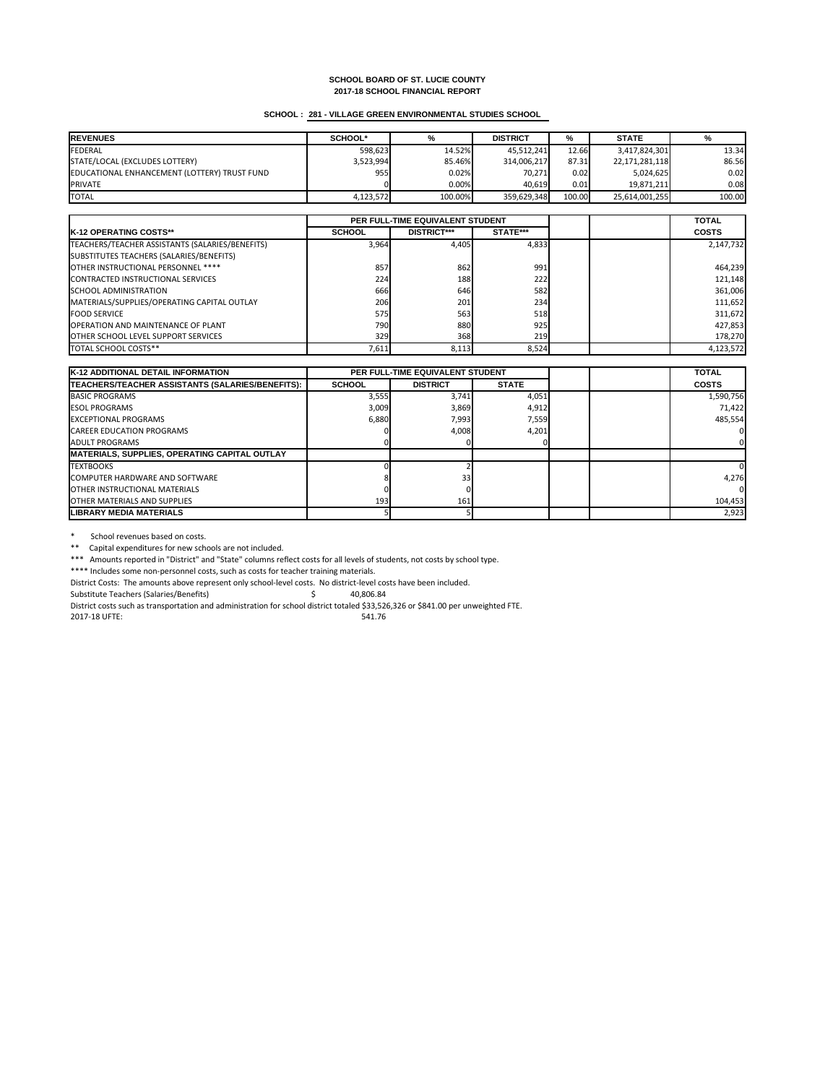# **SCHOOL : 281 - VILLAGE GREEN ENVIRONMENTAL STUDIES SCHOOL**

| <b>REVENUES</b>                              | <b>SCHOOL*</b> | %       | <b>DISTRICT</b> | %      | <b>STATE</b>   | %      |
|----------------------------------------------|----------------|---------|-----------------|--------|----------------|--------|
| FEDERAL                                      | 598,623        | 14.52%  | 45,512,241      | 12.66  | 3,417,824,301  | 13.34  |
| STATE/LOCAL (EXCLUDES LOTTERY)               | 3,523,994      | 85.46%  | 314,006,217     | 87.31  | 22,171,281,118 | 86.56  |
| EDUCATIONAL ENHANCEMENT (LOTTERY) TRUST FUND | 955            | 0.02%   | 70,271          | 0.02   | 5,024,625      | 0.02   |
| <b>PRIVATE</b>                               |                | 0.00%   | 40,619          | 0.01   | 19,871,211     | 0.08   |
| <b>TOTAL</b>                                 | 4,123,572      | 100.00% | 359,629,348     | 100.00 | 25,614,001,255 | 100.00 |

|                                                 | PER FULL-TIME EQUIVALENT STUDENT |                    |                 |  | <b>TOTAL</b> |
|-------------------------------------------------|----------------------------------|--------------------|-----------------|--|--------------|
| <b>IK-12 OPERATING COSTS**</b>                  | <b>SCHOOL</b>                    | <b>DISTRICT***</b> | <b>STATE***</b> |  | <b>COSTS</b> |
| TEACHERS/TEACHER ASSISTANTS (SALARIES/BENEFITS) | 3,964                            | 4,405              | 4,833           |  | 2,147,732    |
| SUBSTITUTES TEACHERS (SALARIES/BENEFITS)        |                                  |                    |                 |  |              |
| <b>OTHER INSTRUCTIONAL PERSONNEL ****</b>       | 857                              | 862                | 991             |  | 464,239      |
| CONTRACTED INSTRUCTIONAL SERVICES               | 224                              | 188                | 222             |  | 121,148      |
| <b>ISCHOOL ADMINISTRATION</b>                   | 666                              | 646                | 582             |  | 361,006      |
| MATERIALS/SUPPLIES/OPERATING CAPITAL OUTLAY     | 206                              | 201                | 234             |  | 111,652      |
| <b>FOOD SERVICE</b>                             | 575                              | 563                | 518             |  | 311,672      |
| <b>OPERATION AND MAINTENANCE OF PLANT</b>       | 790 <b>I</b>                     | 880                | 925             |  | 427,853      |
| <b>OTHER SCHOOL LEVEL SUPPORT SERVICES</b>      | 329                              | 368                | 219             |  | 178,270      |
| <b>TOTAL SCHOOL COSTS**</b>                     | 7,611                            | 8,113              | 8,524           |  | 4,123,572    |

\* School revenues based on costs.

\*\* Capital expenditures for new schools are not included.

| <b>K-12 ADDITIONAL DETAIL INFORMATION</b>            | <b>PER FULL-TIME EQUIVALENT STUDENT</b> |                 |              | <b>TOTAL</b> |              |
|------------------------------------------------------|-----------------------------------------|-----------------|--------------|--------------|--------------|
| TEACHERS/TEACHER ASSISTANTS (SALARIES/BENEFITS):     | <b>SCHOOL</b>                           | <b>DISTRICT</b> | <b>STATE</b> |              | <b>COSTS</b> |
| <b>BASIC PROGRAMS</b>                                | 3,555                                   | 3,741           | 4,051        |              | 1,590,756    |
| <b>IESOL PROGRAMS</b>                                | 3,009                                   | 3,869           | 4,912        |              | 71,422       |
| <b>EXCEPTIONAL PROGRAMS</b>                          | 6,880                                   | 7,993           | 7,559        |              | 485,554      |
| <b>CAREER EDUCATION PROGRAMS</b>                     |                                         | 4,008           | 4,201        |              |              |
| <b>JADULT PROGRAMS</b>                               |                                         |                 |              |              |              |
| <b>MATERIALS, SUPPLIES, OPERATING CAPITAL OUTLAY</b> |                                         |                 |              |              |              |
| <b>ITEXTBOOKS</b>                                    |                                         |                 |              |              |              |
| <b>ICOMPUTER HARDWARE AND SOFTWARE</b>               |                                         | 33 <b>l</b>     |              |              | 4,276        |
| <b>IOTHER INSTRUCTIONAL MATERIALS</b>                |                                         |                 |              |              |              |
| <b>IOTHER MATERIALS AND SUPPLIES</b>                 | 193                                     | 161             |              |              | 104,453      |
| <b>LIBRARY MEDIA MATERIALS</b>                       |                                         |                 |              |              | 2,923        |

\*\*\* Amounts reported in "District" and "State" columns reflect costs for all levels of students, not costs by school type.

\*\*\*\* Includes some non-personnel costs, such as costs for teacher training materials.

District Costs: The amounts above represent only school-level costs. No district-level costs have been included.

Substitute Teachers (Salaries/Benefits)  $\zeta$  40,806.84

District costs such as transportation and administration for school district totaled \$33,526,326 or \$841.00 per unweighted FTE.

2017-18 UFTE: 541.76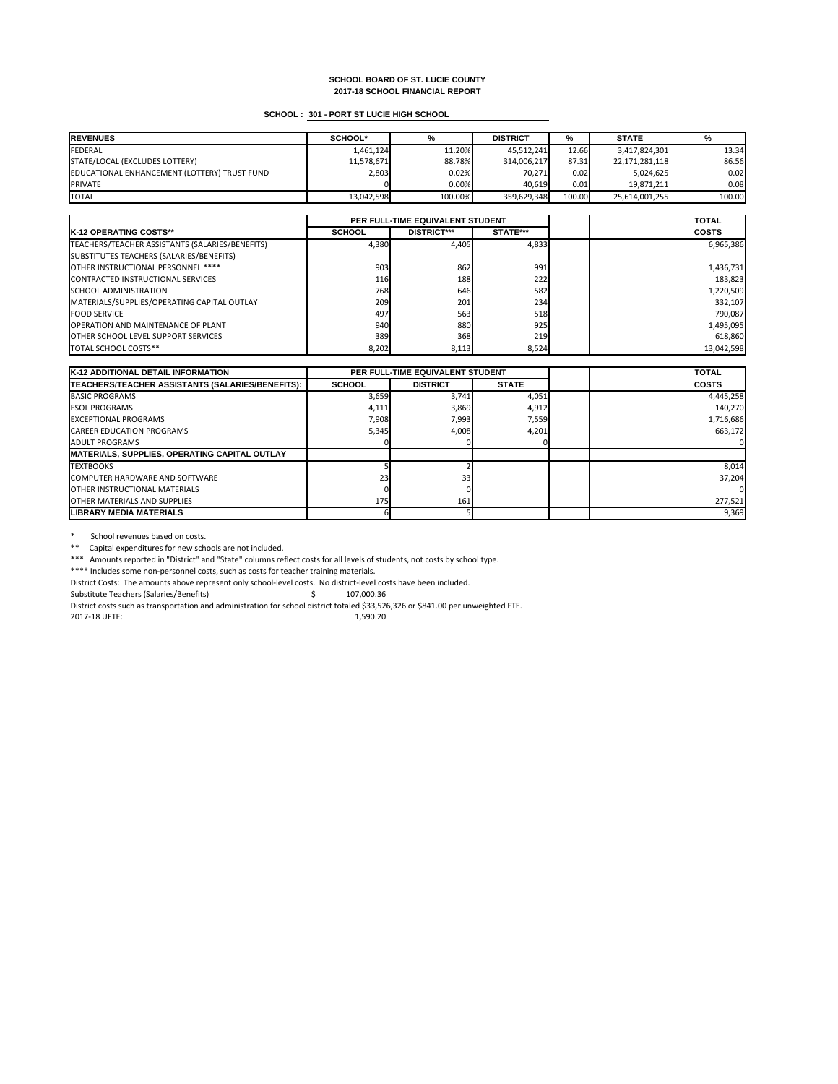# **SCHOOL : 301 - PORT ST LUCIE HIGH SCHOOL**

| <b>REVENUES</b>                              | <b>SCHOOL*</b> | %       | <b>DISTRICT</b> | %      | <b>STATE</b>   | %      |
|----------------------------------------------|----------------|---------|-----------------|--------|----------------|--------|
| FEDERAL                                      | 1,461,124      | 11.20%  | 45,512,241      | 12.66  | 3,417,824,301  | 13.34  |
| STATE/LOCAL (EXCLUDES LOTTERY)               | 11,578,671     | 88.78%  | 314,006,217     | 87.31  | 22,171,281,118 | 86.56  |
| EDUCATIONAL ENHANCEMENT (LOTTERY) TRUST FUND | 2,803          | 0.02%   | 70,271          | 0.02   | 5,024,625      | 0.02   |
| <b>PRIVATE</b>                               |                | 0.00%   | 40,619          | 0.01   | 19,871,211     | 0.08   |
| <b>TOTAL</b>                                 | 13,042,598     | 100.00% | 359,629,348     | 100.00 | 25,614,001,255 | 100.00 |

|                                                 | PER FULL-TIME EQUIVALENT STUDENT |                    |                 |  | <b>TOTAL</b> |
|-------------------------------------------------|----------------------------------|--------------------|-----------------|--|--------------|
| <b>IK-12 OPERATING COSTS**</b>                  | <b>SCHOOL</b>                    | <b>DISTRICT***</b> | <b>STATE***</b> |  | <b>COSTS</b> |
| TEACHERS/TEACHER ASSISTANTS (SALARIES/BENEFITS) | 4,380                            | 4,405              | 4,833           |  | 6,965,386    |
| SUBSTITUTES TEACHERS (SALARIES/BENEFITS)        |                                  |                    |                 |  |              |
| OTHER INSTRUCTIONAL PERSONNEL ****              | 903                              | 862                | 991             |  | 1,436,731    |
| CONTRACTED INSTRUCTIONAL SERVICES               | <b>116</b>                       | 188                | 222             |  | 183,823      |
| <b>ISCHOOL ADMINISTRATION</b>                   | 768                              | 646                | 582             |  | 1,220,509    |
| MATERIALS/SUPPLIES/OPERATING CAPITAL OUTLAY     | 209                              | 201                | 234             |  | 332,107      |
| <b>FOOD SERVICE</b>                             | 497                              | 563                | 518             |  | 790,087      |
| <b>OPERATION AND MAINTENANCE OF PLANT</b>       | 940                              | 880                | 925             |  | 1,495,095    |
| <b>OTHER SCHOOL LEVEL SUPPORT SERVICES</b>      | 389                              | 368                | 219             |  | 618,860      |
| <b>TOTAL SCHOOL COSTS**</b>                     | 8,202                            | 8,113              | 8,524           |  | 13,042,598   |

\* School revenues based on costs.

| K-12 ADDITIONAL DETAIL INFORMATION                   | <b>PER FULL-TIME EQUIVALENT STUDENT</b> |                 |              | <b>TOTAL</b> |              |
|------------------------------------------------------|-----------------------------------------|-----------------|--------------|--------------|--------------|
| TEACHERS/TEACHER ASSISTANTS (SALARIES/BENEFITS):     | <b>SCHOOL</b>                           | <b>DISTRICT</b> | <b>STATE</b> |              | <b>COSTS</b> |
| <b>BASIC PROGRAMS</b>                                | 3,659                                   | 3,741           | 4,051        |              | 4,445,258    |
| <b>IESOL PROGRAMS</b>                                | 4,111                                   | 3,869           | 4,912        |              | 140,270      |
| <b>IEXCEPTIONAL PROGRAMS</b>                         | 7,908                                   | 7,993           | 7,559        |              | 1,716,686    |
| <b>CAREER EDUCATION PROGRAMS</b>                     | 5,345                                   | 4,008           | 4,201        |              | 663,172      |
| <b>JADULT PROGRAMS</b>                               |                                         |                 |              |              |              |
| <b>MATERIALS, SUPPLIES, OPERATING CAPITAL OUTLAY</b> |                                         |                 |              |              |              |
| <b>ITEXTBOOKS</b>                                    |                                         |                 |              |              | 8,014        |
| COMPUTER HARDWARE AND SOFTWARE                       | 23 <sub>h</sub>                         | 33              |              |              | 37,204       |
| <b>IOTHER INSTRUCTIONAL MATERIALS</b>                |                                         |                 |              |              |              |
| <b>IOTHER MATERIALS AND SUPPLIES</b>                 | 175                                     | 161             |              |              | 277,521      |
| <b>ILIBRARY MEDIA MATERIALS</b>                      |                                         |                 |              |              | 9,369        |

\*\* Capital expenditures for new schools are not included.

\*\*\* Amounts reported in "District" and "State" columns reflect costs for all levels of students, not costs by school type.

\*\*\*\* Includes some non-personnel costs, such as costs for teacher training materials.

District Costs: The amounts above represent only school-level costs. No district-level costs have been included.

Substitute Teachers (Salaries/Benefits) \$ 107,000.36

District costs such as transportation and administration for school district totaled \$33,526,326 or \$841.00 per unweighted FTE.

2017-18 UFTE: 1,590.20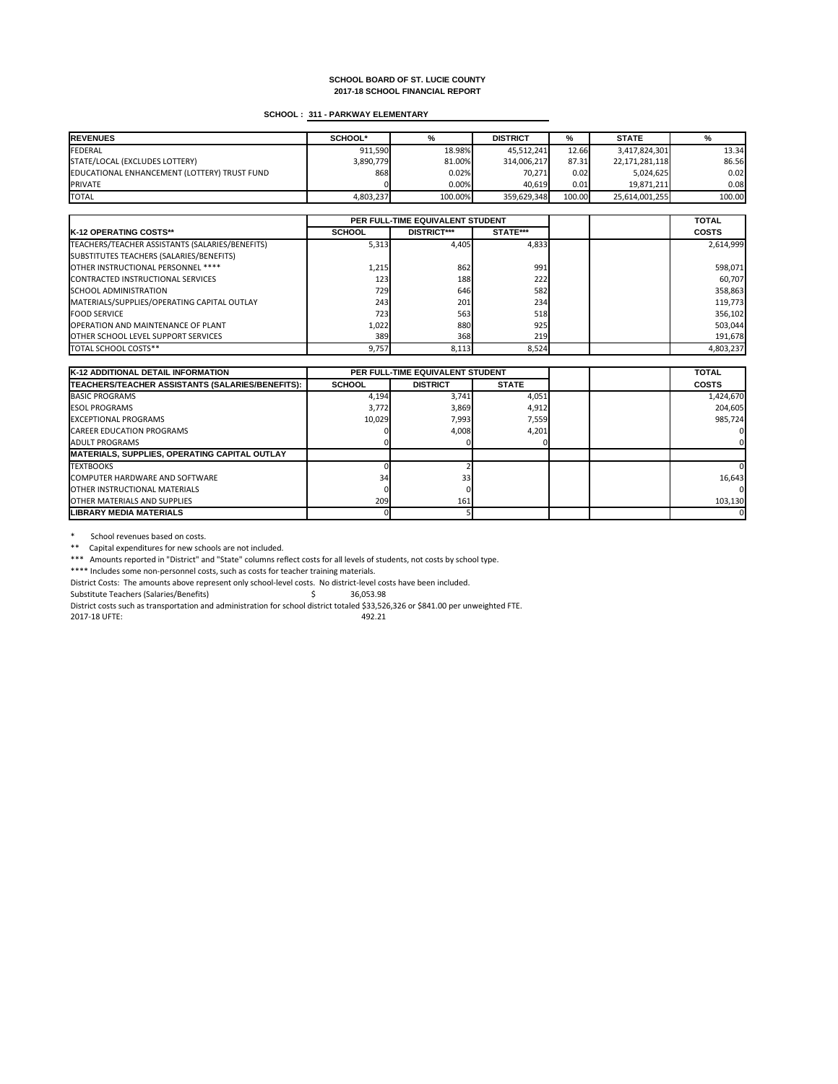# **SCHOOL : 311 - PARKWAY ELEMENTARY**

| <b>IREVENUES</b>                             | <b>SCHOOL*</b> | %       | <b>DISTRICT</b> | %      | <b>STATE</b>   | %      |
|----------------------------------------------|----------------|---------|-----------------|--------|----------------|--------|
| <b>FEDERAL</b>                               | 911,590        | 18.98%  | 45,512,241      | 12.66  | 3,417,824,301  | 13.34  |
| STATE/LOCAL (EXCLUDES LOTTERY)               | 3,890,779      | 81.00%  | 314,006,217     | 87.31  | 22,171,281,118 | 86.56  |
| EDUCATIONAL ENHANCEMENT (LOTTERY) TRUST FUND | 868            | 0.02%   | 70,271          | 0.02   | 5,024,625      | 0.02   |
| <b>PRIVATE</b>                               |                | 0.00%   | 40,619          | 0.01   | 19,871,211     | 0.08   |
| <b>TOTAL</b>                                 | 4,803,237      | 100.00% | 359,629,348     | 100.00 | 25,614,001,255 | 100.00 |

|                                                 | PER FULL-TIME EQUIVALENT STUDENT |                    |                 |  | <b>TOTAL</b> |
|-------------------------------------------------|----------------------------------|--------------------|-----------------|--|--------------|
| <b>IK-12 OPERATING COSTS**</b>                  | <b>SCHOOL</b>                    | <b>DISTRICT***</b> | <b>STATE***</b> |  | <b>COSTS</b> |
| TEACHERS/TEACHER ASSISTANTS (SALARIES/BENEFITS) | 5,313                            | 4,405              | 4,833           |  | 2,614,999    |
| SUBSTITUTES TEACHERS (SALARIES/BENEFITS)        |                                  |                    |                 |  |              |
| OTHER INSTRUCTIONAL PERSONNEL ****              | 1,215                            | 862                | 991             |  | 598,071      |
| CONTRACTED INSTRUCTIONAL SERVICES               | 123                              | 188                | 222             |  | 60,707       |
| <b>ISCHOOL ADMINISTRATION</b>                   | 729                              | 646                | 582             |  | 358,863      |
| MATERIALS/SUPPLIES/OPERATING CAPITAL OUTLAY     | 243                              | 201                | 234             |  | 119,773      |
| <b>FOOD SERVICE</b>                             | 723                              | 563                | 518             |  | 356,102      |
| <b>OPERATION AND MAINTENANCE OF PLANT</b>       | 1,022                            | 880                | 925             |  | 503,044      |
| <b>OTHER SCHOOL LEVEL SUPPORT SERVICES</b>      | 389                              | 368                | <b>219</b>      |  | 191,678      |
| <b>ITOTAL SCHOOL COSTS**</b>                    | 9,757                            | 8,113              | 8,524           |  | 4,803,237    |

\* School revenues based on costs.

\*\* Capital expenditures for new schools are not included.

| K-12 ADDITIONAL DETAIL INFORMATION                   | <b>PER FULL-TIME EQUIVALENT STUDENT</b> |                 |              | <b>TOTAL</b> |              |
|------------------------------------------------------|-----------------------------------------|-----------------|--------------|--------------|--------------|
| TEACHERS/TEACHER ASSISTANTS (SALARIES/BENEFITS):     | <b>SCHOOL</b>                           | <b>DISTRICT</b> | <b>STATE</b> |              | <b>COSTS</b> |
| <b>BASIC PROGRAMS</b>                                | 4,194                                   | 3,741           | 4,051        |              | 1,424,670    |
| <b>ESOL PROGRAMS</b>                                 | 3,772                                   | 3,869           | 4,912        |              | 204,605      |
| <b>EXCEPTIONAL PROGRAMS</b>                          | 10,029                                  | 7,993           | 7,559        |              | 985,724      |
| <b>CAREER EDUCATION PROGRAMS</b>                     |                                         | 4,008           | 4,201        |              |              |
| <b>JADULT PROGRAMS</b>                               |                                         |                 |              |              |              |
| <b>MATERIALS, SUPPLIES, OPERATING CAPITAL OUTLAY</b> |                                         |                 |              |              |              |
| <b>TEXTBOOKS</b>                                     |                                         |                 |              |              |              |
| <b>ICOMPUTER HARDWARE AND SOFTWARE</b>               | 34                                      | 33I             |              |              | 16,643       |
| <b>IOTHER INSTRUCTIONAL MATERIALS</b>                |                                         |                 |              |              |              |
| <b>IOTHER MATERIALS AND SUPPLIES</b>                 | 209                                     | 161             |              |              | 103,130      |
| <b>ILIBRARY MEDIA MATERIALS</b>                      |                                         |                 |              |              |              |

\*\*\* Amounts reported in "District" and "State" columns reflect costs for all levels of students, not costs by school type.

\*\*\*\* Includes some non-personnel costs, such as costs for teacher training materials.

District Costs: The amounts above represent only school-level costs. No district-level costs have been included.

Substitute Teachers (Salaries/Benefits) \$ 36,053.98

District costs such as transportation and administration for school district totaled \$33,526,326 or \$841.00 per unweighted FTE.

2017-18 UFTE: 492.21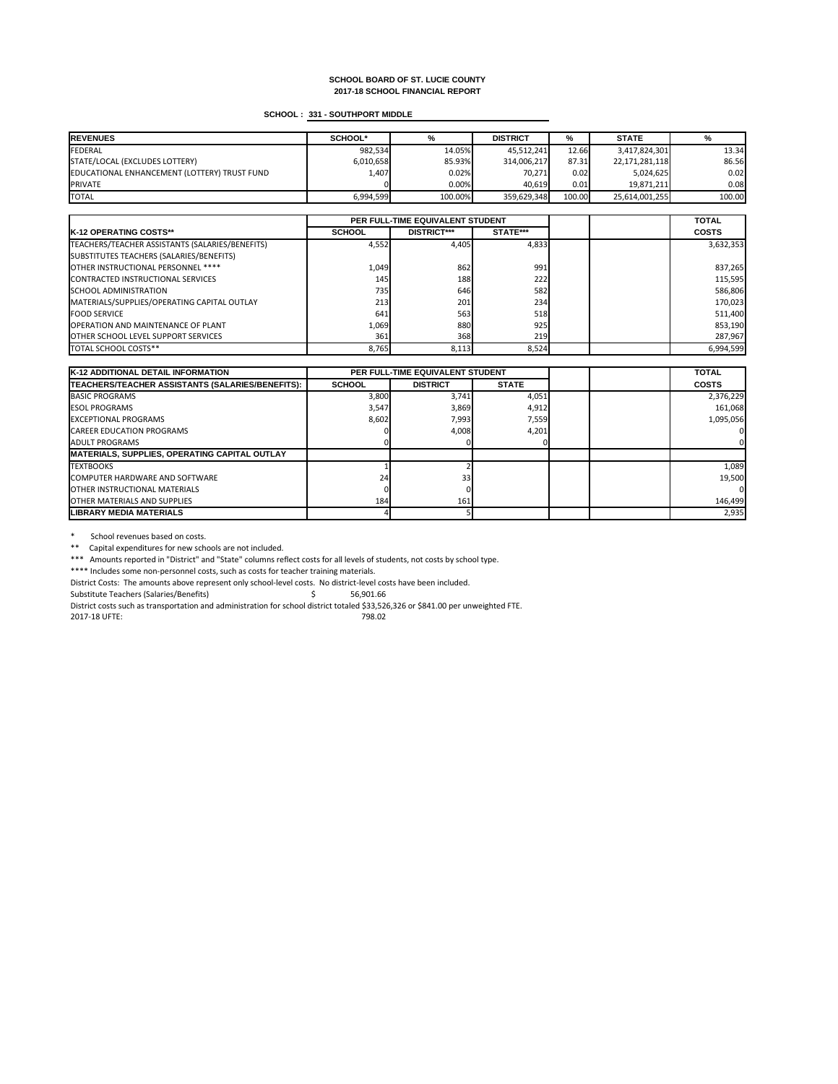# **SCHOOL : 331 - SOUTHPORT MIDDLE**

| <b>REVENUES</b>                              | <b>SCHOOL*</b> | %       | <b>DISTRICT</b> | %      | <b>STATE</b>   | %      |
|----------------------------------------------|----------------|---------|-----------------|--------|----------------|--------|
| FEDERAL                                      | 982,534        | 14.05%  | 45,512,241      | 12.66  | 3,417,824,301  | 13.34  |
| STATE/LOCAL (EXCLUDES LOTTERY)               | 6,010,658      | 85.93%  | 314,006,217     | 87.31  | 22,171,281,118 | 86.56  |
| EDUCATIONAL ENHANCEMENT (LOTTERY) TRUST FUND | 1,407          | 0.02%   | 70,271          | 0.02   | 5,024,625      | 0.02   |
| <b>PRIVATE</b>                               |                | 0.00%   | 40,619          | 0.01   | 19,871,211     | 0.08   |
| <b>TOTAL</b>                                 | 6,994,599      | 100.00% | 359,629,348     | 100.00 | 25,614,001,255 | 100.00 |

|                                                 | PER FULL-TIME EQUIVALENT STUDENT |                    |          |  | <b>TOTAL</b> |
|-------------------------------------------------|----------------------------------|--------------------|----------|--|--------------|
| <b>IK-12 OPERATING COSTS**</b>                  | <b>SCHOOL</b>                    | <b>DISTRICT***</b> | STATE*** |  | <b>COSTS</b> |
| TEACHERS/TEACHER ASSISTANTS (SALARIES/BENEFITS) | 4,552                            | 4,405              | 4,833    |  | 3,632,353    |
| SUBSTITUTES TEACHERS (SALARIES/BENEFITS)        |                                  |                    |          |  |              |
| OTHER INSTRUCTIONAL PERSONNEL ****              | 1,049                            | 862                | 991      |  | 837,265      |
| CONTRACTED INSTRUCTIONAL SERVICES               | 145                              | 188                | 222      |  | 115,595      |
| <b>ISCHOOL ADMINISTRATION</b>                   | 735                              | 646                | 582      |  | 586,806      |
| MATERIALS/SUPPLIES/OPERATING CAPITAL OUTLAY     | 213                              | 201                | 234      |  | 170,023      |
| <b>FOOD SERVICE</b>                             | 641                              | 563                | 518      |  | 511,400      |
| <b>OPERATION AND MAINTENANCE OF PLANT</b>       | 1,069                            | 880                | 925      |  | 853,190      |
| <b>OTHER SCHOOL LEVEL SUPPORT SERVICES</b>      | 361                              | 368                | 219      |  | 287,967      |
| <b>ITOTAL SCHOOL COSTS**</b>                    | 8,765                            | 8,113              | 8,524    |  | 6,994,599    |

\* School revenues based on costs.

\*\* Capital expenditures for new schools are not included.

| <b>K-12 ADDITIONAL DETAIL INFORMATION</b>            | <b>PER FULL-TIME EQUIVALENT STUDENT</b> |                 |              | <b>TOTAL</b> |              |
|------------------------------------------------------|-----------------------------------------|-----------------|--------------|--------------|--------------|
| TEACHERS/TEACHER ASSISTANTS (SALARIES/BENEFITS):     | <b>SCHOOL</b>                           | <b>DISTRICT</b> | <b>STATE</b> |              | <b>COSTS</b> |
| <b>BASIC PROGRAMS</b>                                | 3,800                                   | 3,741           | 4,051        |              | 2,376,229    |
| <b>IESOL PROGRAMS</b>                                | 3,547                                   | 3,869           | 4,912        |              | 161,068      |
| <b>EXCEPTIONAL PROGRAMS</b>                          | 8,602                                   | 7,993           | 7,559        |              | 1,095,056    |
| <b>CAREER EDUCATION PROGRAMS</b>                     |                                         | 4,008           | 4,201        |              |              |
| LADULT PROGRAMS                                      |                                         |                 |              |              |              |
| <b>MATERIALS, SUPPLIES, OPERATING CAPITAL OUTLAY</b> |                                         |                 |              |              |              |
| <b>ITEXTBOOKS</b>                                    |                                         |                 |              |              | 1,089        |
| <b>ICOMPUTER HARDWARE AND SOFTWARE</b>               | 24                                      | 33 <sub>h</sub> |              |              | 19,500       |
| <b>IOTHER INSTRUCTIONAL MATERIALS</b>                |                                         |                 |              |              |              |
| <b>IOTHER MATERIALS AND SUPPLIES</b>                 | 184                                     | 161             |              |              | 146,499      |
| <b>LIBRARY MEDIA MATERIALS</b>                       |                                         |                 |              |              | 2,935        |

\*\*\* Amounts reported in "District" and "State" columns reflect costs for all levels of students, not costs by school type.

\*\*\*\* Includes some non-personnel costs, such as costs for teacher training materials.

District Costs: The amounts above represent only school-level costs. No district-level costs have been included.

Substitute Teachers (Salaries/Benefits) \$ 56,901.66

District costs such as transportation and administration for school district totaled \$33,526,326 or \$841.00 per unweighted FTE.

2017-18 UFTE: 798.02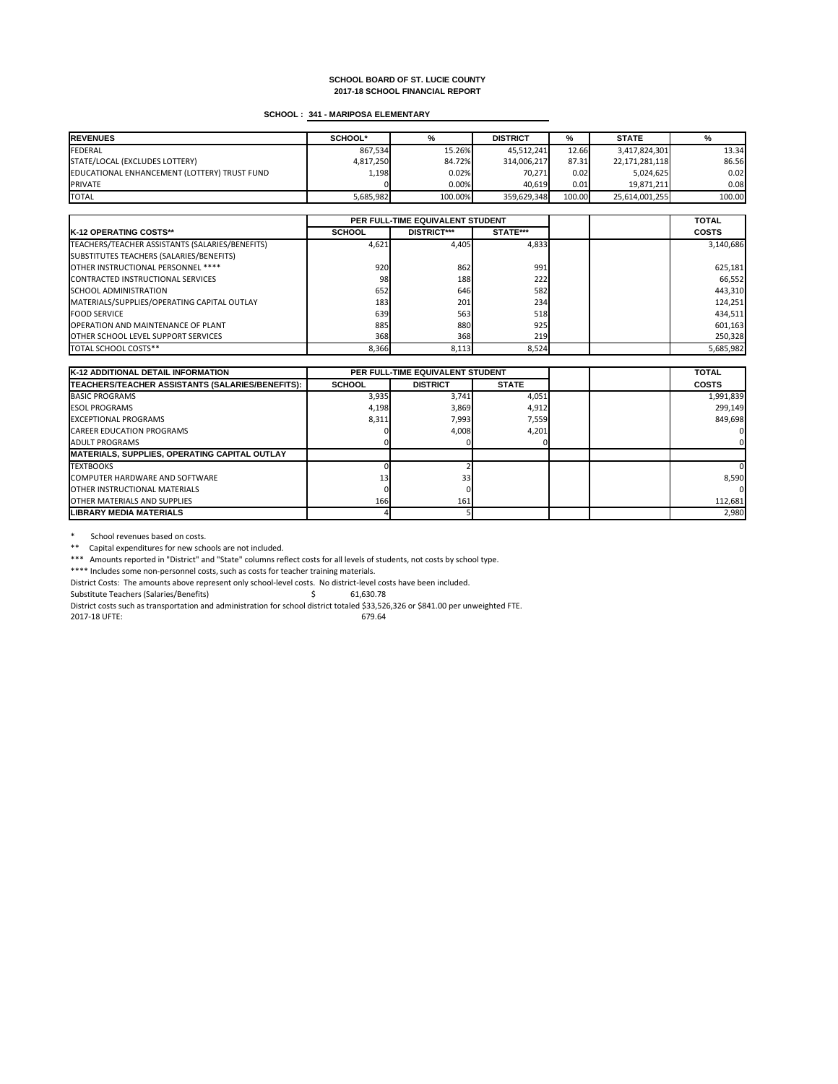# **SCHOOL : 341 - MARIPOSA ELEMENTARY**

| <b>REVENUES</b>                              | <b>SCHOOL*</b> |         | <b>DISTRICT</b> | %      | <b>STATE</b>   | ℅      |
|----------------------------------------------|----------------|---------|-----------------|--------|----------------|--------|
| FEDERAL                                      | 867,534        | 15.26%  | 45,512,241      | 12.66  | 3,417,824,301  | 13.34  |
| STATE/LOCAL (EXCLUDES LOTTERY)               | 4,817,250      | 84.72%  | 314,006,217     | 87.31  | 22,171,281,118 | 86.56  |
| EDUCATIONAL ENHANCEMENT (LOTTERY) TRUST FUND | 1,198          | 0.02%   | 70,271          | 0.02   | 5,024,625      | 0.02   |
| <b>IPRIVATE</b>                              |                | 0.00%   | 40,619          | 0.01   | 19,871,211     | 0.08   |
| <b>TOTAL</b>                                 | 5,685,982      | 100.00% | 359,629,348     | 100.00 | 25,614,001,255 | 100.00 |

|                                                 | PER FULL-TIME EQUIVALENT STUDENT |                    |            |  | <b>TOTAL</b> |
|-------------------------------------------------|----------------------------------|--------------------|------------|--|--------------|
| <b>IK-12 OPERATING COSTS**</b>                  | <b>SCHOOL</b>                    | <b>DISTRICT***</b> | STATE***   |  | <b>COSTS</b> |
| TEACHERS/TEACHER ASSISTANTS (SALARIES/BENEFITS) | 4,621                            | 4,405              | 4,833      |  | 3,140,686    |
| SUBSTITUTES TEACHERS (SALARIES/BENEFITS)        |                                  |                    |            |  |              |
| OTHER INSTRUCTIONAL PERSONNEL ****              | 920                              | 862                | 991        |  | 625,181      |
| CONTRACTED INSTRUCTIONAL SERVICES               | 98                               | 188                | 222        |  | 66,552       |
| <b>SCHOOL ADMINISTRATION</b>                    | 652                              | 646                | 582        |  | 443,310      |
| MATERIALS/SUPPLIES/OPERATING CAPITAL OUTLAY     | 183                              | 201                | 234        |  | 124,251      |
| <b>FOOD SERVICE</b>                             | 639                              | 563                | 518        |  | 434,511      |
| <b>OPERATION AND MAINTENANCE OF PLANT</b>       | 885                              | 880                | 925        |  | 601,163      |
| <b>OTHER SCHOOL LEVEL SUPPORT SERVICES</b>      | 368                              | 368                | <b>219</b> |  | 250,328      |
| <b>TOTAL SCHOOL COSTS**</b>                     | 8,366                            | 8,113              | 8,524      |  | 5,685,982    |

\* School revenues based on costs.

\*\* Capital expenditures for new schools are not included.

| <b>K-12 ADDITIONAL DETAIL INFORMATION</b>            |                 | <b>PER FULL-TIME EQUIVALENT STUDENT</b> |              |  | <b>TOTAL</b> |
|------------------------------------------------------|-----------------|-----------------------------------------|--------------|--|--------------|
| TEACHERS/TEACHER ASSISTANTS (SALARIES/BENEFITS):     | <b>SCHOOL</b>   | <b>DISTRICT</b>                         | <b>STATE</b> |  | <b>COSTS</b> |
| <b>BASIC PROGRAMS</b>                                | 3,935           | 3,741                                   | 4,051        |  | 1,991,839    |
| <b>IESOL PROGRAMS</b>                                | 4,198           | 3,869                                   | 4,912        |  | 299,149      |
| <b>IEXCEPTIONAL PROGRAMS</b>                         | 8,311           | 7,993                                   | 7,559        |  | 849,698      |
| <b>CAREER EDUCATION PROGRAMS</b>                     |                 | 4,008                                   | 4,201        |  |              |
| <b>JADULT PROGRAMS</b>                               |                 |                                         |              |  |              |
| <b>MATERIALS, SUPPLIES, OPERATING CAPITAL OUTLAY</b> |                 |                                         |              |  |              |
| <b>ITEXTBOOKS</b>                                    |                 |                                         |              |  |              |
| <b>ICOMPUTER HARDWARE AND SOFTWARE</b>               | 13 <sub>h</sub> | 33                                      |              |  | 8,590        |
| <b>OTHER INSTRUCTIONAL MATERIALS</b>                 |                 |                                         |              |  |              |
| <b>IOTHER MATERIALS AND SUPPLIES</b>                 | 166             | 161                                     |              |  | 112,681      |
| <b>ILIBRARY MEDIA MATERIALS</b>                      |                 |                                         |              |  | 2,980        |

\*\*\* Amounts reported in "District" and "State" columns reflect costs for all levels of students, not costs by school type.

\*\*\*\* Includes some non-personnel costs, such as costs for teacher training materials.

District Costs: The amounts above represent only school-level costs. No district-level costs have been included.

Substitute Teachers (Salaries/Benefits) \$ 61,630.78

District costs such as transportation and administration for school district totaled \$33,526,326 or \$841.00 per unweighted FTE.

2017-18 UFTE: 679.64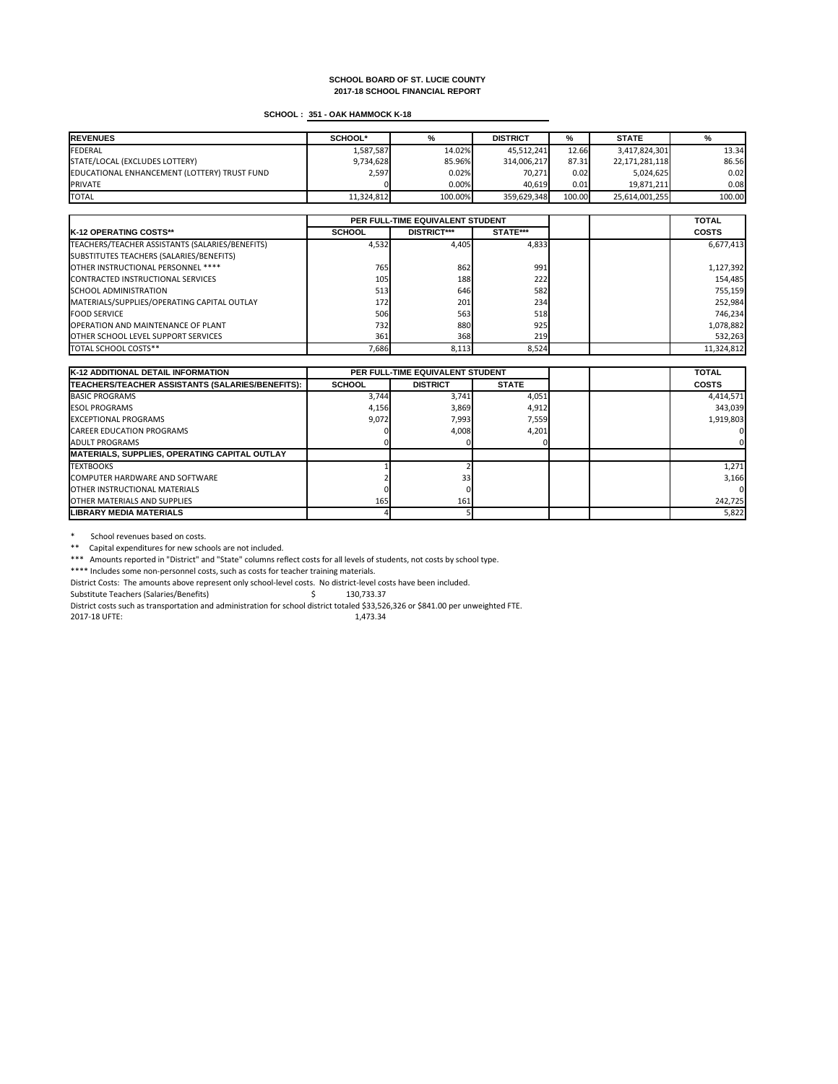# **SCHOOL : 351 - OAK HAMMOCK K-18**

| <b>REVENUES</b>                              | <b>SCHOOL*</b> | %       | <b>DISTRICT</b> | %      | <b>STATE</b>   | %      |
|----------------------------------------------|----------------|---------|-----------------|--------|----------------|--------|
| FEDERAL                                      | 1,587,587      | 14.02%  | 45,512,241      | 12.66  | 3,417,824,301  | 13.34  |
| STATE/LOCAL (EXCLUDES LOTTERY)               | 9,734,628      | 85.96%  | 314,006,217     | 87.31  | 22,171,281,118 | 86.56  |
| EDUCATIONAL ENHANCEMENT (LOTTERY) TRUST FUND | 2,597          | 0.02%   | 70,271          | 0.02   | 5,024,625      | 0.02   |
| <b>PRIVATE</b>                               |                | 0.00%   | 40,619          | 0.01   | 19,871,211     | 0.08   |
| <b>TOTAL</b>                                 | 11,324,812     | 100.00% | 359,629,348     | 100.00 | 25,614,001,255 | 100.00 |

|                                                 | PER FULL-TIME EQUIVALENT STUDENT |                    |                 |  | <b>TOTAL</b> |
|-------------------------------------------------|----------------------------------|--------------------|-----------------|--|--------------|
| <b>IK-12 OPERATING COSTS**</b>                  | <b>SCHOOL</b>                    | <b>DISTRICT***</b> | <b>STATE***</b> |  | <b>COSTS</b> |
| TEACHERS/TEACHER ASSISTANTS (SALARIES/BENEFITS) | 4,532                            | 4,405              | 4,833           |  | 6,677,413    |
| SUBSTITUTES TEACHERS (SALARIES/BENEFITS)        |                                  |                    |                 |  |              |
| OTHER INSTRUCTIONAL PERSONNEL ****              | 765                              | 862                | 991             |  | 1,127,392    |
| CONTRACTED INSTRUCTIONAL SERVICES               | 105                              | 188                | 222             |  | 154,485      |
| <b>ISCHOOL ADMINISTRATION</b>                   | 513                              | 646                | 582             |  | 755,159      |
| MATERIALS/SUPPLIES/OPERATING CAPITAL OUTLAY     | 172                              | 201                | 234             |  | 252,984      |
| <b>FOOD SERVICE</b>                             | 506                              | 563                | 518             |  | 746,234      |
| <b>OPERATION AND MAINTENANCE OF PLANT</b>       | 732 <b>1</b>                     | 880                | 925             |  | 1,078,882    |
| <b>OTHER SCHOOL LEVEL SUPPORT SERVICES</b>      | 361                              | 368                | 219             |  | 532,263      |
| TOTAL SCHOOL COSTS**                            | 7,686                            | 8,113              | 8,524           |  | 11,324,812   |

\* School revenues based on costs.

\*\* Capital expenditures for new schools are not included.

| <b>K-12 ADDITIONAL DETAIL INFORMATION</b>            | PER FULL-TIME EQUIVALENT STUDENT |                 |              | <b>TOTAL</b> |              |
|------------------------------------------------------|----------------------------------|-----------------|--------------|--------------|--------------|
| TEACHERS/TEACHER ASSISTANTS (SALARIES/BENEFITS):     | <b>SCHOOL</b>                    | <b>DISTRICT</b> | <b>STATE</b> |              | <b>COSTS</b> |
| <b>BASIC PROGRAMS</b>                                | 3,744                            | 3,741           | 4,051        |              | 4,414,571    |
| <b>IESOL PROGRAMS</b>                                | 4,156                            | 3,869           | 4,912        |              | 343,039      |
| <b>IEXCEPTIONAL PROGRAMS</b>                         | 9,072                            | 7,993           | 7,559        |              | 1,919,803    |
| <b>CAREER EDUCATION PROGRAMS</b>                     |                                  | 4,008           | 4,201        |              |              |
| <b>JADULT PROGRAMS</b>                               |                                  |                 |              |              |              |
| <b>MATERIALS, SUPPLIES, OPERATING CAPITAL OUTLAY</b> |                                  |                 |              |              |              |
| <b>ITEXTBOOKS</b>                                    |                                  |                 |              |              | 1,271        |
| COMPUTER HARDWARE AND SOFTWARE                       |                                  | 33 <sub>l</sub> |              |              | 3,166        |
| <b>OTHER INSTRUCTIONAL MATERIALS</b>                 |                                  |                 |              |              |              |
| <b>IOTHER MATERIALS AND SUPPLIES</b>                 | 165                              | 161             |              |              | 242,725      |
| <b>ILIBRARY MEDIA MATERIALS</b>                      |                                  |                 |              |              | 5,822        |

\*\*\* Amounts reported in "District" and "State" columns reflect costs for all levels of students, not costs by school type.

\*\*\*\* Includes some non-personnel costs, such as costs for teacher training materials.

District Costs: The amounts above represent only school-level costs. No district-level costs have been included.

Substitute Teachers (Salaries/Benefits)  $\qquad \qquad$  \$ 130,733.37

District costs such as transportation and administration for school district totaled \$33,526,326 or \$841.00 per unweighted FTE.

2017-18 UFTE: 1,473.34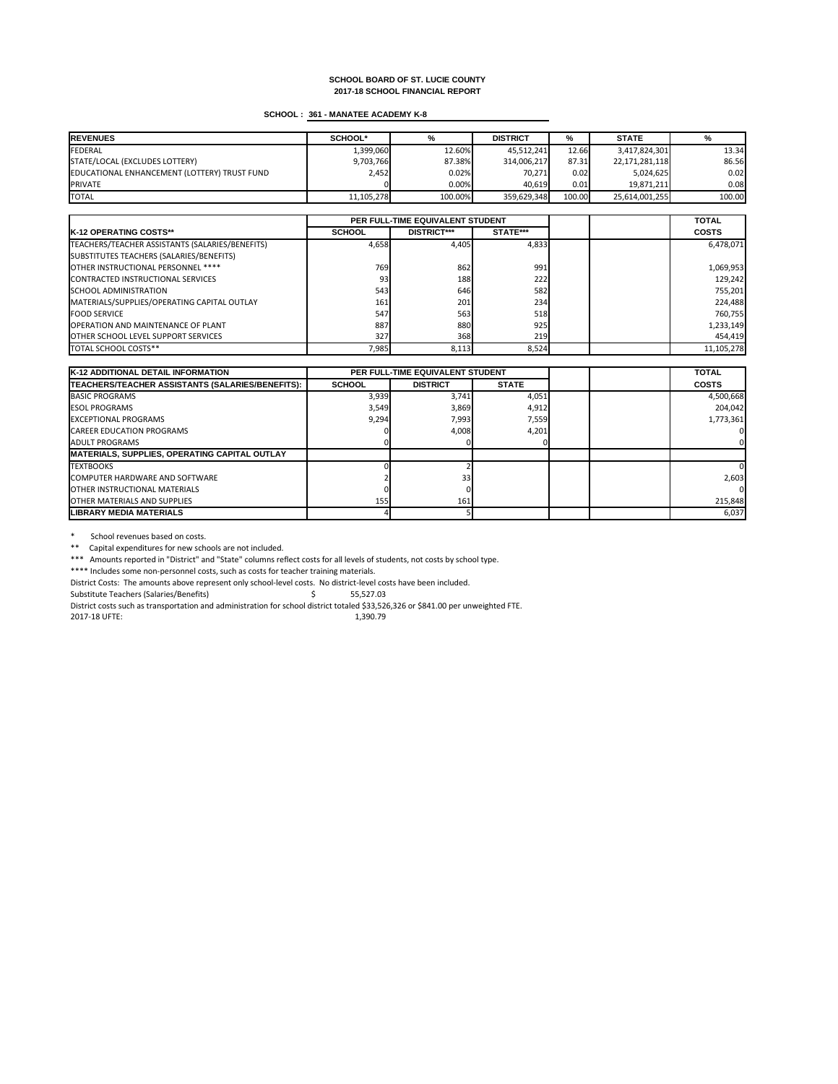# **SCHOOL : 361 - MANATEE ACADEMY K-8**

| <b>REVENUES</b>                              | <b>SCHOOL*</b> | %       | <b>DISTRICT</b> | %      | <b>STATE</b>   | %      |
|----------------------------------------------|----------------|---------|-----------------|--------|----------------|--------|
| FEDERAL                                      | 1,399,060      | 12.60%  | 45,512,241      | 12.66  | 3,417,824,301  | 13.34  |
| STATE/LOCAL (EXCLUDES LOTTERY)               | 9,703,766      | 87.38%  | 314,006,217     | 87.31  | 22,171,281,118 | 86.56  |
| EDUCATIONAL ENHANCEMENT (LOTTERY) TRUST FUND | 2,452          | 0.02%   | 70,271          | 0.02   | 5,024,625      | 0.02   |
| <b>PRIVATE</b>                               |                | 0.00%   | 40,619          | 0.01   | 19,871,211     | 0.08   |
| <b>TOTAL</b>                                 | 11,105,278     | 100.00% | 359,629,348     | 100.00 | 25,614,001,255 | 100.00 |

|                                                 | PER FULL-TIME EQUIVALENT STUDENT |                    |            |  | <b>TOTAL</b> |
|-------------------------------------------------|----------------------------------|--------------------|------------|--|--------------|
| <b>IK-12 OPERATING COSTS**</b>                  | <b>SCHOOL</b>                    | <b>DISTRICT***</b> | STATE***   |  | <b>COSTS</b> |
| TEACHERS/TEACHER ASSISTANTS (SALARIES/BENEFITS) | 4,658                            | 4,405              | 4,833      |  | 6,478,071    |
| SUBSTITUTES TEACHERS (SALARIES/BENEFITS)        |                                  |                    |            |  |              |
| OTHER INSTRUCTIONAL PERSONNEL ****              | 769                              | 862                | 991        |  | 1,069,953    |
| CONTRACTED INSTRUCTIONAL SERVICES               | 93 <sub>h</sub>                  | 188                | 222        |  | 129,242      |
| <b>ISCHOOL ADMINISTRATION</b>                   | 543                              | 646                | 582        |  | 755,201      |
| MATERIALS/SUPPLIES/OPERATING CAPITAL OUTLAY     | 161                              | 201                | 234        |  | 224,488      |
| <b>FOOD SERVICE</b>                             | 547                              | 563                | 518        |  | 760,755      |
| <b>OPERATION AND MAINTENANCE OF PLANT</b>       | 887                              | 880                | 925        |  | 1,233,149    |
| <b>OTHER SCHOOL LEVEL SUPPORT SERVICES</b>      | 327                              | 368                | <b>219</b> |  | 454,419      |
| <b>TOTAL SCHOOL COSTS**</b>                     | 7,985                            | 8,113              | 8,524      |  | 11,105,278   |

\* School revenues based on costs.

\*\* Capital expenditures for new schools are not included.

| <b>K-12 ADDITIONAL DETAIL INFORMATION</b>            | <b>PER FULL-TIME EQUIVALENT STUDENT</b> |                 |              | <b>TOTAL</b> |              |
|------------------------------------------------------|-----------------------------------------|-----------------|--------------|--------------|--------------|
| TEACHERS/TEACHER ASSISTANTS (SALARIES/BENEFITS):     | <b>SCHOOL</b>                           | <b>DISTRICT</b> | <b>STATE</b> |              | <b>COSTS</b> |
| <b>BASIC PROGRAMS</b>                                | 3,939                                   | 3,741           | 4,051        |              | 4,500,668    |
| <b>IESOL PROGRAMS</b>                                | 3,549                                   | 3,869           | 4,912        |              | 204,042      |
| <b>IEXCEPTIONAL PROGRAMS</b>                         | 9,294                                   | 7,993           | 7,559        |              | 1,773,361    |
| <b>CAREER EDUCATION PROGRAMS</b>                     |                                         | 4,008           | 4,201        |              |              |
| <b>JADULT PROGRAMS</b>                               |                                         |                 |              |              |              |
| <b>MATERIALS, SUPPLIES, OPERATING CAPITAL OUTLAY</b> |                                         |                 |              |              |              |
| <b>ITEXTBOOKS</b>                                    |                                         |                 |              |              |              |
| <b>ICOMPUTER HARDWARE AND SOFTWARE</b>               |                                         | 33 <b>l</b>     |              |              | 2,603        |
| <b>IOTHER INSTRUCTIONAL MATERIALS</b>                |                                         |                 |              |              |              |
| <b>IOTHER MATERIALS AND SUPPLIES</b>                 | 155                                     | 161             |              |              | 215,848      |
| <b>LIBRARY MEDIA MATERIALS</b>                       |                                         |                 |              |              | 6,037        |

\*\*\* Amounts reported in "District" and "State" columns reflect costs for all levels of students, not costs by school type.

\*\*\*\* Includes some non-personnel costs, such as costs for teacher training materials.

District Costs: The amounts above represent only school-level costs. No district-level costs have been included.

Substitute Teachers (Salaries/Benefits) \$ 55,527.03

District costs such as transportation and administration for school district totaled \$33,526,326 or \$841.00 per unweighted FTE.

2017-18 UFTE: 1,390.79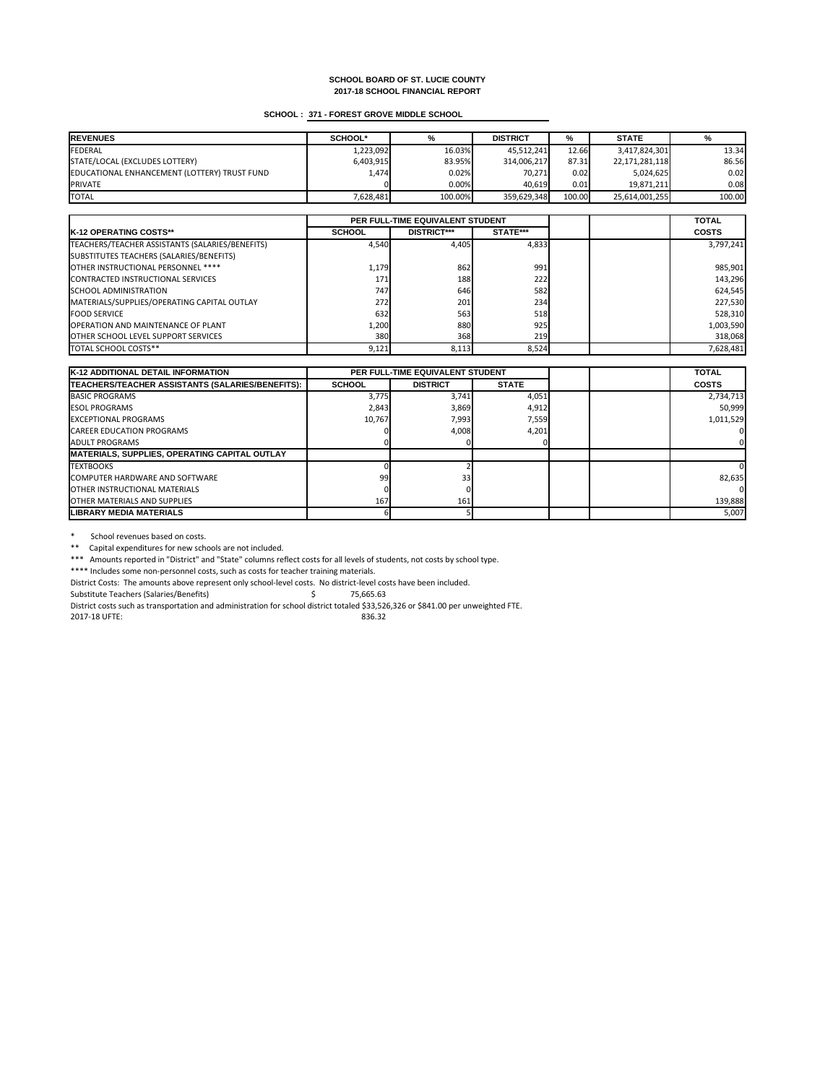# **SCHOOL : 371 - FOREST GROVE MIDDLE SCHOOL**

| <b>REVENUES</b>                              | <b>SCHOOL*</b> | %       | <b>DISTRICT</b> | %      | <b>STATE</b>   |        |
|----------------------------------------------|----------------|---------|-----------------|--------|----------------|--------|
| FEDERAL                                      | 1,223,092      | 16.03%  | 45,512,241      | 12.66  | 3,417,824,301  | 13.34  |
| STATE/LOCAL (EXCLUDES LOTTERY)               | 6,403,915      | 83.95%  | 314,006,217     | 87.31  | 22,171,281,118 | 86.56  |
| EDUCATIONAL ENHANCEMENT (LOTTERY) TRUST FUND | 1,474          | 0.02%   | 70,271          | 0.02   | 5,024,625      | 0.02   |
| <b>PRIVATE</b>                               |                | 0.00%   | 40,619          | 0.01   | 19,871,211     | 0.08   |
| <b>TOTAL</b>                                 | 7,628,481      | 100.00% | 359,629,348     | 100.00 | 25,614,001,255 | 100.00 |

|                                                 | PER FULL-TIME EQUIVALENT STUDENT |                    |                 |  | <b>TOTAL</b> |
|-------------------------------------------------|----------------------------------|--------------------|-----------------|--|--------------|
| <b>IK-12 OPERATING COSTS**</b>                  | <b>SCHOOL</b>                    | <b>DISTRICT***</b> | <b>STATE***</b> |  | <b>COSTS</b> |
| TEACHERS/TEACHER ASSISTANTS (SALARIES/BENEFITS) | 4,540                            | 4,405              | 4,833           |  | 3,797,241    |
| SUBSTITUTES TEACHERS (SALARIES/BENEFITS)        |                                  |                    |                 |  |              |
| OTHER INSTRUCTIONAL PERSONNEL ****              | 1,179                            | 862                | 991             |  | 985,901      |
| CONTRACTED INSTRUCTIONAL SERVICES               | 171                              | 188                | 222             |  | 143,296      |
| <b>SCHOOL ADMINISTRATION</b>                    | <b>747</b>                       | 646                | 582             |  | 624,545      |
| MATERIALS/SUPPLIES/OPERATING CAPITAL OUTLAY     | 272                              | 201                | 234             |  | 227,530      |
| <b>FOOD SERVICE</b>                             | 632                              | 563                | 518             |  | 528,310      |
| <b>OPERATION AND MAINTENANCE OF PLANT</b>       | 1,200                            | 880                | 925             |  | 1,003,590    |
| <b>OTHER SCHOOL LEVEL SUPPORT SERVICES</b>      | 380                              | 368                | 219             |  | 318,068      |
| <b>TOTAL SCHOOL COSTS**</b>                     | 9,121                            | 8,113              | 8,524           |  | 7,628,481    |

\* School revenues based on costs.

\*\* Capital expenditures for new schools are not included.

| <b>K-12 ADDITIONAL DETAIL INFORMATION</b>            | <b>PER FULL-TIME EQUIVALENT STUDENT</b> |                 |              | <b>TOTAL</b> |              |
|------------------------------------------------------|-----------------------------------------|-----------------|--------------|--------------|--------------|
| TEACHERS/TEACHER ASSISTANTS (SALARIES/BENEFITS):     | <b>SCHOOL</b>                           | <b>DISTRICT</b> | <b>STATE</b> |              | <b>COSTS</b> |
| <b>BASIC PROGRAMS</b>                                | 3,775                                   | 3,741           | 4,051        |              | 2,734,713    |
| <b>IESOL PROGRAMS</b>                                | 2,843                                   | 3,869           | 4,912        |              | 50,999       |
| <b>EXCEPTIONAL PROGRAMS</b>                          | 10,767                                  | 7,993           | 7,559        |              | 1,011,529    |
| <b>CAREER EDUCATION PROGRAMS</b>                     |                                         | 4,008           | 4,201        |              |              |
| <b>JADULT PROGRAMS</b>                               |                                         |                 |              |              |              |
| <b>MATERIALS, SUPPLIES, OPERATING CAPITAL OUTLAY</b> |                                         |                 |              |              |              |
| <b>TEXTBOOKS</b>                                     |                                         |                 |              |              |              |
| COMPUTER HARDWARE AND SOFTWARE                       | 99                                      | 33 <sub>l</sub> |              |              | 82,635       |
| <b>IOTHER INSTRUCTIONAL MATERIALS</b>                |                                         |                 |              |              |              |
| <b>OTHER MATERIALS AND SUPPLIES</b>                  | 167                                     | 161             |              |              | 139,888      |
| LIBRARY MEDIA MATERIALS                              |                                         |                 |              |              | 5,007        |

\*\*\* Amounts reported in "District" and "State" columns reflect costs for all levels of students, not costs by school type.

\*\*\*\* Includes some non-personnel costs, such as costs for teacher training materials.

District Costs: The amounts above represent only school-level costs. No district-level costs have been included.

Substitute Teachers (Salaries/Benefits) \$ 75,665.63

District costs such as transportation and administration for school district totaled \$33,526,326 or \$841.00 per unweighted FTE.

2017-18 UFTE: 836.32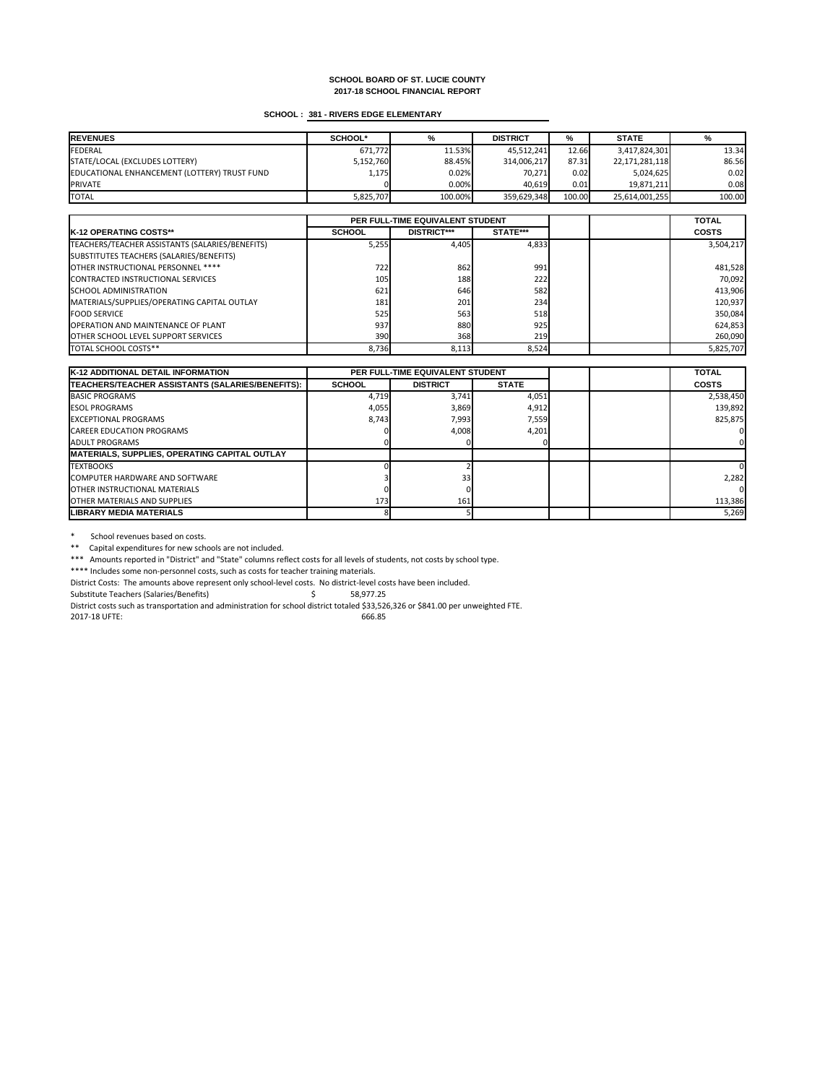# **SCHOOL : 381 - RIVERS EDGE ELEMENTARY**

| <b>REVENUES</b>                              | <b>SCHOOL*</b> | %       | <b>DISTRICT</b> | %      | <b>STATE</b>   |        |
|----------------------------------------------|----------------|---------|-----------------|--------|----------------|--------|
| FEDERAL                                      | 671,772        | 11.53%  | 45,512,241      | 12.66  | 3,417,824,301  | 13.34  |
| STATE/LOCAL (EXCLUDES LOTTERY)               | 5,152,760      | 88.45%  | 314,006,217     | 87.31  | 22,171,281,118 | 86.56  |
| EDUCATIONAL ENHANCEMENT (LOTTERY) TRUST FUND | 1,175          | 0.02%   | 70,271          | 0.02   | 5,024,625      | 0.02   |
| <b>PRIVATE</b>                               |                | 0.00%   | 40,619          | 0.01   | 19,871,211     | 0.081  |
| <b>TOTAL</b>                                 | 5,825,707      | 100.00% | 359,629,348     | 100.00 | 25,614,001,255 | 100.00 |

|                                                 | PER FULL-TIME EQUIVALENT STUDENT |                    |                 |  | <b>TOTAL</b> |
|-------------------------------------------------|----------------------------------|--------------------|-----------------|--|--------------|
| <b>IK-12 OPERATING COSTS**</b>                  | <b>SCHOOL</b>                    | <b>DISTRICT***</b> | <b>STATE***</b> |  | <b>COSTS</b> |
| TEACHERS/TEACHER ASSISTANTS (SALARIES/BENEFITS) | 5,255                            | 4,405              | 4,833           |  | 3,504,217    |
| SUBSTITUTES TEACHERS (SALARIES/BENEFITS)        |                                  |                    |                 |  |              |
| OTHER INSTRUCTIONAL PERSONNEL ****              | 722                              | 862                | 991             |  | 481,528      |
| CONTRACTED INSTRUCTIONAL SERVICES               | 105                              | 188                | 222             |  | 70,092       |
| <b>SCHOOL ADMINISTRATION</b>                    | 621                              | 646                | 582             |  | 413,906      |
| MATERIALS/SUPPLIES/OPERATING CAPITAL OUTLAY     | 181                              | 201                | 234             |  | 120,937      |
| <b>FOOD SERVICE</b>                             | 525                              | 563                | 518             |  | 350,084      |
| <b>OPERATION AND MAINTENANCE OF PLANT</b>       | 937                              | 880                | 925             |  | 624,853      |
| <b>OTHER SCHOOL LEVEL SUPPORT SERVICES</b>      | 390 <b>I</b>                     | 368                | 219             |  | 260,090      |
| <b>TOTAL SCHOOL COSTS**</b>                     | 8,736                            | 8,113              | 8,524           |  | 5,825,707    |

\* School revenues based on costs.

\*\* Capital expenditures for new schools are not included.

| <b>K-12 ADDITIONAL DETAIL INFORMATION</b>            | <b>PER FULL-TIME EQUIVALENT STUDENT</b> |                 |              | <b>TOTAL</b> |              |
|------------------------------------------------------|-----------------------------------------|-----------------|--------------|--------------|--------------|
| TEACHERS/TEACHER ASSISTANTS (SALARIES/BENEFITS):     | <b>SCHOOL</b>                           | <b>DISTRICT</b> | <b>STATE</b> |              | <b>COSTS</b> |
| <b>BASIC PROGRAMS</b>                                | 4,719                                   | 3,741           | 4,051        |              | 2,538,450    |
| <b>IESOL PROGRAMS</b>                                | 4,055                                   | 3,869           | 4,912        |              | 139,892      |
| <b>EXCEPTIONAL PROGRAMS</b>                          | 8,743                                   | 7,993           | 7,559        |              | 825,875      |
| <b>CAREER EDUCATION PROGRAMS</b>                     |                                         | 4,008           | 4,201        |              |              |
| <b>JADULT PROGRAMS</b>                               |                                         |                 |              |              |              |
| <b>MATERIALS, SUPPLIES, OPERATING CAPITAL OUTLAY</b> |                                         |                 |              |              |              |
| <b>TEXTBOOKS</b>                                     |                                         |                 |              |              |              |
| COMPUTER HARDWARE AND SOFTWARE                       |                                         | 33 <sub>l</sub> |              |              | 2,282        |
| <b>IOTHER INSTRUCTIONAL MATERIALS</b>                |                                         |                 |              |              |              |
| <b>OTHER MATERIALS AND SUPPLIES</b>                  | 173                                     | 161             |              |              | 113,386      |
| LIBRARY MEDIA MATERIALS                              |                                         |                 |              |              | 5,269        |

\*\*\* Amounts reported in "District" and "State" columns reflect costs for all levels of students, not costs by school type.

\*\*\*\* Includes some non-personnel costs, such as costs for teacher training materials.

District Costs: The amounts above represent only school-level costs. No district-level costs have been included.

Substitute Teachers (Salaries/Benefits) \$ 58,977.25

District costs such as transportation and administration for school district totaled \$33,526,326 or \$841.00 per unweighted FTE.

2017-18 UFTE: 666.85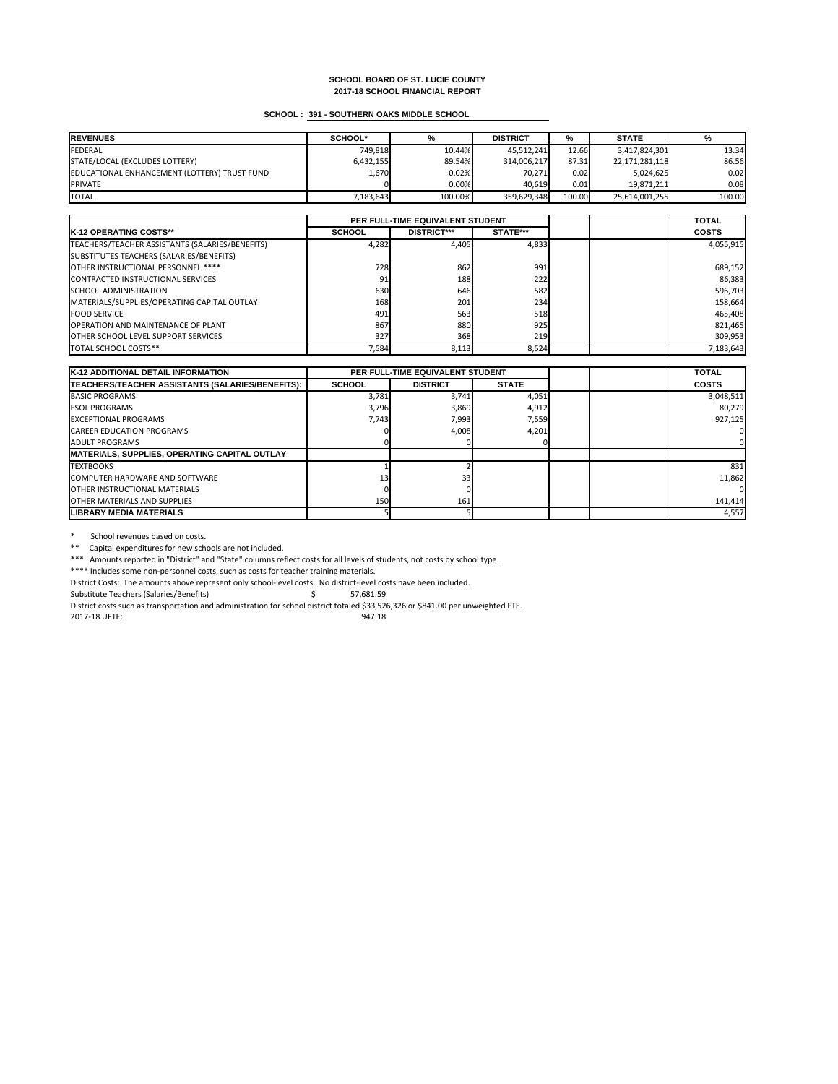# **SCHOOL : 391 - SOUTHERN OAKS MIDDLE SCHOOL**

| <b>REVENUES</b>                              | <b>SCHOOL*</b> | %       | <b>DISTRICT</b> | %      | <b>STATE</b>   |        |
|----------------------------------------------|----------------|---------|-----------------|--------|----------------|--------|
| FEDERAL                                      | 749,818        | 10.44%  | 45,512,241      | 12.66  | 3,417,824,301  | 13.34  |
| STATE/LOCAL (EXCLUDES LOTTERY)               | 6,432,155      | 89.54%  | 314,006,217     | 87.31  | 22,171,281,118 | 86.56  |
| EDUCATIONAL ENHANCEMENT (LOTTERY) TRUST FUND | 1,670          | 0.02%   | 70,271          | 0.02   | 5,024,625      | 0.02   |
| <b>PRIVATE</b>                               |                | 0.00%   | 40,619          | 0.01   | 19,871,211     | 0.08   |
| <b>TOTAL</b>                                 | 7,183,643      | 100.00% | 359,629,348     | 100.00 | 25,614,001,255 | 100.00 |

|                                                 | PER FULL-TIME EQUIVALENT STUDENT |                    |                 |  | <b>TOTAL</b> |
|-------------------------------------------------|----------------------------------|--------------------|-----------------|--|--------------|
| <b>IK-12 OPERATING COSTS**</b>                  | <b>SCHOOL</b>                    | <b>DISTRICT***</b> | <b>STATE***</b> |  | <b>COSTS</b> |
| TEACHERS/TEACHER ASSISTANTS (SALARIES/BENEFITS) | 4,282                            | 4,405              | 4,833           |  | 4,055,915    |
| SUBSTITUTES TEACHERS (SALARIES/BENEFITS)        |                                  |                    |                 |  |              |
| OTHER INSTRUCTIONAL PERSONNEL ****              | 728                              | 862                | 991             |  | 689,152      |
| CONTRACTED INSTRUCTIONAL SERVICES               | 91                               | 188                | 222             |  | 86,383       |
| <b>SCHOOL ADMINISTRATION</b>                    | 630                              | 646                | 582             |  | 596,703      |
| MATERIALS/SUPPLIES/OPERATING CAPITAL OUTLAY     | 168                              | 201                | 234             |  | 158,664      |
| <b>FOOD SERVICE</b>                             | 491                              | 563                | 518             |  | 465,408      |
| <b>OPERATION AND MAINTENANCE OF PLANT</b>       | 867                              | 880                | 925             |  | 821,465      |
| <b>OTHER SCHOOL LEVEL SUPPORT SERVICES</b>      | 327                              | 368                | 219             |  | 309,953      |
| <b>TOTAL SCHOOL COSTS**</b>                     | 7,584                            | 8,113              | 8,524           |  | 7,183,643    |

\* School revenues based on costs.

\*\* Capital expenditures for new schools are not included.

| <b>K-12 ADDITIONAL DETAIL INFORMATION</b>            | <b>PER FULL-TIME EQUIVALENT STUDENT</b> |                 |              | <b>TOTAL</b> |              |
|------------------------------------------------------|-----------------------------------------|-----------------|--------------|--------------|--------------|
| TEACHERS/TEACHER ASSISTANTS (SALARIES/BENEFITS):     | <b>SCHOOL</b>                           | <b>DISTRICT</b> | <b>STATE</b> |              | <b>COSTS</b> |
| <b>BASIC PROGRAMS</b>                                | 3,781                                   | 3,741           | 4,051        |              | 3,048,511    |
| <b>IESOL PROGRAMS</b>                                | 3,796                                   | 3,869           | 4,912        |              | 80,279       |
| <b>IEXCEPTIONAL PROGRAMS</b>                         | 7,743                                   | 7,993           | 7,559        |              | 927,125      |
| <b>CAREER EDUCATION PROGRAMS</b>                     |                                         | 4,008           | 4,201        |              |              |
| LADULT PROGRAMS                                      |                                         |                 |              |              |              |
| <b>MATERIALS, SUPPLIES, OPERATING CAPITAL OUTLAY</b> |                                         |                 |              |              |              |
| <b>ITEXTBOOKS</b>                                    |                                         |                 |              |              | 831          |
| <b>ICOMPUTER HARDWARE AND SOFTWARE</b>               | 13 <sub>1</sub>                         | 33 <sub>h</sub> |              |              | 11,862       |
| <b>IOTHER INSTRUCTIONAL MATERIALS</b>                |                                         |                 |              |              |              |
| <b>IOTHER MATERIALS AND SUPPLIES</b>                 | 150                                     | 161             |              |              | 141,414      |
| <b>LIBRARY MEDIA MATERIALS</b>                       |                                         |                 |              |              | 4,557        |

\*\*\* Amounts reported in "District" and "State" columns reflect costs for all levels of students, not costs by school type.

\*\*\*\* Includes some non-personnel costs, such as costs for teacher training materials.

District Costs: The amounts above represent only school-level costs. No district-level costs have been included.

Substitute Teachers (Salaries/Benefits) \$ 57,681.59

District costs such as transportation and administration for school district totaled \$33,526,326 or \$841.00 per unweighted FTE.

2017-18 UFTE: 947.18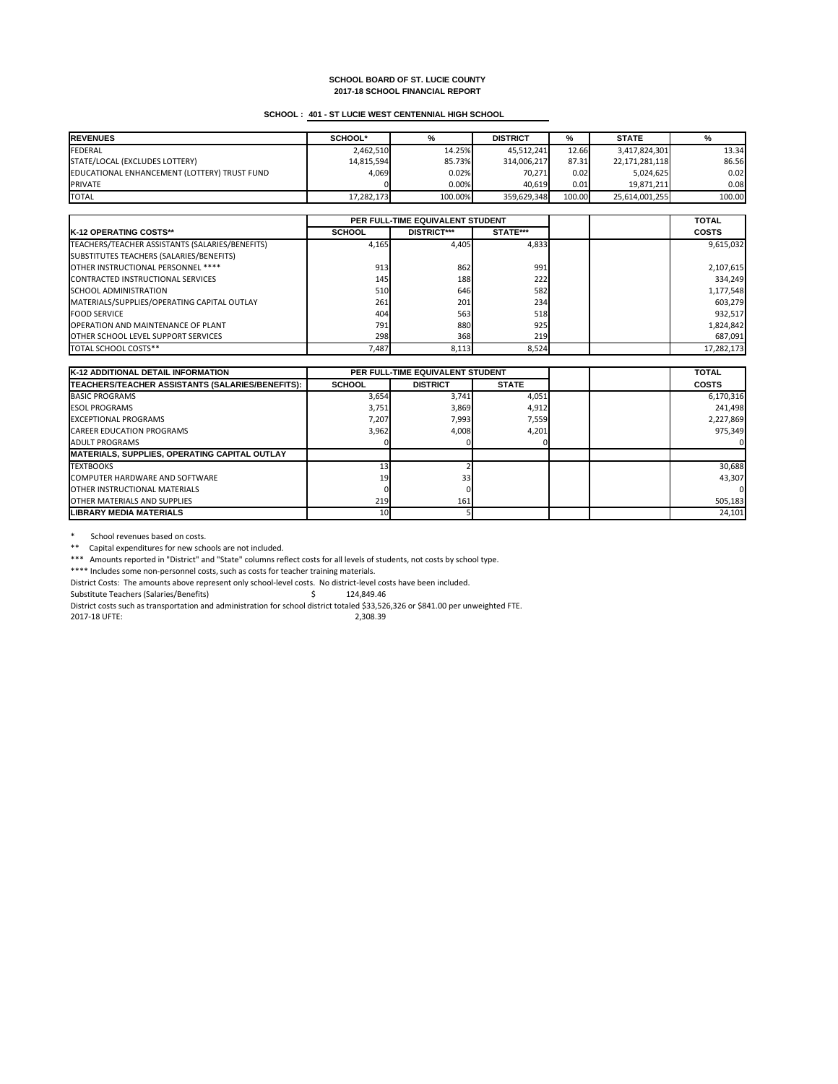# **SCHOOL : 401 - ST LUCIE WEST CENTENNIAL HIGH SCHOOL**

| <b>REVENUES</b>                              | <b>SCHOOL*</b> | %       | <b>DISTRICT</b> | %      | <b>STATE</b>   | %      |
|----------------------------------------------|----------------|---------|-----------------|--------|----------------|--------|
| FEDERAL                                      | 2,462,510      | 14.25%  | 45,512,241      | 12.66  | 3,417,824,301  | 13.34  |
| STATE/LOCAL (EXCLUDES LOTTERY)               | 14,815,594     | 85.73%  | 314,006,217     | 87.31  | 22,171,281,118 | 86.56  |
| EDUCATIONAL ENHANCEMENT (LOTTERY) TRUST FUND | 4,069          | 0.02%   | 70,271          | 0.02   | 5,024,625      | 0.02   |
| <b>PRIVATE</b>                               |                | 0.00%   | 40,619          | 0.01   | 19,871,211     | 0.08   |
| <b>TOTAL</b>                                 | 17,282,173     | 100.00% | 359,629,348     | 100.00 | 25,614,001,255 | 100.00 |

|                                                 | PER FULL-TIME EQUIVALENT STUDENT |                    |                 |  | <b>TOTAL</b> |
|-------------------------------------------------|----------------------------------|--------------------|-----------------|--|--------------|
| <b>IK-12 OPERATING COSTS**</b>                  | <b>SCHOOL</b>                    | <b>DISTRICT***</b> | <b>STATE***</b> |  | <b>COSTS</b> |
| TEACHERS/TEACHER ASSISTANTS (SALARIES/BENEFITS) | 4,165                            | 4,405              | 4,833           |  | 9,615,032    |
| SUBSTITUTES TEACHERS (SALARIES/BENEFITS)        |                                  |                    |                 |  |              |
| OTHER INSTRUCTIONAL PERSONNEL ****              | 913                              | 862                | 991             |  | 2,107,615    |
| CONTRACTED INSTRUCTIONAL SERVICES               | 145                              | 188                | 222             |  | 334,249      |
| <b>SCHOOL ADMINISTRATION</b>                    | 510                              | 646                | 582             |  | 1,177,548    |
| MATERIALS/SUPPLIES/OPERATING CAPITAL OUTLAY     | 261                              | 201                | 234             |  | 603,279      |
| <b>FOOD SERVICE</b>                             | 404                              | 563                | 518             |  | 932,517      |
| <b>OPERATION AND MAINTENANCE OF PLANT</b>       | 791                              | 880                | 925             |  | 1,824,842    |
| <b>OTHER SCHOOL LEVEL SUPPORT SERVICES</b>      | 298                              | 368                | 219             |  | 687,091      |
| TOTAL SCHOOL COSTS**                            | 7,487                            | 8,113              | 8,524           |  | 17,282,173   |

\* School revenues based on costs.

| K-12 ADDITIONAL DETAIL INFORMATION                   | <b>PER FULL-TIME EQUIVALENT STUDENT</b> |                 |              | <b>TOTAL</b> |              |
|------------------------------------------------------|-----------------------------------------|-----------------|--------------|--------------|--------------|
| TEACHERS/TEACHER ASSISTANTS (SALARIES/BENEFITS):     | <b>SCHOOL</b>                           | <b>DISTRICT</b> | <b>STATE</b> |              | <b>COSTS</b> |
| <b>BASIC PROGRAMS</b>                                | 3,654                                   | 3,741           | 4,051        |              | 6,170,316    |
| <b>IESOL PROGRAMS</b>                                | 3,751                                   | 3,869           | 4,912        |              | 241,498      |
| <b>EXCEPTIONAL PROGRAMS</b>                          | 7,207                                   | 7,993           | 7,559        |              | 2,227,869    |
| <b>CAREER EDUCATION PROGRAMS</b>                     | 3,962                                   | 4,008           | 4,201        |              | 975,349      |
| <b>JADULT PROGRAMS</b>                               |                                         |                 |              |              |              |
| <b>MATERIALS, SUPPLIES, OPERATING CAPITAL OUTLAY</b> |                                         |                 |              |              |              |
| <b>ITEXTBOOKS</b>                                    |                                         |                 |              |              | 30,688       |
| <b>ICOMPUTER HARDWARE AND SOFTWARE</b>               | <b>19</b>                               | 33 <sub>l</sub> |              |              | 43,307       |
| <b>IOTHER INSTRUCTIONAL MATERIALS</b>                |                                         |                 |              |              |              |
| <b>IOTHER MATERIALS AND SUPPLIES</b>                 | 219                                     | 161             |              |              | 505,183      |
| <b>ILIBRARY MEDIA MATERIALS</b>                      | 10                                      |                 |              |              | 24,101       |

\*\* Capital expenditures for new schools are not included.

\*\*\* Amounts reported in "District" and "State" columns reflect costs for all levels of students, not costs by school type.

\*\*\*\* Includes some non-personnel costs, such as costs for teacher training materials.

District Costs: The amounts above represent only school-level costs. No district-level costs have been included.

Substitute Teachers (Salaries/Benefits) \$ 124,849.46

District costs such as transportation and administration for school district totaled \$33,526,326 or \$841.00 per unweighted FTE.

2017-18 UFTE: 2,308.39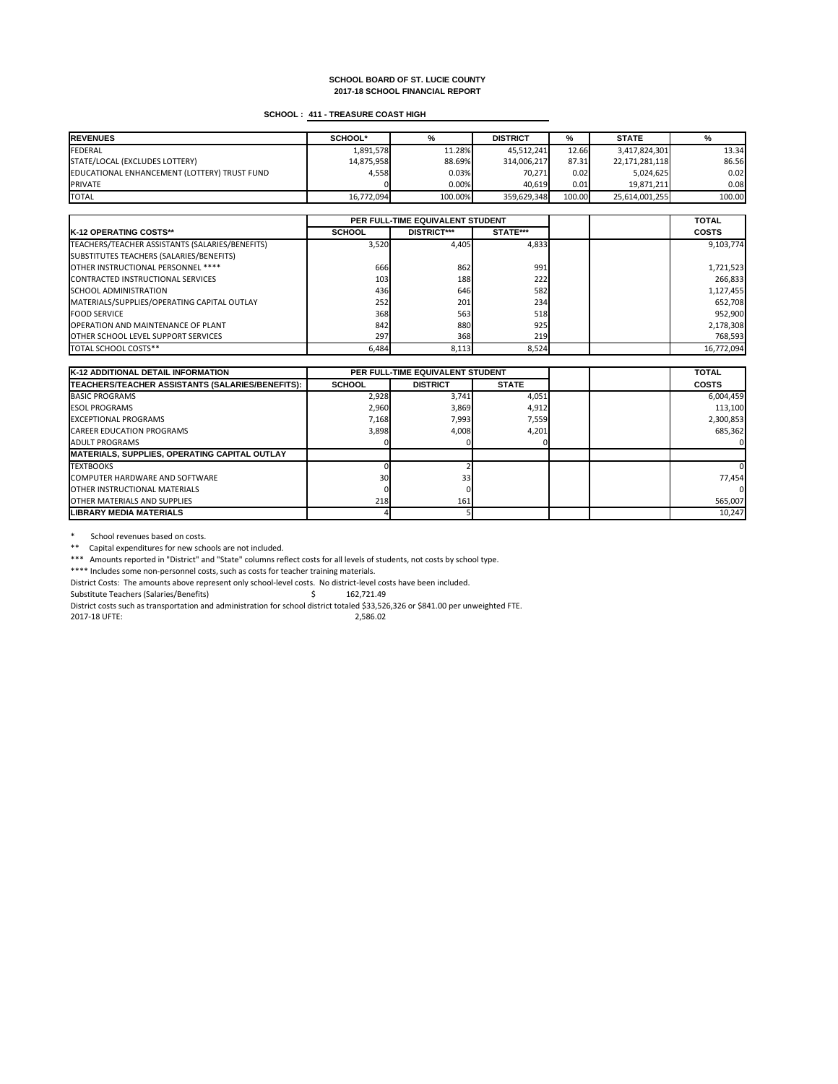# **SCHOOL : 411 - TREASURE COAST HIGH**

| <b>IREVENUES</b>                             | <b>SCHOOL*</b> | %       | <b>DISTRICT</b> | %      | <b>STATE</b>   | %      |
|----------------------------------------------|----------------|---------|-----------------|--------|----------------|--------|
| <b>FEDERAL</b>                               | 1,891,578      | 11.28%  | 45,512,241      | 12.66  | 3,417,824,301  | 13.34  |
| STATE/LOCAL (EXCLUDES LOTTERY)               | 14,875,958     | 88.69%  | 314,006,217     | 87.31  | 22,171,281,118 | 86.56  |
| EDUCATIONAL ENHANCEMENT (LOTTERY) TRUST FUND | 4,558          | 0.03%   | 70,271          | 0.02   | 5,024,625      | 0.02   |
| <b>PRIVATE</b>                               |                | 0.00%   | 40,619          | 0.01   | 19,871,211     | 0.08   |
| <b>TOTAL</b>                                 | 16,772,094     | 100.00% | 359,629,348     | 100.00 | 25,614,001,255 | 100.00 |

|                                                 | PER FULL-TIME EQUIVALENT STUDENT |                    |                 |  | <b>TOTAL</b> |
|-------------------------------------------------|----------------------------------|--------------------|-----------------|--|--------------|
| <b>IK-12 OPERATING COSTS**</b>                  | <b>SCHOOL</b>                    | <b>DISTRICT***</b> | <b>STATE***</b> |  | <b>COSTS</b> |
| TEACHERS/TEACHER ASSISTANTS (SALARIES/BENEFITS) | 3,520                            | 4,405              | 4,833           |  | 9,103,774    |
| SUBSTITUTES TEACHERS (SALARIES/BENEFITS)        |                                  |                    |                 |  |              |
| OTHER INSTRUCTIONAL PERSONNEL ****              | 666                              | 862                | 991             |  | 1,721,523    |
| CONTRACTED INSTRUCTIONAL SERVICES               | 103                              | 188                | 222             |  | 266,833      |
| <b>ISCHOOL ADMINISTRATION</b>                   | 436                              | 646                | 582             |  | 1,127,455    |
| MATERIALS/SUPPLIES/OPERATING CAPITAL OUTLAY     | 252                              | 201                | 234             |  | 652,708      |
| <b>FOOD SERVICE</b>                             | 368                              | 563                | 518             |  | 952,900      |
| <b>OPERATION AND MAINTENANCE OF PLANT</b>       | 842                              | 880                | 925             |  | 2,178,308    |
| <b>OTHER SCHOOL LEVEL SUPPORT SERVICES</b>      | 297                              | 368                | 219             |  | 768,593      |
| <b>TOTAL SCHOOL COSTS**</b>                     | 6,484                            | 8,113              | 8,524           |  | 16,772,094   |

\* School revenues based on costs.

\*\* Capital expenditures for new schools are not included.

| <b>K-12 ADDITIONAL DETAIL INFORMATION</b>            | <b>PER FULL-TIME EQUIVALENT STUDENT</b> |                 |              | <b>TOTAL</b> |              |
|------------------------------------------------------|-----------------------------------------|-----------------|--------------|--------------|--------------|
| TEACHERS/TEACHER ASSISTANTS (SALARIES/BENEFITS):     | <b>SCHOOL</b>                           | <b>DISTRICT</b> | <b>STATE</b> |              | <b>COSTS</b> |
| <b>BASIC PROGRAMS</b>                                | 2,928                                   | 3,741           | 4,051        |              | 6,004,459    |
| <b>IESOL PROGRAMS</b>                                | 2,960                                   | 3,869           | 4,912        |              | 113,100      |
| <b>EXCEPTIONAL PROGRAMS</b>                          | 7,168                                   | 7,993           | 7,559        |              | 2,300,853    |
| <b>CAREER EDUCATION PROGRAMS</b>                     | 3,898                                   | 4,008           | 4,201        |              | 685,362      |
| <b>JADULT PROGRAMS</b>                               |                                         |                 |              |              |              |
| <b>MATERIALS, SUPPLIES, OPERATING CAPITAL OUTLAY</b> |                                         |                 |              |              |              |
| <b>ITEXTBOOKS</b>                                    |                                         |                 |              |              |              |
| <b>ICOMPUTER HARDWARE AND SOFTWARE</b>               | 30I                                     | 33 <sub>l</sub> |              |              | 77,454       |
| <b>IOTHER INSTRUCTIONAL MATERIALS</b>                |                                         |                 |              |              |              |
| <b>IOTHER MATERIALS AND SUPPLIES</b>                 | 218                                     | 161             |              |              | 565,007      |
| <b>ILIBRARY MEDIA MATERIALS</b>                      |                                         |                 |              |              | 10,247       |

\*\*\* Amounts reported in "District" and "State" columns reflect costs for all levels of students, not costs by school type.

\*\*\*\* Includes some non-personnel costs, such as costs for teacher training materials.

District Costs: The amounts above represent only school-level costs. No district-level costs have been included.

Substitute Teachers (Salaries/Benefits) \$ 162,721.49

District costs such as transportation and administration for school district totaled \$33,526,326 or \$841.00 per unweighted FTE.

2017-18 UFTE: 2,586.02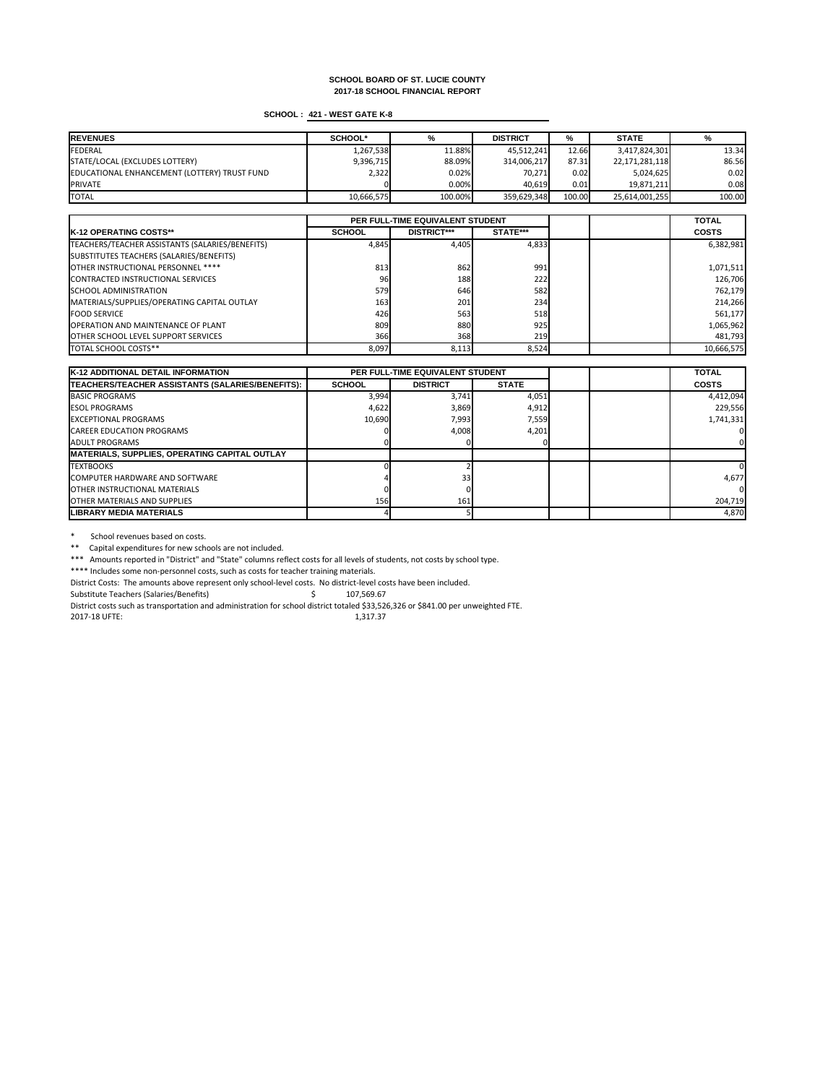# **SCHOOL : 421 - WEST GATE K-8**

| <b>REVENUES</b>                              | <b>SCHOOL*</b> | %       | <b>DISTRICT</b> | %      | <b>STATE</b>   | %      |
|----------------------------------------------|----------------|---------|-----------------|--------|----------------|--------|
| FEDERAL                                      | 1,267,538      | 11.88%  | 45,512,241      | 12.66  | 3,417,824,301  | 13.34  |
| STATE/LOCAL (EXCLUDES LOTTERY)               | 9,396,715      | 88.09%  | 314,006,217     | 87.31  | 22,171,281,118 | 86.56  |
| EDUCATIONAL ENHANCEMENT (LOTTERY) TRUST FUND | 2,322          | 0.02%   | 70,271          | 0.02   | 5,024,625      | 0.02   |
| <b>PRIVATE</b>                               |                | 0.00%   | 40,619          | 0.01   | 19,871,211     | 0.08   |
| <b>TOTAL</b>                                 | 10,666,575     | 100.00% | 359,629,348     | 100.00 | 25,614,001,255 | 100.00 |

|                                                 | PER FULL-TIME EQUIVALENT STUDENT |                    |                 |  | <b>TOTAL</b> |
|-------------------------------------------------|----------------------------------|--------------------|-----------------|--|--------------|
| <b>IK-12 OPERATING COSTS**</b>                  | <b>SCHOOL</b>                    | <b>DISTRICT***</b> | <b>STATE***</b> |  | <b>COSTS</b> |
| TEACHERS/TEACHER ASSISTANTS (SALARIES/BENEFITS) | 4,845                            | 4,405              | 4,833           |  | 6,382,981    |
| SUBSTITUTES TEACHERS (SALARIES/BENEFITS)        |                                  |                    |                 |  |              |
| OTHER INSTRUCTIONAL PERSONNEL ****              | 813                              | 862                | 991             |  | 1,071,511    |
| CONTRACTED INSTRUCTIONAL SERVICES               | 96                               | 188                | 222             |  | 126,706      |
| <b>SCHOOL ADMINISTRATION</b>                    | 579                              | 646                | 582             |  | 762,179      |
| MATERIALS/SUPPLIES/OPERATING CAPITAL OUTLAY     | 163                              | 201                | 234             |  | 214,266      |
| <b>FOOD SERVICE</b>                             | 426                              | 563                | 518             |  | 561,177      |
| <b>OPERATION AND MAINTENANCE OF PLANT</b>       | 809                              | 880                | 925             |  | 1,065,962    |
| <b>OTHER SCHOOL LEVEL SUPPORT SERVICES</b>      | 366                              | 368                | 219             |  | 481,793      |
| TOTAL SCHOOL COSTS**                            | 8,097                            | 8,113              | 8,524           |  | 10,666,575   |

\* School revenues based on costs.

\*\* Capital expenditures for new schools are not included.

| <b>K-12 ADDITIONAL DETAIL INFORMATION</b>            | <b>PER FULL-TIME EQUIVALENT STUDENT</b> |                 |              | <b>TOTAL</b> |              |
|------------------------------------------------------|-----------------------------------------|-----------------|--------------|--------------|--------------|
| TEACHERS/TEACHER ASSISTANTS (SALARIES/BENEFITS):     | <b>SCHOOL</b>                           | <b>DISTRICT</b> | <b>STATE</b> |              | <b>COSTS</b> |
| <b>BASIC PROGRAMS</b>                                | 3,994                                   | 3,741           | 4,051        |              | 4,412,094    |
| <b>IESOL PROGRAMS</b>                                | 4,622                                   | 3,869           | 4,912        |              | 229,556      |
| <b>IEXCEPTIONAL PROGRAMS</b>                         | 10,690                                  | 7,993           | 7,559        |              | 1,741,331    |
| <b>CAREER EDUCATION PROGRAMS</b>                     |                                         | 4,008           | 4,201        |              |              |
| <b>JADULT PROGRAMS</b>                               |                                         |                 |              |              |              |
| <b>MATERIALS, SUPPLIES, OPERATING CAPITAL OUTLAY</b> |                                         |                 |              |              |              |
| <b>TEXTBOOKS</b>                                     |                                         |                 |              |              |              |
| COMPUTER HARDWARE AND SOFTWARE                       |                                         | 33 <sub>l</sub> |              |              | 4,677        |
| <b>IOTHER INSTRUCTIONAL MATERIALS</b>                |                                         |                 |              |              |              |
| <b>OTHER MATERIALS AND SUPPLIES</b>                  | 156                                     | 161             |              |              | 204,719      |
| LIBRARY MEDIA MATERIALS                              |                                         |                 |              |              | 4,870        |

\*\*\* Amounts reported in "District" and "State" columns reflect costs for all levels of students, not costs by school type.

\*\*\*\* Includes some non-personnel costs, such as costs for teacher training materials.

District Costs: The amounts above represent only school-level costs. No district-level costs have been included.

Substitute Teachers (Salaries/Benefits) \$ 107,569.67

District costs such as transportation and administration for school district totaled \$33,526,326 or \$841.00 per unweighted FTE.

2017-18 UFTE: 1,317.37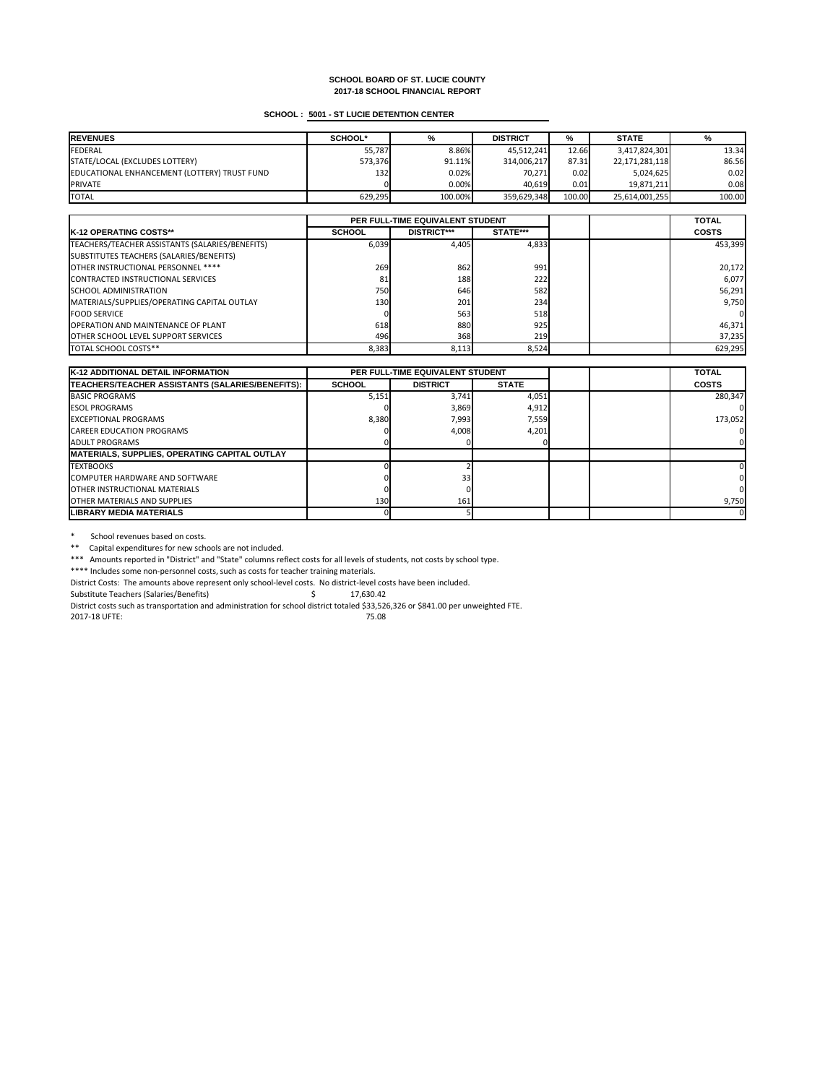# **SCHOOL : 5001 - ST LUCIE DETENTION CENTER**

| <b>REVENUES</b>                              | <b>SCHOOL*</b> | %       | <b>DISTRICT</b> | %      | <b>STATE</b>   | %      |
|----------------------------------------------|----------------|---------|-----------------|--------|----------------|--------|
| FEDERAL                                      | 55,787         | 8.86%   | 45,512,241      | 12.66  | 3,417,824,301  | 13.34  |
| STATE/LOCAL (EXCLUDES LOTTERY)               | 573,376        | 91.11%  | 314,006,217     | 87.31  | 22,171,281,118 | 86.56  |
| EDUCATIONAL ENHANCEMENT (LOTTERY) TRUST FUND | 132            | 0.02%   | 70,271          | 0.02   | 5,024,625      | 0.02   |
| <b>PRIVATE</b>                               |                | 0.00%   | 40,619          | 0.01   | 19,871,211     | 0.08   |
| <b>TOTAL</b>                                 | 629,295        | 100.00% | 359,629,348     | 100.00 | 25,614,001,255 | 100.00 |

|                                                 | PER FULL-TIME EQUIVALENT STUDENT |                    |            |  | <b>TOTAL</b> |
|-------------------------------------------------|----------------------------------|--------------------|------------|--|--------------|
| <b>IK-12 OPERATING COSTS**</b>                  | <b>SCHOOL</b>                    | <b>DISTRICT***</b> | STATE***   |  | <b>COSTS</b> |
| TEACHERS/TEACHER ASSISTANTS (SALARIES/BENEFITS) | 6,039                            | 4,405              | 4,833      |  | 453,399      |
| SUBSTITUTES TEACHERS (SALARIES/BENEFITS)        |                                  |                    |            |  |              |
| OTHER INSTRUCTIONAL PERSONNEL ****              | 269                              | 862                | 991        |  | 20,172       |
| CONTRACTED INSTRUCTIONAL SERVICES               | 81                               | 188                | 222        |  | 6,077        |
| <b>SCHOOL ADMINISTRATION</b>                    | 750                              | 646                | 582        |  | 56,291       |
| MATERIALS/SUPPLIES/OPERATING CAPITAL OUTLAY     | 130                              | 201                | 234        |  | 9,750        |
| <b>FOOD SERVICE</b>                             |                                  | 563                | 518        |  | 0            |
| <b>OPERATION AND MAINTENANCE OF PLANT</b>       | 618                              | 880                | 925        |  | 46,371       |
| <b>OTHER SCHOOL LEVEL SUPPORT SERVICES</b>      | 496                              | 368                | <b>219</b> |  | 37,235       |
| <b>TOTAL SCHOOL COSTS**</b>                     | 8,383                            | 8,113              | 8,524      |  | 629,295      |

\* School revenues based on costs.

\*\* Capital expenditures for new schools are not included.

| <b>K-12 ADDITIONAL DETAIL INFORMATION</b>            | <b>PER FULL-TIME EQUIVALENT STUDENT</b> |                 |              | <b>TOTAL</b> |              |
|------------------------------------------------------|-----------------------------------------|-----------------|--------------|--------------|--------------|
| TEACHERS/TEACHER ASSISTANTS (SALARIES/BENEFITS):     | <b>SCHOOL</b>                           | <b>DISTRICT</b> | <b>STATE</b> |              | <b>COSTS</b> |
| BASIC PROGRAMS                                       | 5,151                                   | 3,741           | 4,051        |              | 280,347      |
| <b>ESOL PROGRAMS</b>                                 |                                         | 3,869           | 4,912        |              |              |
| <b>IEXCEPTIONAL PROGRAMS</b>                         | 8,380                                   | 7,993           | 7,559        |              | 173,052      |
| <b>CAREER EDUCATION PROGRAMS</b>                     |                                         | 4,008           | 4,201        |              |              |
| <b>JADULT PROGRAMS</b>                               |                                         |                 |              |              |              |
| <b>MATERIALS, SUPPLIES, OPERATING CAPITAL OUTLAY</b> |                                         |                 |              |              |              |
| <b>TEXTBOOKS</b>                                     |                                         |                 |              |              |              |
| COMPUTER HARDWARE AND SOFTWARE                       |                                         | 33 <sub>h</sub> |              |              |              |
| <b>IOTHER INSTRUCTIONAL MATERIALS</b>                |                                         |                 |              |              |              |
| <b>JOTHER MATERIALS AND SUPPLIES</b>                 | 130                                     | 161             |              |              | 9,750        |
| ILIBRARY MEDIA MATERIALS                             |                                         |                 |              |              | 01           |

\*\*\* Amounts reported in "District" and "State" columns reflect costs for all levels of students, not costs by school type.

\*\*\*\* Includes some non-personnel costs, such as costs for teacher training materials.

District Costs: The amounts above represent only school-level costs. No district-level costs have been included.

Substitute Teachers (Salaries/Benefits)  $\qquad \qquad$  \$ 17,630.42

District costs such as transportation and administration for school district totaled \$33,526,326 or \$841.00 per unweighted FTE.

2017-18 UFTE: 75.08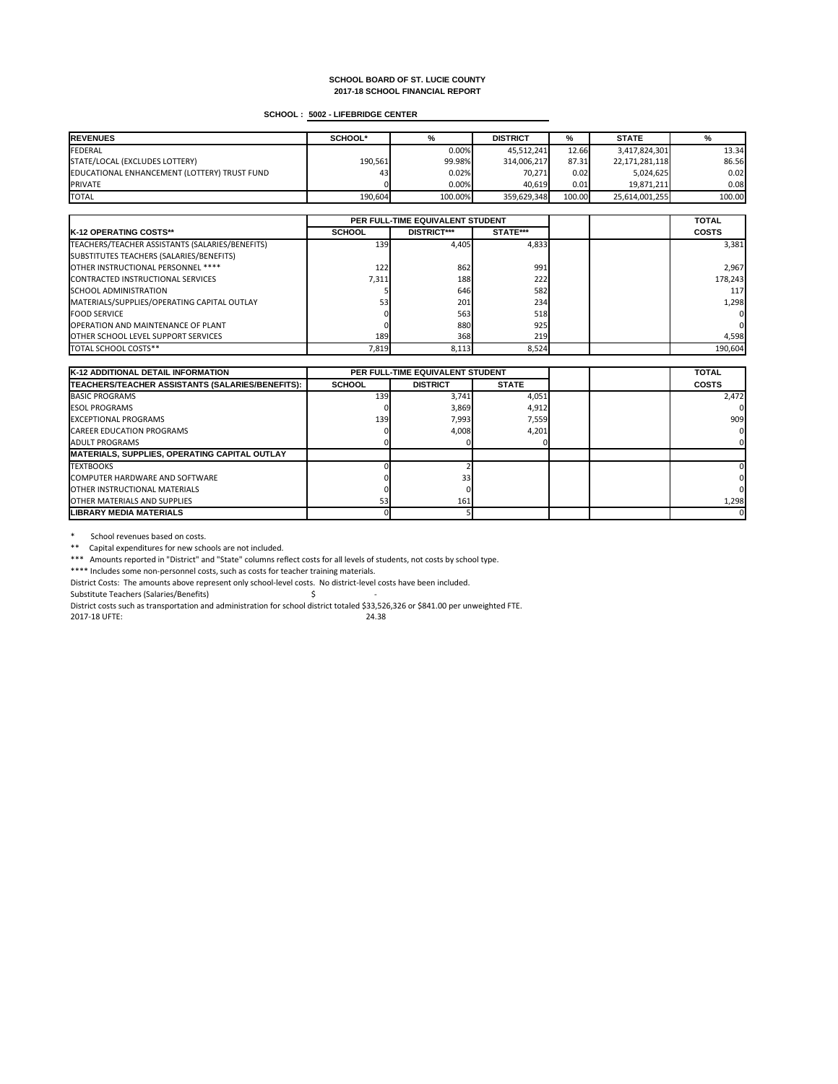# **SCHOOL : 5002 - LIFEBRIDGE CENTER**

| <b>IREVENUES</b>                             | <b>SCHOOL*</b> | %       | <b>DISTRICT</b> | %      | <b>STATE</b>   |        |
|----------------------------------------------|----------------|---------|-----------------|--------|----------------|--------|
| <b>FEDERAL</b>                               |                | 0.00%   | 45,512,241      | 12.66  | 3,417,824,301  | 13.34  |
| STATE/LOCAL (EXCLUDES LOTTERY)               | 190,561        | 99.98%  | 314,006,217     | 87.31  | 22,171,281,118 | 86.56  |
| EDUCATIONAL ENHANCEMENT (LOTTERY) TRUST FUND | 43             | 0.02%   | 70,271          | 0.02   | 5,024,625      | 0.02   |
| <b>PRIVATE</b>                               |                | 0.00%   | 40,619          | 0.01   | 19,871,211     | 0.08   |
| <b>TOTAL</b>                                 | 190,604        | 100.00% | 359,629,348     | 100.00 | 25,614,001,255 | 100.00 |

|                                                 | PER FULL-TIME EQUIVALENT STUDENT |                    |                 |  | <b>TOTAL</b> |
|-------------------------------------------------|----------------------------------|--------------------|-----------------|--|--------------|
| <b>IK-12 OPERATING COSTS**</b>                  | <b>SCHOOL</b>                    | <b>DISTRICT***</b> | <b>STATE***</b> |  | <b>COSTS</b> |
| TEACHERS/TEACHER ASSISTANTS (SALARIES/BENEFITS) | 139 <b>1</b>                     | 4,405              | 4,833           |  | 3,381        |
| SUBSTITUTES TEACHERS (SALARIES/BENEFITS)        |                                  |                    |                 |  |              |
| OTHER INSTRUCTIONAL PERSONNEL ****              | 122                              | 862                | 991             |  | 2,967        |
| CONTRACTED INSTRUCTIONAL SERVICES               | 7,311                            | 188                | 222             |  | 178,243      |
| <b>SCHOOL ADMINISTRATION</b>                    |                                  | 646                | 582             |  | 117          |
| MATERIALS/SUPPLIES/OPERATING CAPITAL OUTLAY     | 53 <sub>h</sub>                  | 201                | 234             |  | 1,298        |
| <b>IFOOD SERVICE</b>                            |                                  | 563                | 518             |  | 0I           |
| <b>OPERATION AND MAINTENANCE OF PLANT</b>       |                                  | 880                | 925             |  | 01           |
| <b>OTHER SCHOOL LEVEL SUPPORT SERVICES</b>      | 189 <b>1</b>                     | 368                | 219             |  | 4,598        |
| <b>TOTAL SCHOOL COSTS**</b>                     | 7,819                            | 8,113              | 8,524           |  | 190,604      |

\* School revenues based on costs.

\*\* Capital expenditures for new schools are not included.

| <b>K-12 ADDITIONAL DETAIL INFORMATION</b>            | <b>PER FULL-TIME EQUIVALENT STUDENT</b> |                 |              | <b>TOTAL</b> |              |
|------------------------------------------------------|-----------------------------------------|-----------------|--------------|--------------|--------------|
| TEACHERS/TEACHER ASSISTANTS (SALARIES/BENEFITS):     | <b>SCHOOL</b>                           | <b>DISTRICT</b> | <b>STATE</b> |              | <b>COSTS</b> |
| <b>BASIC PROGRAMS</b>                                | 139                                     | 3,741           | 4,051        |              | 2,472        |
| <b>ESOL PROGRAMS</b>                                 |                                         | 3,869           | 4,912        |              |              |
| <b>EXCEPTIONAL PROGRAMS</b>                          | 139                                     | 7,993           | 7,559        |              | 909          |
| <b>CAREER EDUCATION PROGRAMS</b>                     |                                         | 4,008           | 4,201        |              |              |
| <b>JADULT PROGRAMS</b>                               |                                         |                 |              |              |              |
| <b>MATERIALS, SUPPLIES, OPERATING CAPITAL OUTLAY</b> |                                         |                 |              |              |              |
| <b>TEXTBOOKS</b>                                     |                                         |                 |              |              |              |
| <b>ICOMPUTER HARDWARE AND SOFTWARE</b>               |                                         | 33I             |              |              |              |
| <b>IOTHER INSTRUCTIONAL MATERIALS</b>                |                                         |                 |              |              |              |
| <b>IOTHER MATERIALS AND SUPPLIES</b>                 | 53                                      | 161             |              |              | 1,298        |
| <b>ILIBRARY MEDIA MATERIALS</b>                      |                                         |                 |              |              |              |

\*\*\* Amounts reported in "District" and "State" columns reflect costs for all levels of students, not costs by school type.

\*\*\*\* Includes some non-personnel costs, such as costs for teacher training materials.

District Costs: The amounts above represent only school-level costs. No district-level costs have been included.

Substitute Teachers (Salaries/Benefits) \$ -

District costs such as transportation and administration for school district totaled \$33,526,326 or \$841.00 per unweighted FTE.

2017-18 UFTE: 24.38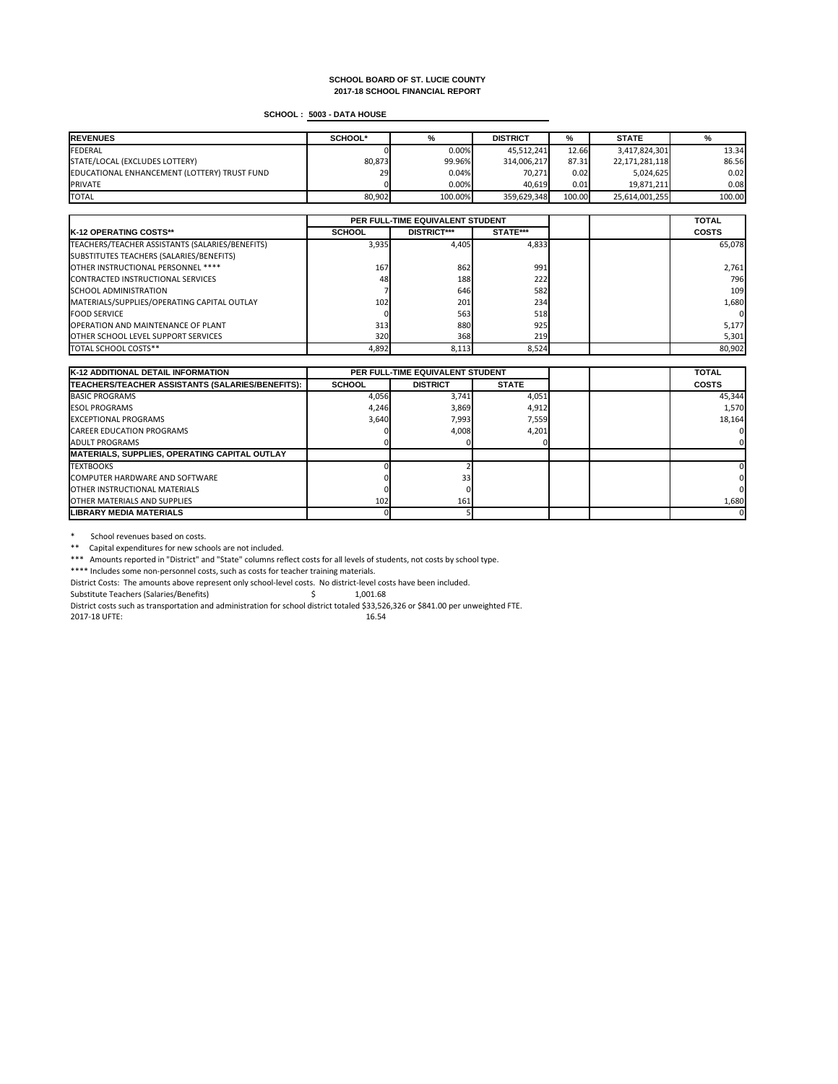# **SCHOOL : 5003 - DATA HOUSE**

| <b>IREVENUES</b>                             | <b>SCHOOL*</b> | %       | <b>DISTRICT</b> | %      | <b>STATE</b>   |        |
|----------------------------------------------|----------------|---------|-----------------|--------|----------------|--------|
| FEDERAL                                      |                | 0.00%   | 45,512,241      | 12.66  | 3,417,824,301  | 13.34  |
| STATE/LOCAL (EXCLUDES LOTTERY)               | 80,873         | 99.96%  | 314,006,217     | 87.31  | 22,171,281,118 | 86.56  |
| EDUCATIONAL ENHANCEMENT (LOTTERY) TRUST FUND | 29             | 0.04%   | 70,271          | 0.02   | 5,024,625      | 0.02   |
| <b>IPRIVATE</b>                              |                | 0.00%   | 40,619          | 0.01   | 19,871,211     | 0.08   |
| <b>TOTAL</b>                                 | 80,902         | 100.00% | 359,629,348     | 100.00 | 25,614,001,255 | 100.00 |

|                                                 | PER FULL-TIME EQUIVALENT STUDENT |                    |                 |  | <b>TOTAL</b> |
|-------------------------------------------------|----------------------------------|--------------------|-----------------|--|--------------|
| <b>IK-12 OPERATING COSTS**</b>                  | <b>SCHOOL</b>                    | <b>DISTRICT***</b> | <b>STATE***</b> |  | <b>COSTS</b> |
| TEACHERS/TEACHER ASSISTANTS (SALARIES/BENEFITS) | 3,935                            | 4,405              | 4,833           |  | 65,078       |
| SUBSTITUTES TEACHERS (SALARIES/BENEFITS)        |                                  |                    |                 |  |              |
| OTHER INSTRUCTIONAL PERSONNEL ****              | 167                              | 862                | 991             |  | 2,761        |
| CONTRACTED INSTRUCTIONAL SERVICES               | 48                               | 188                | 222             |  | 796          |
| <b>SCHOOL ADMINISTRATION</b>                    |                                  | 646                | 582             |  | 109          |
| MATERIALS/SUPPLIES/OPERATING CAPITAL OUTLAY     | 102                              | 201                | 234             |  | 1,680        |
| <b>IFOOD SERVICE</b>                            |                                  | 563                | 518             |  | 0I           |
| <b>OPERATION AND MAINTENANCE OF PLANT</b>       | 313                              | 880                | 925             |  | 5,177        |
| <b>OTHER SCHOOL LEVEL SUPPORT SERVICES</b>      | 320                              | 368                | 219             |  | 5,301        |
| <b>TOTAL SCHOOL COSTS**</b>                     | 4,892                            | 8,113              | 8,524           |  | 80,902       |

\* School revenues based on costs.

\*\* Capital expenditures for new schools are not included.

| <b>K-12 ADDITIONAL DETAIL INFORMATION</b>            | <b>PER FULL-TIME EQUIVALENT STUDENT</b> |                 |              | <b>TOTAL</b> |              |
|------------------------------------------------------|-----------------------------------------|-----------------|--------------|--------------|--------------|
| TEACHERS/TEACHER ASSISTANTS (SALARIES/BENEFITS):     | <b>SCHOOL</b>                           | <b>DISTRICT</b> | <b>STATE</b> |              | <b>COSTS</b> |
| BASIC PROGRAMS                                       | 4,056                                   | 3,741           | 4,051        |              | 45,344       |
| <b>ESOL PROGRAMS</b>                                 | 4,246                                   | 3,869           | 4,912        |              | 1,570        |
| <b>IEXCEPTIONAL PROGRAMS</b>                         | 3,640                                   | 7,993           | 7,559        |              | 18,164       |
| <b>CAREER EDUCATION PROGRAMS</b>                     |                                         | 4,008           | 4,201        |              |              |
| <b>JADULT PROGRAMS</b>                               |                                         |                 |              |              |              |
| <b>MATERIALS, SUPPLIES, OPERATING CAPITAL OUTLAY</b> |                                         |                 |              |              |              |
| <b>TEXTBOOKS</b>                                     |                                         |                 |              |              |              |
| ICOMPUTER HARDWARE AND SOFTWARE                      |                                         | 33 <sub>h</sub> |              |              |              |
| <b>IOTHER INSTRUCTIONAL MATERIALS</b>                |                                         |                 |              |              |              |
| <b>JOTHER MATERIALS AND SUPPLIES</b>                 | 102                                     | 161             |              |              | 1,680        |
| ILIBRARY MEDIA MATERIALS                             |                                         |                 |              |              | 01           |

\*\*\* Amounts reported in "District" and "State" columns reflect costs for all levels of students, not costs by school type.

\*\*\*\* Includes some non-personnel costs, such as costs for teacher training materials.

District Costs: The amounts above represent only school-level costs. No district-level costs have been included.

Substitute Teachers (Salaries/Benefits)  $\qquad \qquad$  \$ 1,001.68

District costs such as transportation and administration for school district totaled \$33,526,326 or \$841.00 per unweighted FTE.

2017-18 UFTE: 16.54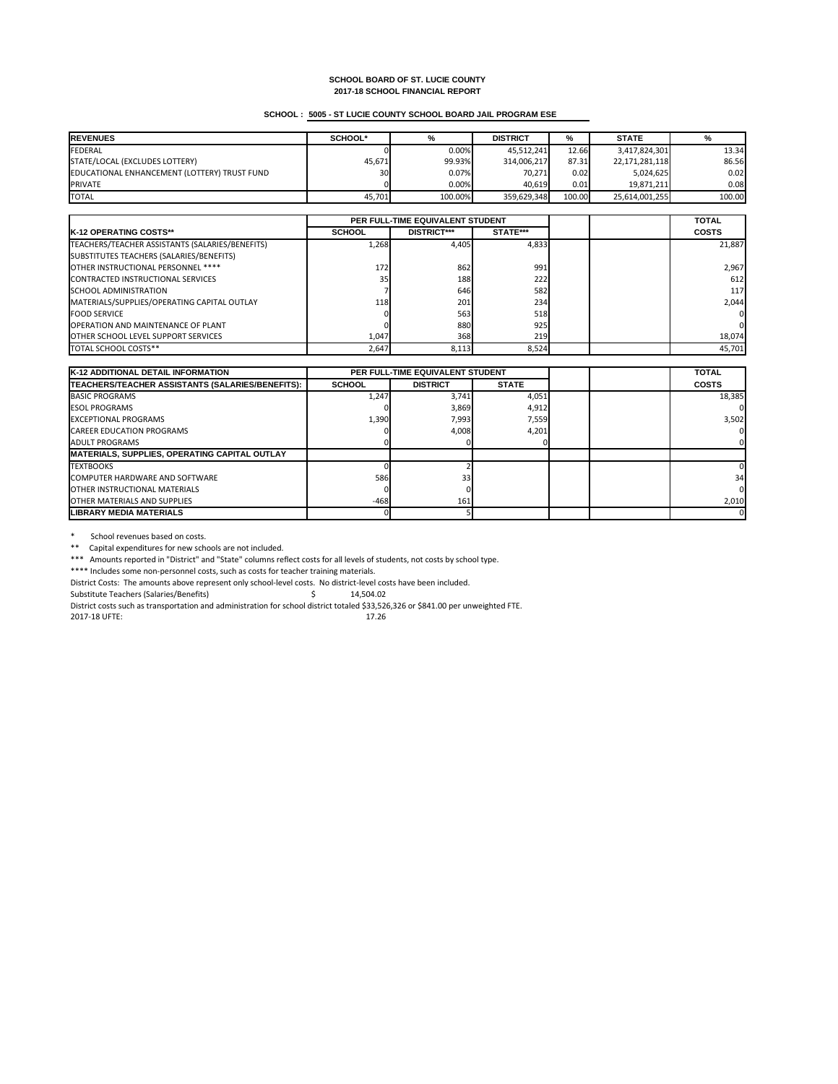# **SCHOOL : 5005 - ST LUCIE COUNTY SCHOOL BOARD JAIL PROGRAM ESE**

| <b>REVENUES</b>                              | <b>SCHOOL*</b> | %       | <b>DISTRICT</b> | %      | <b>STATE</b>   | %      |
|----------------------------------------------|----------------|---------|-----------------|--------|----------------|--------|
| FEDERAL                                      |                | 0.00%   | 45,512,241      | 12.66  | 3,417,824,301  | 13.34  |
| STATE/LOCAL (EXCLUDES LOTTERY)               | 45,671         | 99.93%  | 314,006,217     | 87.31  | 22,171,281,118 | 86.56  |
| EDUCATIONAL ENHANCEMENT (LOTTERY) TRUST FUND | 30             | 0.07%   | 70,271          | 0.02   | 5,024,625      | 0.02   |
| <b>IPRIVATE</b>                              |                | 0.00%   | 40,619          | 0.01   | 19,871,211     | 0.08   |
| <b>TOTAL</b>                                 | 45,701         | 100.00% | 359,629,348     | 100.00 | 25,614,001,255 | 100.00 |

|                                                 | PER FULL-TIME EQUIVALENT STUDENT |                    |          |  | <b>TOTAL</b>   |
|-------------------------------------------------|----------------------------------|--------------------|----------|--|----------------|
| <b>IK-12 OPERATING COSTS**</b>                  | <b>SCHOOL</b>                    | <b>DISTRICT***</b> | STATE*** |  | <b>COSTS</b>   |
| TEACHERS/TEACHER ASSISTANTS (SALARIES/BENEFITS) | 1,268                            | 4,405              | 4,833    |  | 21,887         |
| SUBSTITUTES TEACHERS (SALARIES/BENEFITS)        |                                  |                    |          |  |                |
| OTHER INSTRUCTIONAL PERSONNEL ****              | 172 <sup>1</sup>                 | 862                | 991      |  | 2,967          |
| CONTRACTED INSTRUCTIONAL SERVICES               | 35                               | 188                | 222      |  | 612            |
| <b>ISCHOOL ADMINISTRATION</b>                   |                                  | 646                | 582      |  | <b>117</b>     |
| MATERIALS/SUPPLIES/OPERATING CAPITAL OUTLAY     | <b>118</b>                       | 201                | 234      |  | 2,044          |
| <b>FOOD SERVICE</b>                             |                                  | 563                | 518      |  | 01             |
| <b>OPERATION AND MAINTENANCE OF PLANT</b>       |                                  | 880                | 925      |  | $\overline{0}$ |
| <b>OTHER SCHOOL LEVEL SUPPORT SERVICES</b>      | 1,047                            | 368                | 219      |  | 18,074         |
| <b>ITOTAL SCHOOL COSTS**</b>                    | 2,647                            | 8,113              | 8,524    |  | 45,701         |

\* School revenues based on costs.

\*\* Capital expenditures for new schools are not included.

\*\*\* Amounts reported in "District" and "State" columns reflect costs for all levels of students, not costs by school type.

| <b>K-12 ADDITIONAL DETAIL INFORMATION</b>            | <b>PER FULL-TIME EQUIVALENT STUDENT</b> |                 |              | <b>TOTAL</b> |              |
|------------------------------------------------------|-----------------------------------------|-----------------|--------------|--------------|--------------|
| TEACHERS/TEACHER ASSISTANTS (SALARIES/BENEFITS):     | <b>SCHOOL</b>                           | <b>DISTRICT</b> | <b>STATE</b> |              | <b>COSTS</b> |
| BASIC PROGRAMS                                       | 1,247                                   | 3,741           | 4,051        |              | 18,385       |
| <b>ESOL PROGRAMS</b>                                 |                                         | 3,869           | 4,912        |              |              |
| <b>IEXCEPTIONAL PROGRAMS</b>                         | 1,390                                   | 7,993           | 7,559        |              | 3,502        |
| <b>CAREER EDUCATION PROGRAMS</b>                     |                                         | 4,008           | 4,201        |              |              |
| <b>JADULT PROGRAMS</b>                               |                                         |                 |              |              |              |
| <b>MATERIALS, SUPPLIES, OPERATING CAPITAL OUTLAY</b> |                                         |                 |              |              |              |
| <b>TEXTBOOKS</b>                                     |                                         |                 |              |              |              |
| COMPUTER HARDWARE AND SOFTWARE                       | 586                                     | 33 <sub>h</sub> |              |              | 34           |
| <b>IOTHER INSTRUCTIONAL MATERIALS</b>                |                                         |                 |              |              |              |
| <b>JOTHER MATERIALS AND SUPPLIES</b>                 | $-468$                                  | 161             |              |              | 2,010        |
| ILIBRARY MEDIA MATERIALS                             |                                         |                 |              |              | 0            |

\*\*\*\* Includes some non-personnel costs, such as costs for teacher training materials.

District Costs: The amounts above represent only school-level costs. No district-level costs have been included.

Substitute Teachers (Salaries/Benefits) \$ 14,504.02

District costs such as transportation and administration for school district totaled \$33,526,326 or \$841.00 per unweighted FTE.

2017-18 UFTE: 17.26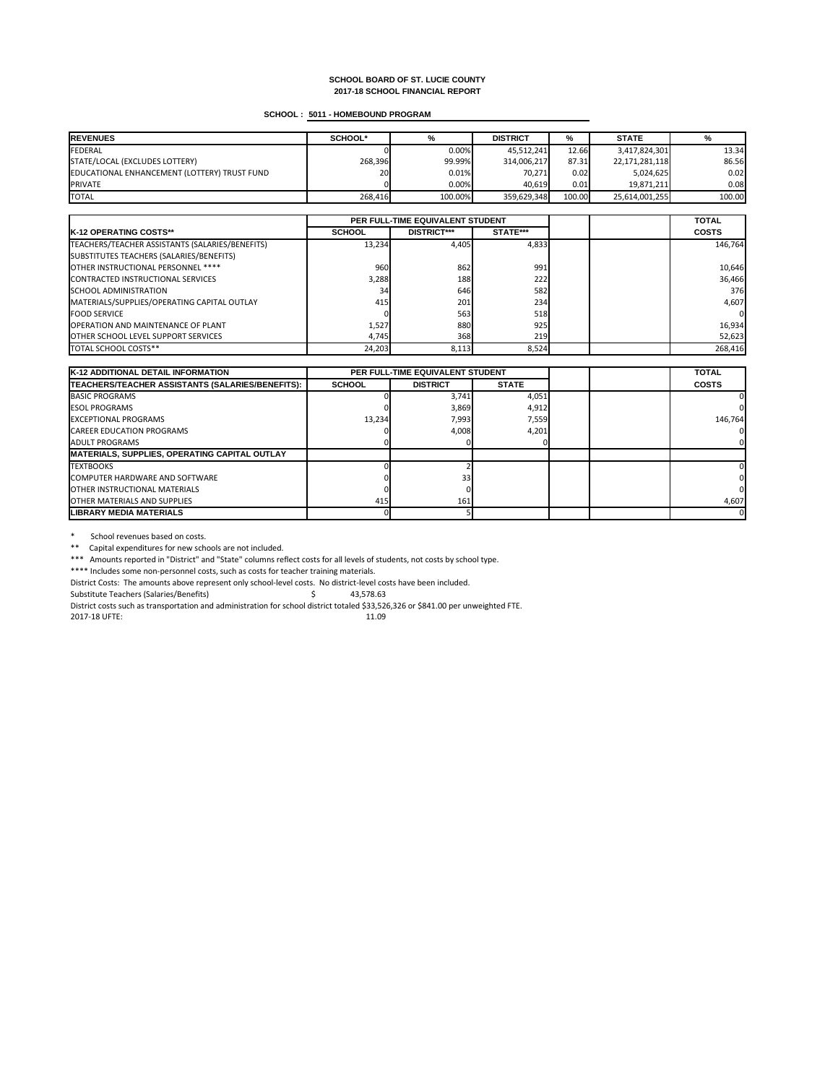# **SCHOOL : 5011 - HOMEBOUND PROGRAM**

| <b>IREVENUES</b>                             | <b>SCHOOL*</b> | %       | <b>DISTRICT</b> | %      | <b>STATE</b>   | %      |
|----------------------------------------------|----------------|---------|-----------------|--------|----------------|--------|
| FEDERAL                                      |                | 0.00%   | 45,512,241      | 12.66  | 3,417,824,301  | 13.34  |
| STATE/LOCAL (EXCLUDES LOTTERY)               | 268,396        | 99.99%  | 314,006,217     | 87.31  | 22,171,281,118 | 86.56  |
| EDUCATIONAL ENHANCEMENT (LOTTERY) TRUST FUND | 20             | 0.01%   | 70,271          | 0.02   | 5,024,625      | 0.02   |
| <b>IPRIVATE</b>                              |                | 0.00%   | 40,619          | 0.01   | 19,871,211     | 0.08   |
| <b>TOTAL</b>                                 | 268,416        | 100.00% | 359,629,348     | 100.00 | 25,614,001,255 | 100.00 |

|                                                 | PER FULL-TIME EQUIVALENT STUDENT |                    |          |  | <b>TOTAL</b> |
|-------------------------------------------------|----------------------------------|--------------------|----------|--|--------------|
| <b>K-12 OPERATING COSTS**</b>                   | <b>SCHOOL</b>                    | <b>DISTRICT***</b> | STATE*** |  | <b>COSTS</b> |
| TEACHERS/TEACHER ASSISTANTS (SALARIES/BENEFITS) | 13,234                           | 4,405              | 4,833    |  | 146,764      |
| SUBSTITUTES TEACHERS (SALARIES/BENEFITS)        |                                  |                    |          |  |              |
| OTHER INSTRUCTIONAL PERSONNEL ****              | 960                              | 862                | 991      |  | 10,646       |
| CONTRACTED INSTRUCTIONAL SERVICES               | 3,288                            | 188                | 222      |  | 36,466       |
| <b>ISCHOOL ADMINISTRATION</b>                   | 34                               | 646                | 582      |  | 376          |
| MATERIALS/SUPPLIES/OPERATING CAPITAL OUTLAY     | 415                              | 201                | 234      |  | 4,607        |
| <b>FOOD SERVICE</b>                             |                                  | 563                | 518      |  | 0            |
| <b>OPERATION AND MAINTENANCE OF PLANT</b>       | 1,527                            | 880                | 925      |  | 16,934       |
| <b>OTHER SCHOOL LEVEL SUPPORT SERVICES</b>      | 4,745                            | 368                | 219      |  | 52,623       |
| TOTAL SCHOOL COSTS**                            | 24,203                           | 8,113              | 8,524    |  | 268,416      |

\* School revenues based on costs.

\*\* Capital expenditures for new schools are not included.

| <b>K-12 ADDITIONAL DETAIL INFORMATION</b>            | <b>PER FULL-TIME EQUIVALENT STUDENT</b> |                 |              | <b>TOTAL</b> |              |
|------------------------------------------------------|-----------------------------------------|-----------------|--------------|--------------|--------------|
| TEACHERS/TEACHER ASSISTANTS (SALARIES/BENEFITS):     | <b>SCHOOL</b>                           | <b>DISTRICT</b> | <b>STATE</b> |              | <b>COSTS</b> |
| <b>BASIC PROGRAMS</b>                                |                                         | 3,741           | 4,051        |              |              |
| <b>ESOL PROGRAMS</b>                                 |                                         | 3,869           | 4,912        |              |              |
| <b>IEXCEPTIONAL PROGRAMS</b>                         | 13,234                                  | 7,993           | 7,559        |              | 146,764      |
| <b>CAREER EDUCATION PROGRAMS</b>                     |                                         | 4,008           | 4,201        |              |              |
| <b>JADULT PROGRAMS</b>                               |                                         |                 |              |              |              |
| <b>MATERIALS, SUPPLIES, OPERATING CAPITAL OUTLAY</b> |                                         |                 |              |              |              |
| <b>TEXTBOOKS</b>                                     |                                         |                 |              |              |              |
| <b>ICOMPUTER HARDWARE AND SOFTWARE</b>               |                                         | 331             |              |              | ΩL           |
| <b>IOTHER INSTRUCTIONAL MATERIALS</b>                |                                         |                 |              |              |              |
| <b>IOTHER MATERIALS AND SUPPLIES</b>                 | 415                                     | 161             |              |              | 4,607        |
| <b>ILIBRARY MEDIA MATERIALS</b>                      |                                         |                 |              |              |              |

\*\*\* Amounts reported in "District" and "State" columns reflect costs for all levels of students, not costs by school type.

\*\*\*\* Includes some non-personnel costs, such as costs for teacher training materials.

District Costs: The amounts above represent only school-level costs. No district-level costs have been included.

Substitute Teachers (Salaries/Benefits)  $\zeta$  43,578.63

District costs such as transportation and administration for school district totaled \$33,526,326 or \$841.00 per unweighted FTE.

2017-18 UFTE: 11.09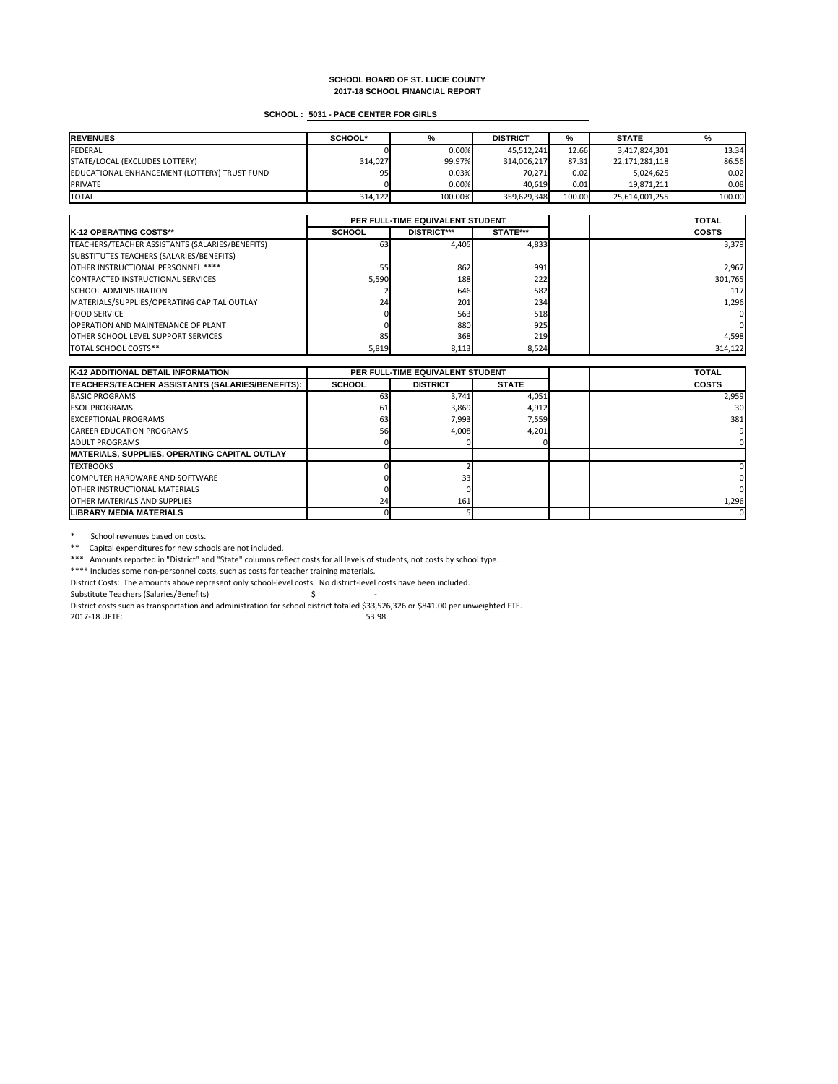# **SCHOOL : 5031 - PACE CENTER FOR GIRLS**

| <b>IREVENUES</b>                             | <b>SCHOOL*</b> | %       | <b>DISTRICT</b> | %      | <b>STATE</b>   | %      |
|----------------------------------------------|----------------|---------|-----------------|--------|----------------|--------|
| FEDERAL                                      |                | 0.00%   | 45,512,241      | 12.66  | 3,417,824,301  | 13.34  |
| STATE/LOCAL (EXCLUDES LOTTERY)               | 314,027        | 99.97%  | 314,006,217     | 87.31  | 22,171,281,118 | 86.56  |
| EDUCATIONAL ENHANCEMENT (LOTTERY) TRUST FUND | 95             | 0.03%   | 70,271          | 0.02   | 5,024,625      | 0.02   |
| <b>PRIVATE</b>                               |                | 0.00%   | 40,619          | 0.01   | 19,871,211     | 0.08   |
| <b>TOTAL</b>                                 | 314,122        | 100.00% | 359,629,348     | 100.00 | 25,614,001,255 | 100.00 |

|                                                 | PER FULL-TIME EQUIVALENT STUDENT |                    |          |  | <b>TOTAL</b>   |
|-------------------------------------------------|----------------------------------|--------------------|----------|--|----------------|
| <b>IK-12 OPERATING COSTS**</b>                  | <b>SCHOOL</b>                    | <b>DISTRICT***</b> | STATE*** |  | <b>COSTS</b>   |
| TEACHERS/TEACHER ASSISTANTS (SALARIES/BENEFITS) | 631                              | 4,405              | 4,833    |  | 3,379          |
| SUBSTITUTES TEACHERS (SALARIES/BENEFITS)        |                                  |                    |          |  |                |
| OTHER INSTRUCTIONAL PERSONNEL ****              | <b>551</b>                       | 862                | 991      |  | 2,967          |
| CONTRACTED INSTRUCTIONAL SERVICES               | 5,590                            | 188                | 222      |  | 301,765        |
| <b>SCHOOL ADMINISTRATION</b>                    |                                  | 646                | 582      |  | <b>117</b>     |
| MATERIALS/SUPPLIES/OPERATING CAPITAL OUTLAY     | 24                               | 201                | 234      |  | 1,296          |
| <b>FOOD SERVICE</b>                             |                                  | 563                | 518      |  | 0              |
| <b>OPERATION AND MAINTENANCE OF PLANT</b>       |                                  | 880                | 925      |  | $\overline{0}$ |
| <b>OTHER SCHOOL LEVEL SUPPORT SERVICES</b>      | 85                               | 368                | 219      |  | 4,598          |
| <b>TOTAL SCHOOL COSTS**</b>                     | 5,819                            | 8,113              | 8,524    |  | 314,122        |

\* School revenues based on costs.

\*\* Capital expenditures for new schools are not included.

| K-12 ADDITIONAL DETAIL INFORMATION                   |               | <b>PER FULL-TIME EQUIVALENT STUDENT</b> |              |  | <b>TOTAL</b>    |
|------------------------------------------------------|---------------|-----------------------------------------|--------------|--|-----------------|
| TEACHERS/TEACHER ASSISTANTS (SALARIES/BENEFITS):     | <b>SCHOOL</b> | <b>DISTRICT</b>                         | <b>STATE</b> |  | <b>COSTS</b>    |
| <b>BASIC PROGRAMS</b>                                | 63            | 3,741                                   | 4,051        |  | 2,959           |
| <b>IESOL PROGRAMS</b>                                | 61            | 3,869                                   | 4,912        |  | 30 <sub>l</sub> |
| <b>IEXCEPTIONAL PROGRAMS</b>                         | 63            | 7,993                                   | 7,559        |  | 381             |
| <b>CAREER EDUCATION PROGRAMS</b>                     | 56I           | 4,008                                   | 4,201        |  |                 |
| <b>JADULT PROGRAMS</b>                               |               |                                         |              |  |                 |
| <b>MATERIALS, SUPPLIES, OPERATING CAPITAL OUTLAY</b> |               |                                         |              |  |                 |
| <b>ITEXTBOOKS</b>                                    |               |                                         |              |  |                 |
| COMPUTER HARDWARE AND SOFTWARE                       |               | 33 <sub>l</sub>                         |              |  |                 |
| <b>IOTHER INSTRUCTIONAL MATERIALS</b>                |               |                                         |              |  |                 |
| <b>IOTHER MATERIALS AND SUPPLIES</b>                 | 24            | 161                                     |              |  | 1,296           |
| <b>ILIBRARY MEDIA MATERIALS</b>                      |               |                                         |              |  |                 |

\*\*\* Amounts reported in "District" and "State" columns reflect costs for all levels of students, not costs by school type.

\*\*\*\* Includes some non-personnel costs, such as costs for teacher training materials.

District Costs: The amounts above represent only school-level costs. No district-level costs have been included.

Substitute Teachers (Salaries/Benefits) \$ -

District costs such as transportation and administration for school district totaled \$33,526,326 or \$841.00 per unweighted FTE.

2017-18 UFTE: 53.98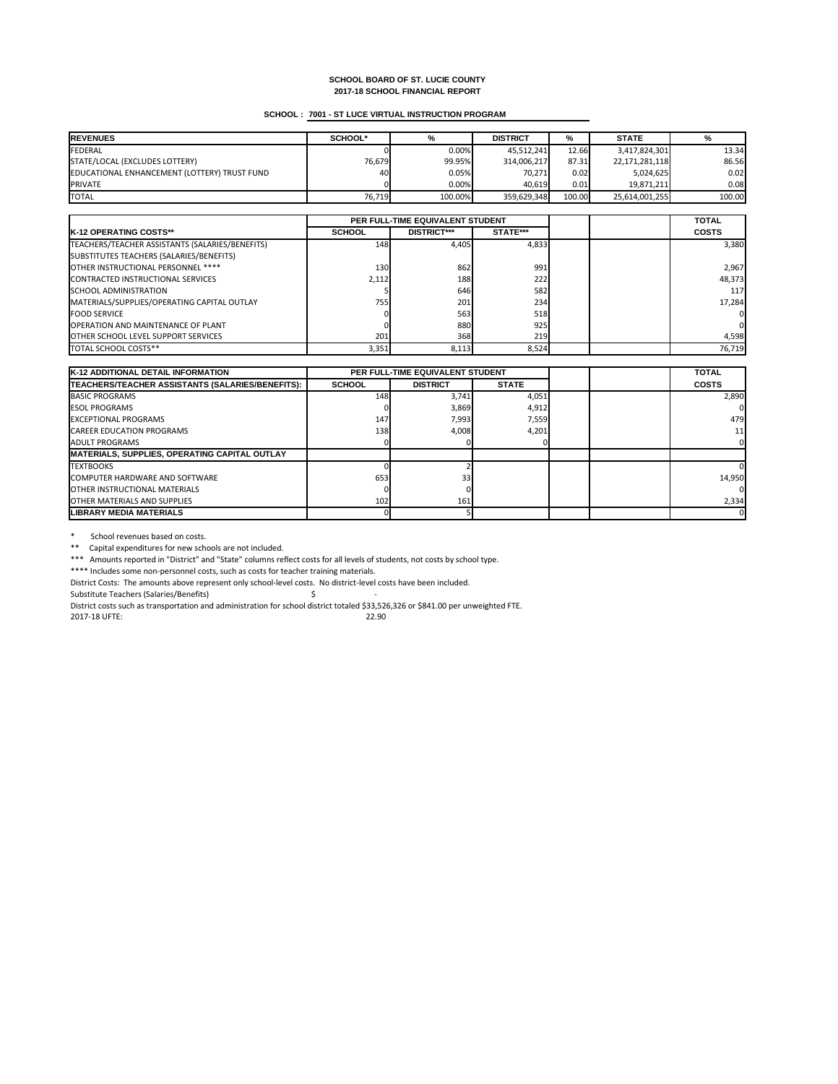# **SCHOOL : 7001 - ST LUCE VIRTUAL INSTRUCTION PROGRAM**

| <b>REVENUES</b>                              | <b>SCHOOL*</b> | %       | <b>DISTRICT</b> | %      | <b>STATE</b>   |        |
|----------------------------------------------|----------------|---------|-----------------|--------|----------------|--------|
| <b>FEDERAL</b>                               |                | 0.00%   | 45,512,241      | 12.66  | 3,417,824,301  | 13.34  |
| STATE/LOCAL (EXCLUDES LOTTERY)               | 76,679         | 99.95%  | 314,006,217     | 87.31  | 22,171,281,118 | 86.56  |
| EDUCATIONAL ENHANCEMENT (LOTTERY) TRUST FUND | 40             | 0.05%   | 70,271          | 0.02   | 5,024,625      | 0.02   |
| <b>PRIVATE</b>                               |                | 0.00%   | 40,619          | 0.01   | 19,871,211     | 0.08l  |
| <b>TOTAL</b>                                 | 76,719         | 100.00% | 359,629,348     | 100.00 | 25,614,001,255 | 100.00 |

|                                                 | PER FULL-TIME EQUIVALENT STUDENT |                    |          |  | <b>TOTAL</b>   |
|-------------------------------------------------|----------------------------------|--------------------|----------|--|----------------|
| <b>IK-12 OPERATING COSTS**</b>                  | <b>SCHOOL</b>                    | <b>DISTRICT***</b> | STATE*** |  | <b>COSTS</b>   |
| TEACHERS/TEACHER ASSISTANTS (SALARIES/BENEFITS) | 148                              | 4,405              | 4,833    |  | 3,380          |
| SUBSTITUTES TEACHERS (SALARIES/BENEFITS)        |                                  |                    |          |  |                |
| OTHER INSTRUCTIONAL PERSONNEL ****              | 130 <sup>l</sup>                 | 862                | 991      |  | 2,967          |
| CONTRACTED INSTRUCTIONAL SERVICES               | 2,112                            | 188                | 222      |  | 48,373         |
| <b>ISCHOOL ADMINISTRATION</b>                   |                                  | 646                | 582      |  | <b>117</b>     |
| MATERIALS/SUPPLIES/OPERATING CAPITAL OUTLAY     | 755                              | 201                | 234      |  | 17,284         |
| <b>FOOD SERVICE</b>                             |                                  | 563                | 518      |  | 01             |
| <b>OPERATION AND MAINTENANCE OF PLANT</b>       |                                  | 880                | 925      |  | $\overline{0}$ |
| <b>OTHER SCHOOL LEVEL SUPPORT SERVICES</b>      | 201                              | 368                | 219      |  | 4,598          |
| <b>ITOTAL SCHOOL COSTS**</b>                    | 3,351                            | 8,113              | 8,524    |  | 76,719         |

\* School revenues based on costs.

\*\* Capital expenditures for new schools are not included.

| <b>K-12 ADDITIONAL DETAIL INFORMATION</b>            | <b>PER FULL-TIME EQUIVALENT STUDENT</b> |                 |              | <b>TOTAL</b> |                 |
|------------------------------------------------------|-----------------------------------------|-----------------|--------------|--------------|-----------------|
| TEACHERS/TEACHER ASSISTANTS (SALARIES/BENEFITS):     | <b>SCHOOL</b>                           | <b>DISTRICT</b> | <b>STATE</b> |              | <b>COSTS</b>    |
| <b>BASIC PROGRAMS</b>                                | 148                                     | 3,741           | 4,051        |              | 2,890           |
| <b>IESOL PROGRAMS</b>                                |                                         | 3,869           | 4,912        |              |                 |
| <b>EXCEPTIONAL PROGRAMS</b>                          | 147                                     | 7,993           | 7,559        |              | 479             |
| <b>CAREER EDUCATION PROGRAMS</b>                     | 138                                     | 4,008           | 4,201        |              | 11 <sup>1</sup> |
| LADULT PROGRAMS                                      |                                         |                 |              |              |                 |
| <b>MATERIALS, SUPPLIES, OPERATING CAPITAL OUTLAY</b> |                                         |                 |              |              |                 |
| <b>ITEXTBOOKS</b>                                    |                                         |                 |              |              |                 |
| <b>ICOMPUTER HARDWARE AND SOFTWARE</b>               | 653                                     | 33 <sub>l</sub> |              |              | 14,950          |
| <b>IOTHER INSTRUCTIONAL MATERIALS</b>                |                                         |                 |              |              |                 |
| <b>IOTHER MATERIALS AND SUPPLIES</b>                 | 102                                     | 161             |              |              | 2,334           |
| <b>LIBRARY MEDIA MATERIALS</b>                       |                                         |                 |              |              | ΟI              |

\*\*\* Amounts reported in "District" and "State" columns reflect costs for all levels of students, not costs by school type.

\*\*\*\* Includes some non-personnel costs, such as costs for teacher training materials.

District Costs: The amounts above represent only school-level costs. No district-level costs have been included.

Substitute Teachers (Salaries/Benefits) \$ -

District costs such as transportation and administration for school district totaled \$33,526,326 or \$841.00 per unweighted FTE.

2017-18 UFTE: 22.90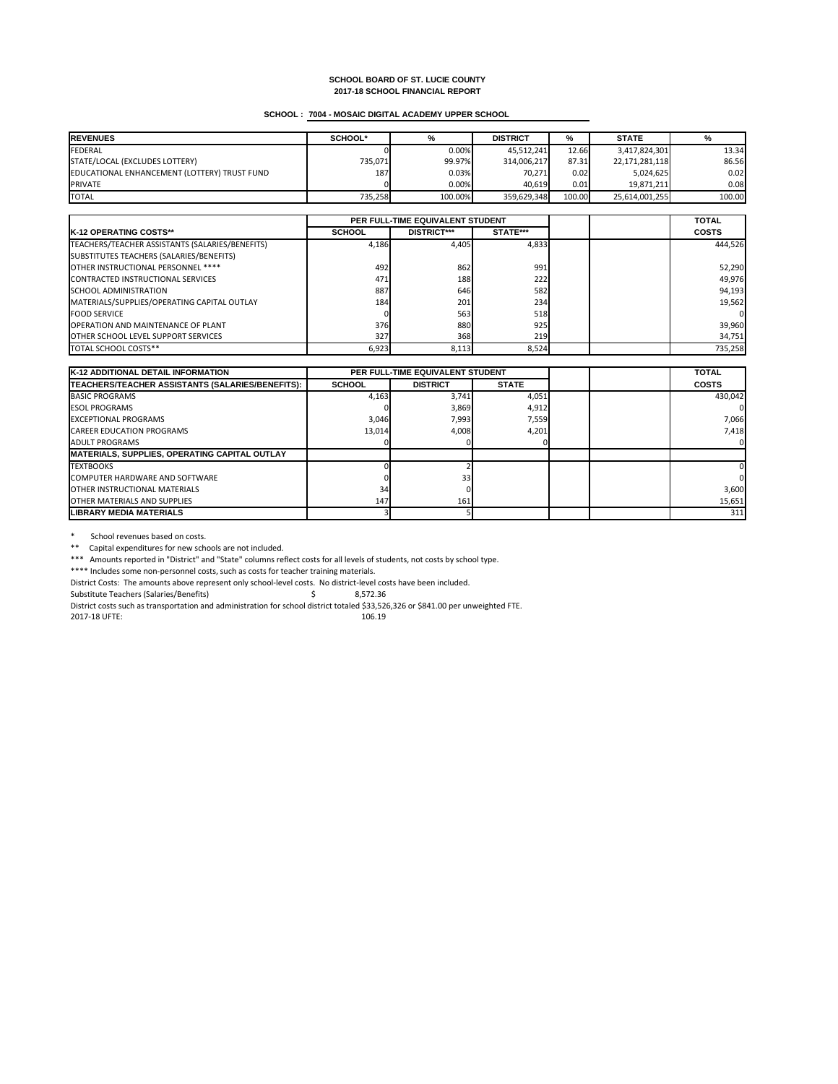# **SCHOOL : 7004 - MOSAIC DIGITAL ACADEMY UPPER SCHOOL**

| <b>REVENUES</b>                              | <b>SCHOOL*</b> | %       | <b>DISTRICT</b> | %      | <b>STATE</b>   |        |
|----------------------------------------------|----------------|---------|-----------------|--------|----------------|--------|
| <b>FEDERAL</b>                               |                | 0.00%   | 45,512,241      | 12.66  | 3,417,824,301  | 13.34  |
| STATE/LOCAL (EXCLUDES LOTTERY)               | 735,071        | 99.97%  | 314,006,217     | 87.31  | 22,171,281,118 | 86.56  |
| EDUCATIONAL ENHANCEMENT (LOTTERY) TRUST FUND | 187            | 0.03%   | 70,271          | 0.02   | 5,024,625      | 0.02   |
| <b>PRIVATE</b>                               |                | 0.00%   | 40,619          | 0.01   | 19,871,211     | 0.08   |
| <b>TOTAL</b>                                 | 735,258        | 100.00% | 359,629,348     | 100.00 | 25,614,001,255 | 100.00 |

|                                                 | <b>PER FULL-TIME EQUIVALENT STUDENT</b> |                    |          |  | <b>TOTAL</b> |
|-------------------------------------------------|-----------------------------------------|--------------------|----------|--|--------------|
| <b>IK-12 OPERATING COSTS**</b>                  | <b>SCHOOL</b>                           | <b>DISTRICT***</b> | STATE*** |  | <b>COSTS</b> |
| TEACHERS/TEACHER ASSISTANTS (SALARIES/BENEFITS) | 4,186                                   | 4,405              | 4,833    |  | 444,526      |
| SUBSTITUTES TEACHERS (SALARIES/BENEFITS)        |                                         |                    |          |  |              |
| OTHER INSTRUCTIONAL PERSONNEL ****              | 492                                     | 862                | 991      |  | 52,290       |
| CONTRACTED INSTRUCTIONAL SERVICES               | 471                                     | 188                | 222      |  | 49,976       |
| <b>SCHOOL ADMINISTRATION</b>                    | 887                                     | 646                | 582      |  | 94,193       |
| MATERIALS/SUPPLIES/OPERATING CAPITAL OUTLAY     | 184                                     | 201                | 234      |  | 19,562       |
| <b>IFOOD SERVICE</b>                            |                                         | 563                | 518      |  | 01           |
| <b>OPERATION AND MAINTENANCE OF PLANT</b>       | 376                                     | 880                | 925      |  | 39,960       |
| <b>OTHER SCHOOL LEVEL SUPPORT SERVICES</b>      | 327                                     | 368                | 219      |  | 34,751       |
| <b>TOTAL SCHOOL COSTS**</b>                     | 6,923                                   | 8,113              | 8,524    |  | 735,258      |

\* School revenues based on costs.

\*\* Capital expenditures for new schools are not included.

| <b>K-12 ADDITIONAL DETAIL INFORMATION</b>            | <b>PER FULL-TIME EQUIVALENT STUDENT</b> |                 |              | <b>TOTAL</b> |              |
|------------------------------------------------------|-----------------------------------------|-----------------|--------------|--------------|--------------|
| TEACHERS/TEACHER ASSISTANTS (SALARIES/BENEFITS):     | <b>SCHOOL</b>                           | <b>DISTRICT</b> | <b>STATE</b> |              | <b>COSTS</b> |
| <b>BASIC PROGRAMS</b>                                | 4,163                                   | 3,741           | 4,051        |              | 430,042      |
| <b>IESOL PROGRAMS</b>                                |                                         | 3,869           | 4,912        |              |              |
| <b>IEXCEPTIONAL PROGRAMS</b>                         | 3,046                                   | 7,993           | 7,559        |              | 7,066        |
| <b>CAREER EDUCATION PROGRAMS</b>                     | 13,014                                  | 4,008           | 4,201        |              | 7,418        |
| <b>JADULT PROGRAMS</b>                               |                                         |                 |              |              |              |
| <b>MATERIALS, SUPPLIES, OPERATING CAPITAL OUTLAY</b> |                                         |                 |              |              |              |
| <b>TEXTBOOKS</b>                                     |                                         |                 |              |              |              |
| <b>ICOMPUTER HARDWARE AND SOFTWARE</b>               |                                         | 33 <sub>l</sub> |              |              |              |
| <b>IOTHER INSTRUCTIONAL MATERIALS</b>                | 34                                      |                 |              |              | 3,600        |
| <b>IOTHER MATERIALS AND SUPPLIES</b>                 | 147                                     | 161             |              |              | 15,651       |
| <b>ILIBRARY MEDIA MATERIALS</b>                      |                                         |                 |              |              | 311          |

\*\*\* Amounts reported in "District" and "State" columns reflect costs for all levels of students, not costs by school type.

\*\*\*\* Includes some non-personnel costs, such as costs for teacher training materials.

District Costs: The amounts above represent only school-level costs. No district-level costs have been included.

Substitute Teachers (Salaries/Benefits) \$ 8,572.36

District costs such as transportation and administration for school district totaled \$33,526,326 or \$841.00 per unweighted FTE.

2017-18 UFTE: 106.19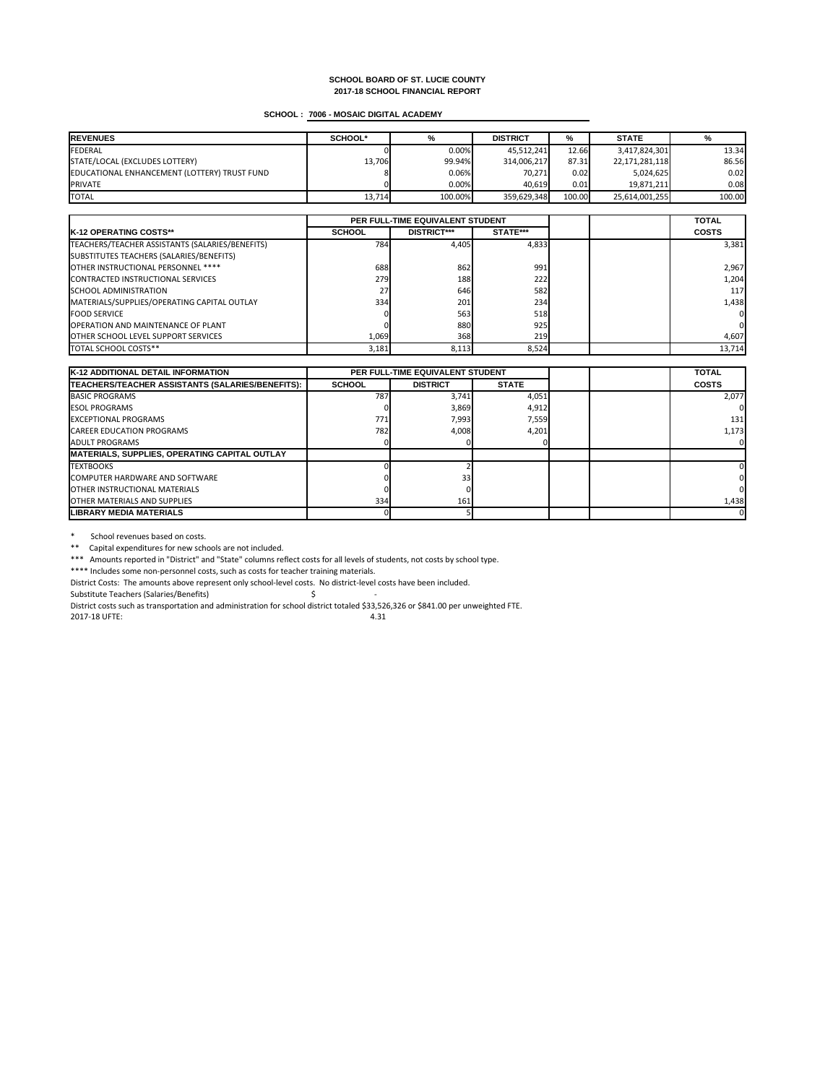# **SCHOOL : 7006 - MOSAIC DIGITAL ACADEMY**

| <b>REVENUES</b>                              | <b>SCHOOL*</b> | %        | <b>DISTRICT</b> | %      | <b>STATE</b>   |        |
|----------------------------------------------|----------------|----------|-----------------|--------|----------------|--------|
| FEDERAL                                      |                | 0.00%    | 45,512,241      | 12.66  | 3,417,824,301  | 13.34  |
| STATE/LOCAL (EXCLUDES LOTTERY)               | 13,706         | 99.94%   | 314,006,217     | 87.31  | 22,171,281,118 | 86.56  |
| EDUCATIONAL ENHANCEMENT (LOTTERY) TRUST FUND |                | $0.06\%$ | 70,271          | 0.02   | 5,024,625      | 0.02   |
| <b>PRIVATE</b>                               |                | 0.00%    | 40,619          | 0.01   | 19,871,211     | 0.08   |
| <b>TOTAL</b>                                 | 13,714         | 100.00%  | 359,629,348     | 100.00 | 25,614,001,255 | 100.00 |

|                                                 | PER FULL-TIME EQUIVALENT STUDENT |                    |          |  | <b>TOTAL</b>   |
|-------------------------------------------------|----------------------------------|--------------------|----------|--|----------------|
| <b>IK-12 OPERATING COSTS**</b>                  | <b>SCHOOL</b>                    | <b>DISTRICT***</b> | STATE*** |  | <b>COSTS</b>   |
| TEACHERS/TEACHER ASSISTANTS (SALARIES/BENEFITS) | 784                              | 4,405              | 4,833    |  | 3,381          |
| SUBSTITUTES TEACHERS (SALARIES/BENEFITS)        |                                  |                    |          |  |                |
| OTHER INSTRUCTIONAL PERSONNEL ****              | 688                              | 862                | 991      |  | 2,967          |
| CONTRACTED INSTRUCTIONAL SERVICES               | 279 <b>1</b>                     | 188                | 222      |  | 1,204          |
| <b>SCHOOL ADMINISTRATION</b>                    | <b>27</b>                        | 646                | 582      |  | 117            |
| MATERIALS/SUPPLIES/OPERATING CAPITAL OUTLAY     | 334                              | 201                | 234      |  | 1,438          |
| <b>FOOD SERVICE</b>                             |                                  | 563                | 518      |  | 0              |
| <b>OPERATION AND MAINTENANCE OF PLANT</b>       |                                  | 880                | 925      |  | $\overline{0}$ |
| <b>OTHER SCHOOL LEVEL SUPPORT SERVICES</b>      | 1,069                            | 368                | 219      |  | 4,607          |
| <b>TOTAL SCHOOL COSTS**</b>                     | 3,181                            | 8,113              | 8,524    |  | 13,714         |

\* School revenues based on costs.

\*\* Capital expenditures for new schools are not included.

| <b>K-12 ADDITIONAL DETAIL INFORMATION</b>            | PER FULL-TIME EQUIVALENT STUDENT |                 |              | <b>TOTAL</b> |              |
|------------------------------------------------------|----------------------------------|-----------------|--------------|--------------|--------------|
| TEACHERS/TEACHER ASSISTANTS (SALARIES/BENEFITS):     | <b>SCHOOL</b>                    | <b>DISTRICT</b> | <b>STATE</b> |              | <b>COSTS</b> |
| <b>BASIC PROGRAMS</b>                                | 787                              | 3,741           | 4,051        |              | 2,077        |
| <b>ESOL PROGRAMS</b>                                 |                                  | 3,869           | 4,912        |              |              |
| <b>IEXCEPTIONAL PROGRAMS</b>                         | 771                              | 7,993           | 7,559        |              | 131          |
| <b>CAREER EDUCATION PROGRAMS</b>                     | <b>782</b>                       | 4,008           | 4,201        |              | 1,173        |
| <b>JADULT PROGRAMS</b>                               |                                  |                 |              |              |              |
| <b>MATERIALS, SUPPLIES, OPERATING CAPITAL OUTLAY</b> |                                  |                 |              |              |              |
| <b>TEXTBOOKS</b>                                     |                                  |                 |              |              |              |
| COMPUTER HARDWARE AND SOFTWARE                       |                                  | 33              |              |              |              |
| <b>IOTHER INSTRUCTIONAL MATERIALS</b>                |                                  |                 |              |              |              |
| <b>JOTHER MATERIALS AND SUPPLIES</b>                 | 334                              | 161             |              |              | 1,438        |
| ILIBRARY MEDIA MATERIALS                             |                                  |                 |              |              | 0            |

\*\*\* Amounts reported in "District" and "State" columns reflect costs for all levels of students, not costs by school type.

\*\*\*\* Includes some non-personnel costs, such as costs for teacher training materials.

District Costs: The amounts above represent only school-level costs. No district-level costs have been included.

Substitute Teachers (Salaries/Benefits) \$ -

District costs such as transportation and administration for school district totaled \$33,526,326 or \$841.00 per unweighted FTE.

2017-18 UFTE: 4.31